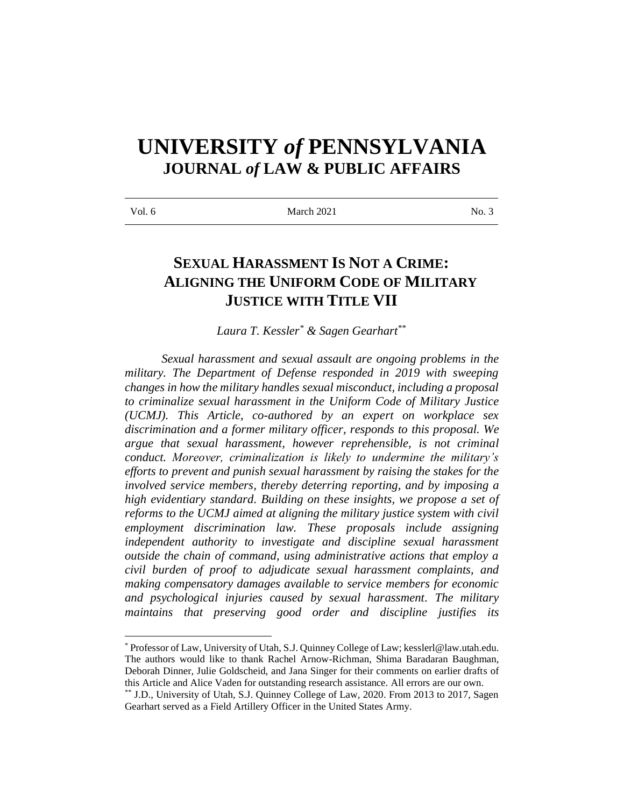# **UNIVERSITY** *of* **PENNSYLVANIA JOURNAL** *of* **LAW & PUBLIC AFFAIRS**

# **SEXUAL HARASSMENT IS NOT A CRIME: ALIGNING THE UNIFORM CODE OF MILITARY JUSTICE WITH TITLE VII**

*Laura T. Kessler\* & Sagen Gearhart\*\**

*Sexual harassment and sexual assault are ongoing problems in the military. The Department of Defense responded in 2019 with sweeping changes in how the military handles sexual misconduct, including a proposal to criminalize sexual harassment in the Uniform Code of Military Justice (UCMJ). This Article, co-authored by an expert on workplace sex discrimination and a former military officer, responds to this proposal. We argue that sexual harassment, however reprehensible, is not criminal conduct. Moreover, criminalization is likely to undermine the military's efforts to prevent and punish sexual harassment by raising the stakes for the involved service members, thereby deterring reporting, and by imposing a high evidentiary standard. Building on these insights, we propose a set of reforms to the UCMJ aimed at aligning the military justice system with civil employment discrimination law. These proposals include assigning independent authority to investigate and discipline sexual harassment outside the chain of command, using administrative actions that employ a civil burden of proof to adjudicate sexual harassment complaints, and making compensatory damages available to service members for economic and psychological injuries caused by sexual harassment. The military maintains that preserving good order and discipline justifies its* 

\*Professor of Law, University of Utah, S.J. Quinney College of Law; kesslerl@law.utah.edu. The authors would like to thank Rachel Arnow-Richman, Shima Baradaran Baughman, Deborah Dinner, Julie Goldscheid, and Jana Singer for their comments on earlier drafts of this Article and Alice Vaden for outstanding research assistance. All errors are our own.

<sup>\*\*</sup> J.D., University of Utah, S.J. Quinney College of Law, 2020. From 2013 to 2017, Sagen Gearhart served as a Field Artillery Officer in the United States Army.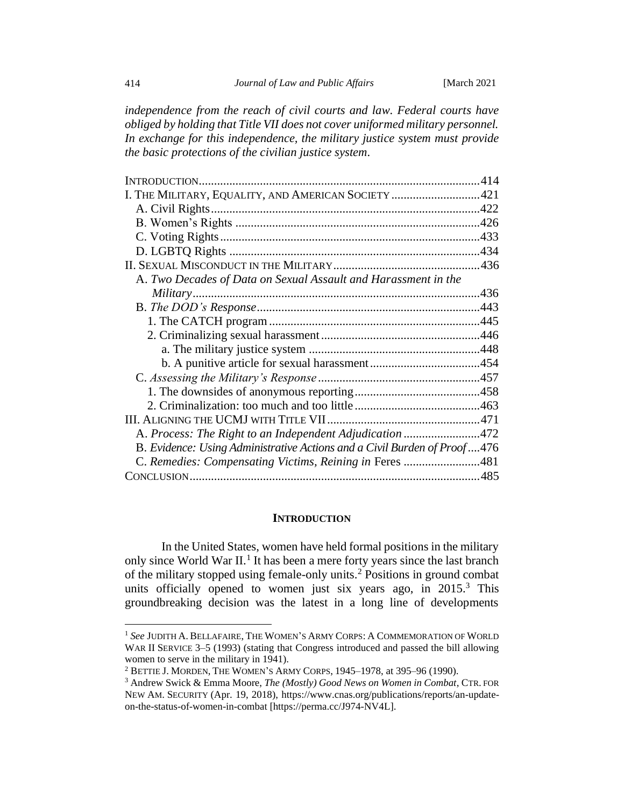*independence from the reach of civil courts and law. Federal courts have obliged by holding that Title VII does not cover uniformed military personnel. In exchange for this independence, the military justice system must provide the basic protections of the civilian justice system.*

| I. THE MILITARY, EQUALITY, AND AMERICAN SOCIETY 421                      |  |
|--------------------------------------------------------------------------|--|
|                                                                          |  |
|                                                                          |  |
|                                                                          |  |
|                                                                          |  |
|                                                                          |  |
| A. Two Decades of Data on Sexual Assault and Harassment in the           |  |
|                                                                          |  |
|                                                                          |  |
|                                                                          |  |
|                                                                          |  |
|                                                                          |  |
|                                                                          |  |
|                                                                          |  |
|                                                                          |  |
|                                                                          |  |
|                                                                          |  |
| A. Process: The Right to an Independent Adjudication 472                 |  |
| B. Evidence: Using Administrative Actions and a Civil Burden of Proof476 |  |
| C. Remedies: Compensating Victims, Reining in Feres 481                  |  |
|                                                                          |  |

#### <span id="page-1-3"></span><span id="page-1-2"></span><span id="page-1-1"></span>**INTRODUCTION**

<span id="page-1-0"></span>In the United States, women have held formal positions in the military only since World War II.<sup>1</sup> It has been a mere forty years since the last branch of the military stopped using female-only units. <sup>2</sup> Positions in ground combat units officially opened to women just six years ago, in 2015.<sup>3</sup> This groundbreaking decision was the latest in a long line of developments

<sup>1</sup> *See* JUDITH A. BELLAFAIRE, THE WOMEN'S ARMY CORPS: A COMMEMORATION OF WORLD WAR II SERVICE 3–5 (1993) (stating that Congress introduced and passed the bill allowing women to serve in the military in 1941).

<sup>2</sup> BETTIE J. MORDEN, THE WOMEN'S ARMY CORPS, 1945–1978, at 395–96 (1990).

<sup>3</sup> Andrew Swick & Emma Moore, *The (Mostly) Good News on Women in Combat*, CTR. FOR NEW AM. SECURITY (Apr. 19, 2018), https://www.cnas.org/publications/reports/an-updateon-the-status-of-women-in-combat [https://perma.cc/J974-NV4L].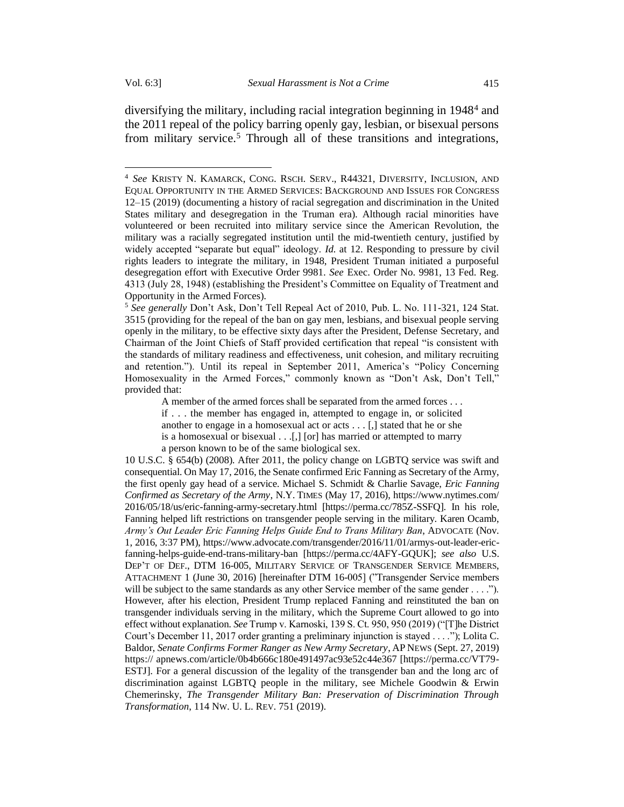<span id="page-2-1"></span><span id="page-2-0"></span>diversifying the military, including racial integration beginning in 1948<sup>4</sup> and the 2011 repeal of the policy barring openly gay, lesbian, or bisexual persons from military service.<sup>5</sup> Through all of these transitions and integrations,

A member of the armed forces shall be separated from the armed forces . . . if . . . the member has engaged in, attempted to engage in, or solicited another to engage in a homosexual act or acts . . . [,] stated that he or she is a homosexual or bisexual . . .[,] [or] has married or attempted to marry a person known to be of the same biological sex.

10 U.S.C. § 654(b) (2008). After 2011, the policy change on LGBTQ service was swift and consequential. On May 17, 2016, the Senate confirmed Eric Fanning as Secretary of the Army, the first openly gay head of a service. Michael S. Schmidt & Charlie Savage, *Eric Fanning Confirmed as Secretary of the Army*, N.Y. TIMES (May 17, 2016), https://www.nytimes.com/ 2016/05/18/us/eric-fanning-army-secretary.html [https://perma.cc/785Z-SSFQ]. In his role, Fanning helped lift restrictions on transgender people serving in the military. Karen Ocamb, *Army's Out Leader Eric Fanning Helps Guide End to Trans Military Ban*, ADVOCATE (Nov. 1, 2016, 3:37 PM), https://www.advocate.com/transgender/2016/11/01/armys-out-leader-ericfanning-helps-guide-end-trans-military-ban [https://perma.cc/4AFY-GQUK]; *see also* U.S. DEP'T OF DEF., DTM 16-005, MILITARY SERVICE OF TRANSGENDER SERVICE MEMBERS, ATTACHMENT 1 (June 30, 2016) [hereinafter DTM 16-005] ("Transgender Service members will be subject to the same standards as any other Service member of the same gender . . . ."). However, after his election, President Trump replaced Fanning and reinstituted the ban on transgender individuals serving in the military, which the Supreme Court allowed to go into effect without explanation. *See* Trump v. Karnoski, 139 S. Ct. 950, 950 (2019) ("[T]he District Court's December 11, 2017 order granting a preliminary injunction is stayed . . . ."); Lolita C. Baldor, *Senate Confirms Former Ranger as New Army Secretary*, AP NEWS (Sept. 27, 2019) https:// apnews.com/article/0b4b666c180e491497ac93e52c44e367 [https://perma.cc/VT79- ESTJ]. For a general discussion of the legality of the transgender ban and the long arc of discrimination against LGBTQ people in the military, see Michele Goodwin & Erwin Chemerinsky, *The Transgender Military Ban: Preservation of Discrimination Through Transformation*, 114 NW. U. L. REV. 751 (2019).

<sup>4</sup> *See* KRISTY N. KAMARCK, CONG. RSCH. SERV., R44321, DIVERSITY, INCLUSION, AND EQUAL OPPORTUNITY IN THE ARMED SERVICES: BACKGROUND AND ISSUES FOR CONGRESS 12–15 (2019) (documenting a history of racial segregation and discrimination in the United States military and desegregation in the Truman era). Although racial minorities have volunteered or been recruited into military service since the American Revolution, the military was a racially segregated institution until the mid-twentieth century, justified by widely accepted "separate but equal" ideology. *Id.* at 12. Responding to pressure by civil rights leaders to integrate the military, in 1948, President Truman initiated a purposeful desegregation effort with Executive Order 9981. *See* Exec. Order No. 9981, 13 Fed. Reg. 4313 (July 28, 1948) (establishing the President's Committee on Equality of Treatment and Opportunity in the Armed Forces).

<sup>5</sup> *See generally* Don't Ask, Don't Tell Repeal Act of 2010, Pub. L. No. 111-321, 124 Stat. 3515 (providing for the repeal of the ban on gay men, lesbians, and bisexual people serving openly in the military, to be effective sixty days after the President, Defense Secretary, and Chairman of the Joint Chiefs of Staff provided certification that repeal "is consistent with the standards of military readiness and effectiveness, unit cohesion, and military recruiting and retention."). Until its repeal in September 2011, America's "Policy Concerning Homosexuality in the Armed Forces," commonly known as "Don't Ask, Don't Tell," provided that: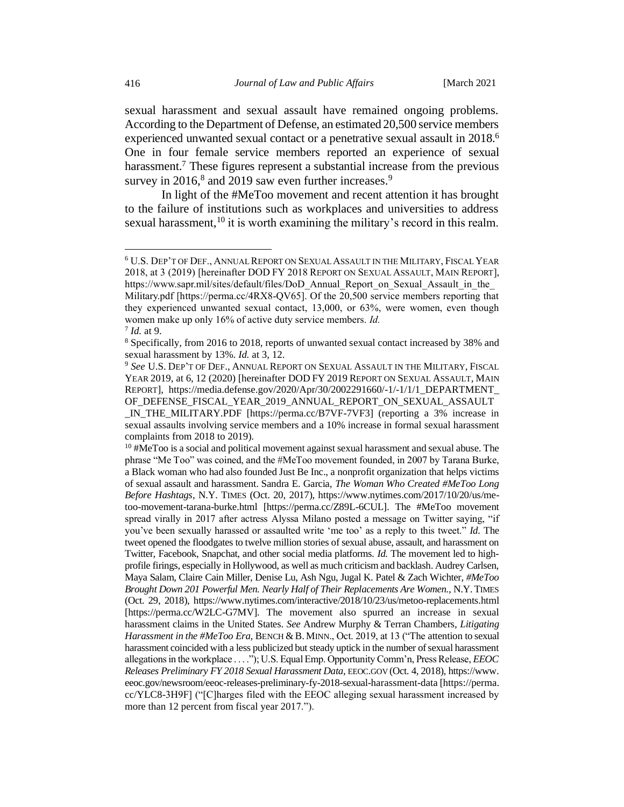<span id="page-3-2"></span>sexual harassment and sexual assault have remained ongoing problems. According to the Department of Defense, an estimated 20,500 service members experienced unwanted sexual contact or a penetrative sexual assault in 2018.<sup>6</sup> One in four female service members reported an experience of sexual harassment.<sup>7</sup> These figures represent a substantial increase from the previous survey in 2016,<sup>8</sup> and 2019 saw even further increases.<sup>9</sup>

<span id="page-3-1"></span><span id="page-3-0"></span>In light of the #MeToo movement and recent attention it has brought to the failure of institutions such as workplaces and universities to address sexual harassment,  $10$  it is worth examining the military's record in this realm.

 $10<sup>10</sup>$  #MeToo is a social and political movement against sexual harassment and sexual abuse. The phrase "Me Too" was coined, and the #MeToo movement founded, in 2007 by Tarana Burke, a Black woman who had also founded Just Be Inc., a nonprofit organization that helps victims of sexual assault and harassment. Sandra E. Garcia, *The Woman Who Created #MeToo Long Before Hashtags*, N.Y. TIMES (Oct. 20, 2017), https://www.nytimes.com/2017/10/20/us/metoo-movement-tarana-burke.html [https://perma.cc/Z89L-6CUL]. The #MeToo movement spread virally in 2017 after actress Alyssa Milano posted a message on Twitter saying, "if you've been sexually harassed or assaulted write 'me too' as a reply to this tweet." *Id.* The tweet opened the floodgates to twelve million stories of sexual abuse, assault, and harassment on Twitter, Facebook, Snapchat, and other social media platforms. *Id.* The movement led to highprofile firings, especially in Hollywood, as well as much criticism and backlash. Audrey Carlsen, Maya Salam, Claire Cain Miller, Denise Lu, Ash Ngu, Jugal K. Patel & Zach Wichter, *#MeToo Brought Down 201 Powerful Men. Nearly Half of Their Replacements Are Women.*, N.Y.TIMES (Oct. 29, 2018), https://www.nytimes.com/interactive/2018/10/23/us/metoo-replacements.html [https://perma.cc/W2LC-G7MV]. The movement also spurred an increase in sexual harassment claims in the United States. *See* Andrew Murphy & Terran Chambers*, Litigating Harassment in the #MeToo Era*, BENCH & B. MINN., Oct. 2019, at 13 ("The attention to sexual harassment coincided with a less publicized but steady uptick in the number of sexual harassment allegations in the workplace . . . ."); U.S. Equal Emp. Opportunity Comm'n, Press Release, *EEOC Releases Preliminary FY 2018 Sexual Harassment Data*, EEOC.GOV (Oct. 4, 2018), https://www. eeoc.gov/newsroom/eeoc-releases-preliminary-fy-2018-sexual-harassment-data [https://perma. cc/YLC8-3H9F] ("[C]harges filed with the EEOC alleging sexual harassment increased by more than 12 percent from fiscal year 2017.").

<sup>6</sup> U.S. DEP'T OF DEF., ANNUAL REPORT ON SEXUAL ASSAULT IN THE MILITARY,FISCAL YEAR 2018, at 3 (2019) [hereinafter DOD FY 2018 REPORT ON SEXUAL ASSAULT, MAIN REPORT], https://www.sapr.mil/sites/default/files/DoD\_Annual\_Report\_on\_Sexual\_Assault\_in\_the Military.pdf [https://perma.cc/4RX8-QV65]. Of the 20,500 service members reporting that they experienced unwanted sexual contact, 13,000, or 63%, were women, even though women make up only 16% of active duty service members. *Id.* 7 *Id.* at 9.

<sup>8</sup> Specifically, from 2016 to 2018, reports of unwanted sexual contact increased by 38% and sexual harassment by 13%. *Id.* at 3, 12.

<sup>&</sup>lt;sup>9</sup> See U.S. DEP'T OF DEF., ANNUAL REPORT ON SEXUAL ASSAULT IN THE MILITARY, FISCAL YEAR 2019, at 6, 12 (2020) [hereinafter DOD FY 2019 REPORT ON SEXUAL ASSAULT, MAIN REPORT], https://media.defense.gov/2020/Apr/30/2002291660/-1/-1/1/1\_DEPARTMENT\_ OF DEFENSE FISCAL YEAR 2019 ANNUAL REPORT ON SEXUAL ASSAULT \_IN\_THE\_MILITARY.PDF [https://perma.cc/B7VF-7VF3] (reporting a 3% increase in sexual assaults involving service members and a 10% increase in formal sexual harassment complaints from 2018 to 2019).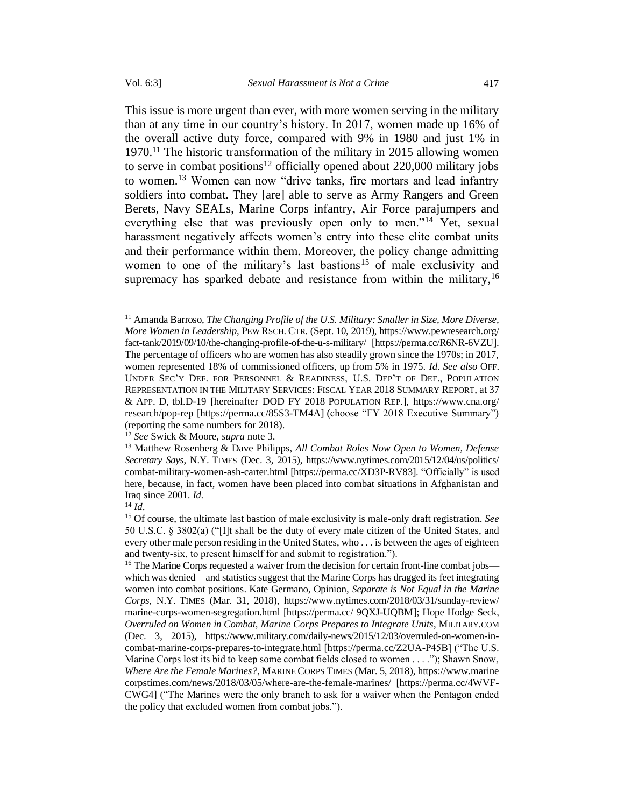<span id="page-4-0"></span>This issue is more urgent than ever, with more women serving in the military than at any time in our country's history. In 2017, women made up 16% of the overall active duty force, compared with 9% in 1980 and just 1% in 1970.<sup>11</sup> The historic transformation of the military in 2015 allowing women to serve in combat positions<sup>12</sup> officially opened about  $220,000$  military jobs to women.<sup>13</sup> Women can now "drive tanks, fire mortars and lead infantry soldiers into combat. They [are] able to serve as Army Rangers and Green Berets, Navy SEALs, Marine Corps infantry, Air Force parajumpers and everything else that was previously open only to men.<sup>"14</sup> Yet, sexual harassment negatively affects women's entry into these elite combat units and their performance within them. Moreover, the policy change admitting women to one of the military's last bastions<sup>15</sup> of male exclusivity and supremacy has sparked debate and resistance from within the military,<sup>16</sup>

<sup>12</sup> *See* Swick & Moore, *supra* not[e 3.](#page-1-1)

<sup>11</sup> Amanda Barroso, *The Changing Profile of the U.S. Military: Smaller in Size, More Diverse, More Women in Leadership*, PEW RSCH. CTR. (Sept. 10, 2019), https://www.pewresearch.org/ fact-tank/2019/09/10/the-changing-profile-of-the-u-s-military/ [https://perma.cc/R6NR-6VZU]. The percentage of officers who are women has also steadily grown since the 1970s; in 2017, women represented 18% of commissioned officers, up from 5% in 1975. *Id*. *See also* OFF. UNDER SEC'Y DEF. FOR PERSONNEL & READINESS, U.S. DEP'T OF DEF., POPULATION REPRESENTATION IN THE MILITARY SERVICES:FISCAL YEAR 2018 SUMMARY REPORT, at 37 & APP. D, tbl.D-19 [hereinafter DOD FY 2018 POPULATION REP.], https://www.cna.org/ research/pop-rep [https://perma.cc/85S3-TM4A] (choose "FY 2018 Executive Summary") (reporting the same numbers for 2018).

<sup>13</sup> Matthew Rosenberg & Dave Philipps, *All Combat Roles Now Open to Women, Defense Secretary Says*, N.Y. TIMES (Dec. 3, 2015), https://www.nytimes.com/2015/12/04/us/politics/ combat-military-women-ash-carter.html [https://perma.cc/XD3P-RV83]. "Officially" is used here, because, in fact, women have been placed into combat situations in Afghanistan and Iraq since 2001. *Id.*

 $^{14}$  *Id*.

<sup>15</sup> Of course, the ultimate last bastion of male exclusivity is male-only draft registration. *See* 50 U.S.C. § 3802(a) ("[I]t shall be the duty of every male citizen of the United States, and every other male person residing in the United States, who . . . is between the ages of eighteen and twenty-six, to present himself for and submit to registration.").

<sup>&</sup>lt;sup>16</sup> The Marine Corps requested a waiver from the decision for certain front-line combat jobs which was denied—and statistics suggest that the Marine Corps has dragged its feet integrating women into combat positions. Kate Germano, Opinion, *Separate is Not Equal in the Marine Corps*, N.Y. TIMES (Mar. 31, 2018), https://www.nytimes.com/2018/03/31/sunday-review/ marine-corps-women-segregation.html [https://perma.cc/ 9QXJ-UQBM]; Hope Hodge Seck, *Overruled on Women in Combat, Marine Corps Prepares to Integrate Units*, MILITARY.COM (Dec. 3, 2015), https://www.military.com/daily-news/2015/12/03/overruled-on-women-incombat-marine-corps-prepares-to-integrate.html [https://perma.cc/Z2UA-P45B] ("The U.S. Marine Corps lost its bid to keep some combat fields closed to women . . . ."); Shawn Snow, *Where Are the Female Marines?*, MARINE CORPS TIMES (Mar. 5, 2018), https://www.marine corpstimes.com/news/2018/03/05/where-are-the-female-marines/ [https://perma.cc/4WVF-CWG4] ("The Marines were the only branch to ask for a waiver when the Pentagon ended the policy that excluded women from combat jobs.").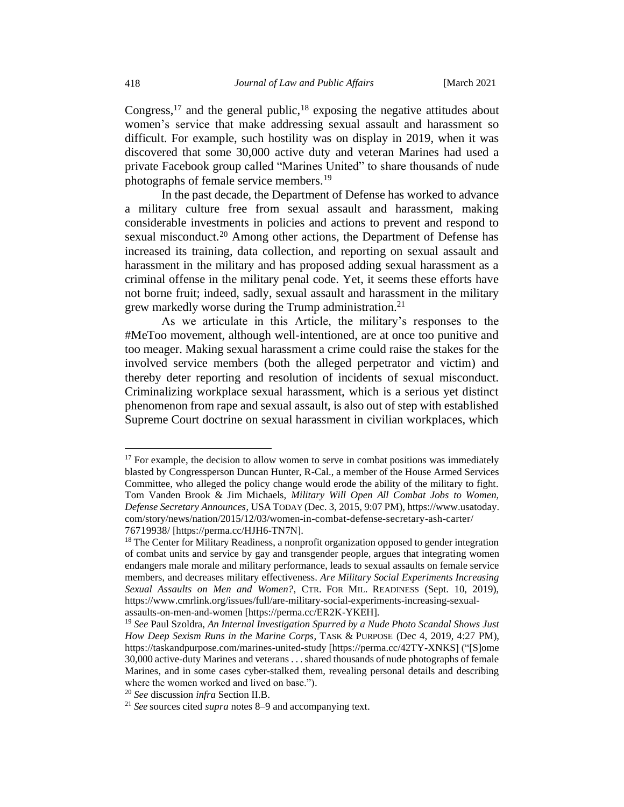Congress,<sup>17</sup> and the general public,<sup>18</sup> exposing the negative attitudes about women's service that make addressing sexual assault and harassment so difficult. For example, such hostility was on display in 2019, when it was discovered that some 30,000 active duty and veteran Marines had used a private Facebook group called "Marines United" to share thousands of nude photographs of female service members.<sup>19</sup>

In the past decade, the Department of Defense has worked to advance a military culture free from sexual assault and harassment, making considerable investments in policies and actions to prevent and respond to sexual misconduct.<sup>20</sup> Among other actions, the Department of Defense has increased its training, data collection, and reporting on sexual assault and harassment in the military and has proposed adding sexual harassment as a criminal offense in the military penal code. Yet, it seems these efforts have not borne fruit; indeed, sadly, sexual assault and harassment in the military grew markedly worse during the Trump administration.<sup>21</sup>

As we articulate in this Article, the military's responses to the #MeToo movement, although well-intentioned, are at once too punitive and too meager. Making sexual harassment a crime could raise the stakes for the involved service members (both the alleged perpetrator and victim) and thereby deter reporting and resolution of incidents of sexual misconduct. Criminalizing workplace sexual harassment, which is a serious yet distinct phenomenon from rape and sexual assault, is also out of step with established Supreme Court doctrine on sexual harassment in civilian workplaces, which

 $17$  For example, the decision to allow women to serve in combat positions was immediately blasted by Congressperson Duncan Hunter, R-Cal., a member of the House Armed Services Committee, who alleged the policy change would erode the ability of the military to fight. Tom Vanden Brook & Jim Michaels, *Military Will Open All Combat Jobs to Women, Defense Secretary Announces*, USA TODAY (Dec. 3, 2015, 9:07 PM), https://www.usatoday. com/story/news/nation/2015/12/03/women-in-combat-defense-secretary-ash-carter/ 76719938/ [https://perma.cc/HJH6-TN7N].

<sup>&</sup>lt;sup>18</sup> The Center for Military Readiness, a nonprofit organization opposed to gender integration of combat units and service by gay and transgender people, argues that integrating women endangers male morale and military performance, leads to sexual assaults on female service members, and decreases military effectiveness. *Are Military Social Experiments Increasing Sexual Assaults on Men and Women?*, CTR. FOR MIL. READINESS (Sept. 10, 2019), https://www.cmrlink.org/issues/full/are-military-social-experiments-increasing-sexualassaults-on-men-and-women [https://perma.cc/ER2K-YKEH].

<sup>19</sup> *See* Paul Szoldra, *An Internal Investigation Spurred by a Nude Photo Scandal Shows Just How Deep Sexism Runs in the Marine Corps*, TASK & PURPOSE (Dec 4, 2019, 4:27 PM), https://taskandpurpose.com/marines-united-study [https://perma.cc/42TY-XNKS] ("[S]ome 30,000 active-duty Marines and veterans . . . shared thousands of nude photographs of female Marines, and in some cases cyber-stalked them, revealing personal details and describing where the women worked and lived on base.").

<sup>20</sup> *See* discussion *infra* Section II.B.

<sup>21</sup> *See* sources cited *supra* notes [8](#page-3-0)[–9](#page-3-1) and accompanying text.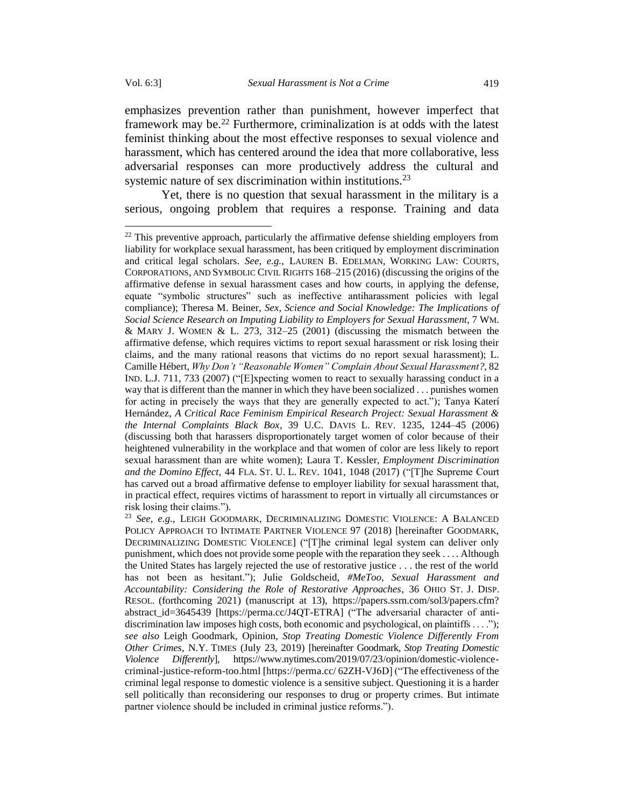emphasizes prevention rather than punishment, however imperfect that framework may be.<sup>22</sup> Furthermore, criminalization is at odds with the latest feminist thinking about the most effective responses to sexual violence and harassment, which has centered around the idea that more collaborative, less adversarial responses can more productively address the cultural and systemic nature of sex discrimination within institutions.<sup>23</sup>

Yet, there is no question that sexual harassment in the military is a serious, ongoing problem that requires a response. Training and data

 $22$  This preventive approach, particularly the affirmative defense shielding employers from liability for workplace sexual harassment, has been critiqued by employment discrimination and critical legal scholars. *See, e.g.*, LAUREN B. EDELMAN, WORKING LAW: COURTS, CORPORATIONS, AND SYMBOLIC CIVIL RIGHTS 168–215 (2016) (discussing the origins of the affirmative defense in sexual harassment cases and how courts, in applying the defense, equate "symbolic structures" such as ineffective antiharassment policies with legal compliance); Theresa M. Beiner, *Sex, Science and Social Knowledge: The Implications of Social Science Research on Imputing Liability to Employers for Sexual Harassment*, 7 WM. & MARY J. WOMEN & L. 273, 312–25 (2001) (discussing the mismatch between the affirmative defense, which requires victims to report sexual harassment or risk losing their claims, and the many rational reasons that victims do no report sexual harassment); L. Camille Hébert, *Why Don't "Reasonable Women" Complain About Sexual Harassment?*, 82 IND. L.J. 711, 733 (2007) ("[E]xpecting women to react to sexually harassing conduct in a way that is different than the manner in which they have been socialized . . . punishes women for acting in precisely the ways that they are generally expected to act."); Tanya Katerí Hernández, *A Critical Race Feminism Empirical Research Project: Sexual Harassment & the Internal Complaints Black Box*, 39 U.C. DAVIS L. REV. 1235, 1244–45 (2006) (discussing both that harassers disproportionately target women of color because of their heightened vulnerability in the workplace and that women of color are less likely to report sexual harassment than are white women); Laura T. Kessler, *Employment Discrimination and the Domino Effect,* 44 FLA. ST. U. L. REV. 1041, 1048 (2017) ("[T]he Supreme Court has carved out a broad affirmative defense to employer liability for sexual harassment that, in practical effect, requires victims of harassment to report in virtually all circumstances or risk losing their claims.").

<sup>23</sup> *See, e.g.*, LEIGH GOODMARK, DECRIMINALIZING DOMESTIC VIOLENCE: A BALANCED POLICY APPROACH TO INTIMATE PARTNER VIOLENCE 97 (2018) [hereinafter GOODMARK, DECRIMINALIZING DOMESTIC VIOLENCE] ("[T]he criminal legal system can deliver only punishment, which does not provide some people with the reparation they seek . . . . Although the United States has largely rejected the use of restorative justice . . . the rest of the world has not been as hesitant."); Julie Goldscheid, *#MeToo, Sexual Harassment and Accountability: Considering the Role of Restorative Approaches*, 36 OHIO ST. J. DISP. RESOL. (forthcoming 2021) (manuscript at 13), https://papers.ssrn.com/sol3/papers.cfm? abstract id=3645439 [https://perma.cc/J4QT-ETRA] ("The adversarial character of antidiscrimination law imposes high costs, both economic and psychological, on plaintiffs . . . ."); *see also* Leigh Goodmark, Opinion, *Stop Treating Domestic Violence Differently From Other Crimes*, N.Y. TIMES (July 23, 2019) [hereinafter Goodmark, *Stop Treating Domestic Violence Differently*], https://www.nytimes.com/2019/07/23/opinion/domestic-violencecriminal-justice-reform-too.html [https://perma.cc/ 62ZH-VJ6D] ("The effectiveness of the criminal legal response to domestic violence is a sensitive subject. Questioning it is a harder sell politically than reconsidering our responses to drug or property crimes. But intimate partner violence should be included in criminal justice reforms.").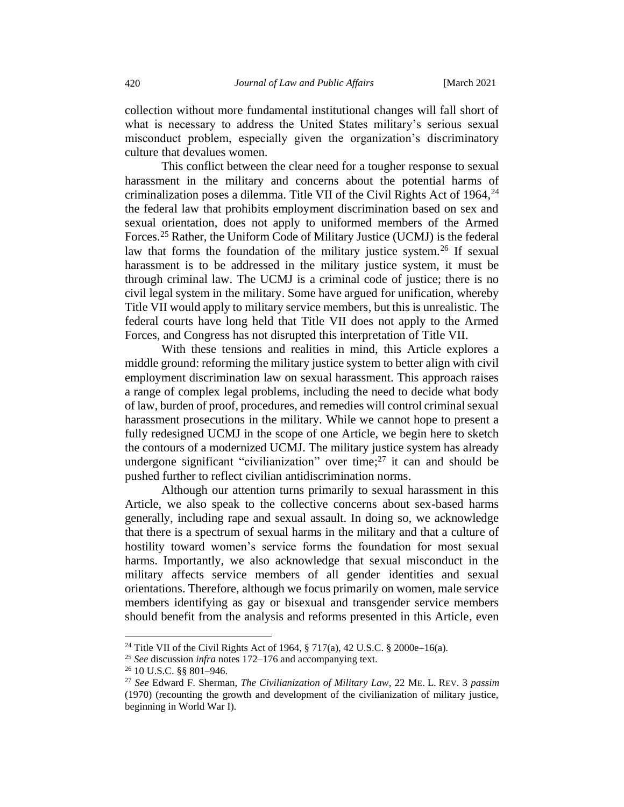collection without more fundamental institutional changes will fall short of what is necessary to address the United States military's serious sexual misconduct problem, especially given the organization's discriminatory culture that devalues women.

This conflict between the clear need for a tougher response to sexual harassment in the military and concerns about the potential harms of criminalization poses a dilemma. Title VII of the Civil Rights Act of 1964, 24 the federal law that prohibits employment discrimination based on sex and sexual orientation, does not apply to uniformed members of the Armed Forces.<sup>25</sup> Rather, the Uniform Code of Military Justice (UCMJ) is the federal law that forms the foundation of the military justice system.<sup>26</sup> If sexual harassment is to be addressed in the military justice system, it must be through criminal law. The UCMJ is a criminal code of justice; there is no civil legal system in the military. Some have argued for unification, whereby Title VII would apply to military service members, but this is unrealistic. The federal courts have long held that Title VII does not apply to the Armed Forces, and Congress has not disrupted this interpretation of Title VII.

With these tensions and realities in mind, this Article explores a middle ground: reforming the military justice system to better align with civil employment discrimination law on sexual harassment. This approach raises a range of complex legal problems, including the need to decide what body of law, burden of proof, procedures, and remedies will control criminal sexual harassment prosecutions in the military. While we cannot hope to present a fully redesigned UCMJ in the scope of one Article, we begin here to sketch the contours of a modernized UCMJ. The military justice system has already undergone significant "civilianization" over time; $27$  it can and should be pushed further to reflect civilian antidiscrimination norms.

Although our attention turns primarily to sexual harassment in this Article, we also speak to the collective concerns about sex-based harms generally, including rape and sexual assault. In doing so, we acknowledge that there is a spectrum of sexual harms in the military and that a culture of hostility toward women's service forms the foundation for most sexual harms. Importantly, we also acknowledge that sexual misconduct in the military affects service members of all gender identities and sexual orientations. Therefore, although we focus primarily on women, male service members identifying as gay or bisexual and transgender service members should benefit from the analysis and reforms presented in this Article, even

<sup>&</sup>lt;sup>24</sup> Title VII of the Civil Rights Act of 1964, § 717(a), 42 U.S.C. § 2000e–16(a).

<sup>25</sup> *See* discussion *infra* notes 172–176 and accompanying text.

<sup>26</sup> 10 U.S.C. §§ 801–946.

<sup>27</sup> *See* Edward F. Sherman, *The Civilianization of Military Law*, 22 ME. L. REV. 3 *passim*  (1970) (recounting the growth and development of the civilianization of military justice, beginning in World War I).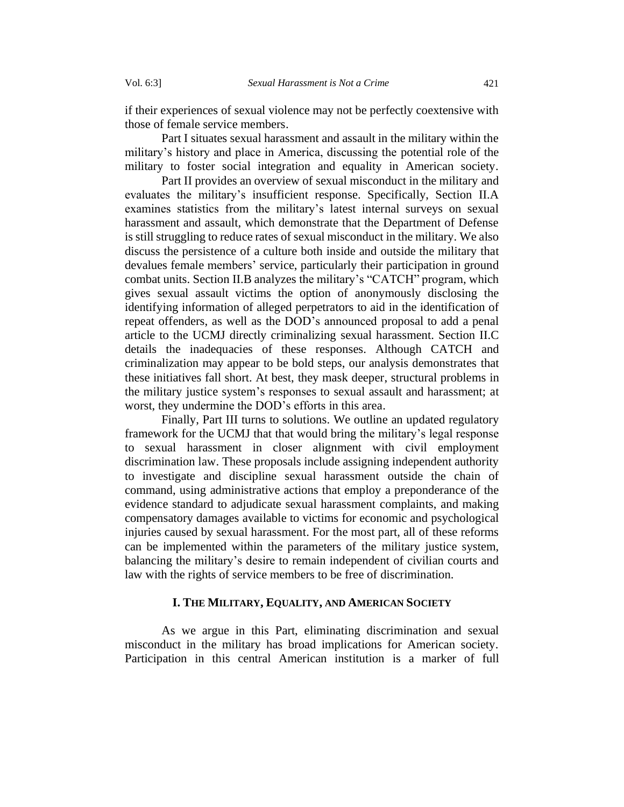if their experiences of sexual violence may not be perfectly coextensive with those of female service members.

Part I situates sexual harassment and assault in the military within the military's history and place in America, discussing the potential role of the military to foster social integration and equality in American society.

Part II provides an overview of sexual misconduct in the military and evaluates the military's insufficient response. Specifically, Section II.A examines statistics from the military's latest internal surveys on sexual harassment and assault, which demonstrate that the Department of Defense is still struggling to reduce rates of sexual misconduct in the military. We also discuss the persistence of a culture both inside and outside the military that devalues female members' service, particularly their participation in ground combat units. Section II.B analyzes the military's "CATCH" program, which gives sexual assault victims the option of anonymously disclosing the identifying information of alleged perpetrators to aid in the identification of repeat offenders, as well as the DOD's announced proposal to add a penal article to the UCMJ directly criminalizing sexual harassment. Section II.C details the inadequacies of these responses. Although CATCH and criminalization may appear to be bold steps, our analysis demonstrates that these initiatives fall short. At best, they mask deeper, structural problems in the military justice system's responses to sexual assault and harassment; at worst, they undermine the DOD's efforts in this area.

Finally, Part III turns to solutions. We outline an updated regulatory framework for the UCMJ that that would bring the military's legal response to sexual harassment in closer alignment with civil employment discrimination law. These proposals include assigning independent authority to investigate and discipline sexual harassment outside the chain of command, using administrative actions that employ a preponderance of the evidence standard to adjudicate sexual harassment complaints, and making compensatory damages available to victims for economic and psychological injuries caused by sexual harassment. For the most part, all of these reforms can be implemented within the parameters of the military justice system, balancing the military's desire to remain independent of civilian courts and law with the rights of service members to be free of discrimination.

#### **I. THE MILITARY, EQUALITY, AND AMERICAN SOCIETY**

<span id="page-8-0"></span>As we argue in this Part, eliminating discrimination and sexual misconduct in the military has broad implications for American society. Participation in this central American institution is a marker of full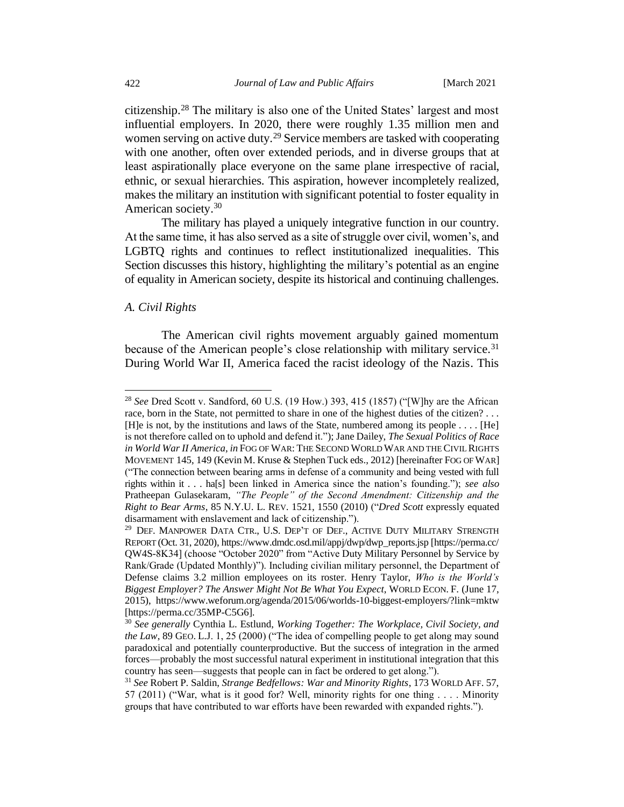<span id="page-9-1"></span>citizenship.<sup>28</sup> The military is also one of the United States' largest and most influential employers. In 2020, there were roughly 1.35 million men and women serving on active duty.<sup>29</sup> Service members are tasked with cooperating with one another, often over extended periods, and in diverse groups that at least aspirationally place everyone on the same plane irrespective of racial, ethnic, or sexual hierarchies. This aspiration, however incompletely realized, makes the military an institution with significant potential to foster equality in American society. 30

The military has played a uniquely integrative function in our country. At the same time, it has also served as a site of struggle over civil, women's, and LGBTQ rights and continues to reflect institutionalized inequalities. This Section discusses this history, highlighting the military's potential as an engine of equality in American society, despite its historical and continuing challenges.

#### <span id="page-9-0"></span>*A. Civil Rights*

The American civil rights movement arguably gained momentum because of the American people's close relationship with military service.<sup>31</sup> During World War II, America faced the racist ideology of the Nazis. This

<sup>28</sup> *See* Dred Scott v. Sandford, 60 U.S. (19 How.) 393, 415 (1857) ("[W]hy are the African race, born in the State, not permitted to share in one of the highest duties of the citizen? . . . [H]e is not, by the institutions and laws of the State, numbered among its people . . . . [He] is not therefore called on to uphold and defend it."); Jane Dailey, *The Sexual Politics of Race in World War II America*, *in*FOG OF WAR: THE SECOND WORLD WAR AND THE CIVIL RIGHTS MOVEMENT 145, 149 (Kevin M. Kruse & Stephen Tuck eds., 2012) [hereinafter FOG OF WAR] ("The connection between bearing arms in defense of a community and being vested with full rights within it . . . ha[s] been linked in America since the nation's founding."); *see also* Pratheepan Gulasekaram, *"The People" of the Second Amendment: Citizenship and the Right to Bear Arms*, 85 N.Y.U. L. REV. 1521, 1550 (2010) ("*Dred Scott* expressly equated disarmament with enslavement and lack of citizenship.").

<sup>&</sup>lt;sup>29</sup> DEF. MANPOWER DATA CTR., U.S. DEP'T OF DEF., ACTIVE DUTY MILITARY STRENGTH REPORT (Oct. 31, 2020), https://www.dmdc.osd.mil/appj/dwp/dwp\_reports.jsp [https://perma.cc/ QW4S-8K34] (choose "October 2020" from "Active Duty Military Personnel by Service by Rank/Grade (Updated Monthly)"). Including civilian military personnel, the Department of Defense claims 3.2 million employees on its roster. Henry Taylor, *Who is the World's Biggest Employer? The Answer Might Not Be What You Expect*, WORLD ECON.F. (June 17, 2015), https://www.weforum.org/agenda/2015/06/worlds-10-biggest-employers/?link=mktw [https://perma.cc/35MP-C5G6].

<sup>30</sup> *See generally* Cynthia L. Estlund, *Working Together: The Workplace, Civil Society, and the Law*, 89 GEO. L.J. 1, 25 (2000) ("The idea of compelling people to get along may sound paradoxical and potentially counterproductive. But the success of integration in the armed forces—probably the most successful natural experiment in institutional integration that this country has seen—suggests that people can in fact be ordered to get along.").

<sup>31</sup> *See* Robert P. Saldin, *Strange Bedfellows: War and Minority Rights*, 173 WORLD AFF. 57, 57 (2011) ("War, what is it good for? Well, minority rights for one thing . . . . Minority groups that have contributed to war efforts have been rewarded with expanded rights.").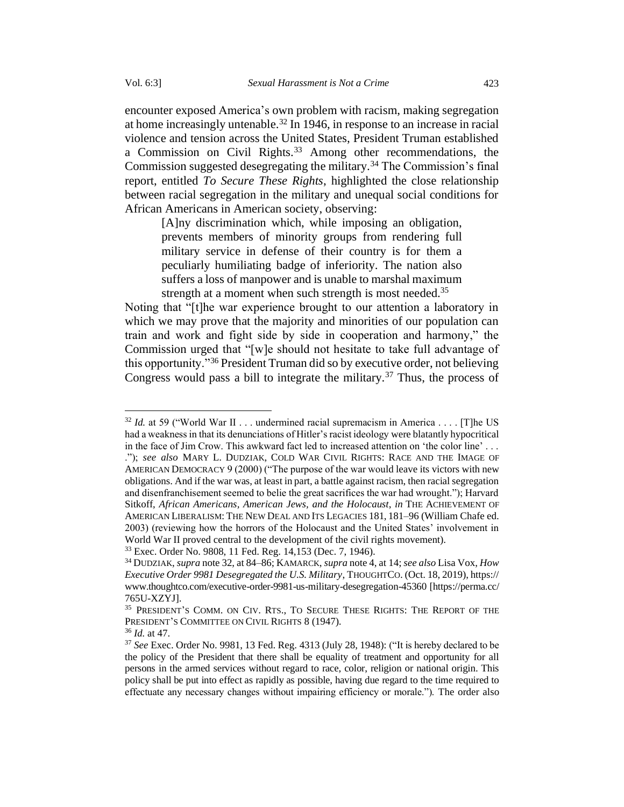encounter exposed America's own problem with racism, making segregation at home increasingly untenable. <sup>32</sup> In 1946, in response to an increase in racial violence and tension across the United States, President Truman established a Commission on Civil Rights.<sup>33</sup> Among other recommendations, the Commission suggested desegregating the military.<sup>34</sup> The Commission's final report, entitled *To Secure These Rights*, highlighted the close relationship between racial segregation in the military and unequal social conditions for African Americans in American society, observing:

[A]ny discrimination which, while imposing an obligation, prevents members of minority groups from rendering full military service in defense of their country is for them a peculiarly humiliating badge of inferiority. The nation also suffers a loss of manpower and is unable to marshal maximum strength at a moment when such strength is most needed.<sup>35</sup>

Noting that "[t]he war experience brought to our attention a laboratory in which we may prove that the majority and minorities of our population can train and work and fight side by side in cooperation and harmony," the Commission urged that "[w]e should not hesitate to take full advantage of this opportunity."<sup>36</sup> President Truman did so by executive order, not believing Congress would pass a bill to integrate the military.<sup>37</sup> Thus, the process of

<sup>&</sup>lt;sup>32</sup> *Id.* at 59 ("World War II . . . undermined racial supremacism in America . . . . [T] he US had a weakness in that its denunciations of Hitler's racist ideology were blatantly hypocritical in the face of Jim Crow. This awkward fact led to increased attention on 'the color line' . . . ."); *see also* MARY L. DUDZIAK, COLD WAR CIVIL RIGHTS: RACE AND THE IMAGE OF AMERICAN DEMOCRACY 9 (2000) ("The purpose of the war would leave its victors with new obligations. And if the war was, at least in part, a battle against racism, then racial segregation and disenfranchisement seemed to belie the great sacrifices the war had wrought."); Harvard Sitkoff, *African Americans, American Jews, and the Holocaust*, *in* THE ACHIEVEMENT OF AMERICAN LIBERALISM: THE NEW DEAL AND ITS LEGACIES 181, 181–96 (William Chafe ed. 2003) (reviewing how the horrors of the Holocaust and the United States' involvement in World War II proved central to the development of the civil rights movement).

<sup>33</sup> Exec. Order No. 9808, 11 Fed. Reg. 14,153 (Dec. 7, 1946).

<sup>34</sup> DUDZIAK, *supra* note 32, at 84–86; KAMARCK, *supra* not[e 4,](#page-2-0) at 14; *see also* Lisa Vox, *How Executive Order 9981 Desegregated the U.S. Military*, THOUGHTCO. (Oct. 18, 2019), https:// www.thoughtco.com/executive-order-9981-us-military-desegregation-45360 [https://perma.cc/ 765U-XZYJ].

<sup>&</sup>lt;sup>35</sup> PRESIDENT'S COMM. ON CIV. RTS., TO SECURE THESE RIGHTS: THE REPORT OF THE PRESIDENT'S COMMITTEE ON CIVIL RIGHTS 8 (1947).

<sup>36</sup> *Id.* at 47.

<sup>37</sup> *See* Exec. Order No. 9981, 13 Fed. Reg. 4313 (July 28, 1948): ("It is hereby declared to be the policy of the President that there shall be equality of treatment and opportunity for all persons in the armed services without regard to race, color, religion or national origin. This policy shall be put into effect as rapidly as possible, having due regard to the time required to effectuate any necessary changes without impairing efficiency or morale."). The order also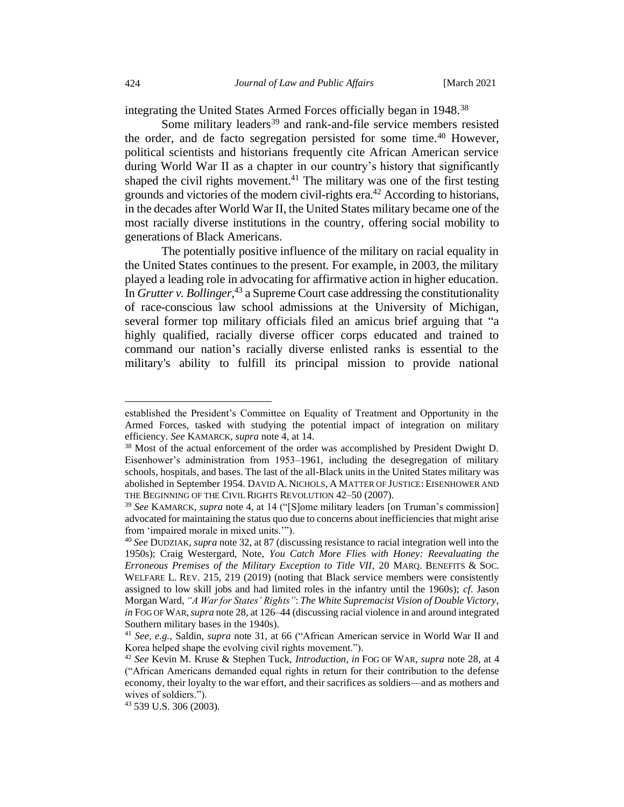integrating the United States Armed Forces officially began in 1948.<sup>38</sup>

<span id="page-11-0"></span>Some military leaders<sup>39</sup> and rank-and-file service members resisted the order, and de facto segregation persisted for some time. <sup>40</sup> However, political scientists and historians frequently cite African American service during World War II as a chapter in our country's history that significantly shaped the civil rights movement.<sup>41</sup> The military was one of the first testing grounds and victories of the modern civil-rights era.<sup>42</sup> According to historians, in the decades after World War II, the United States military became one of the most racially diverse institutions in the country, offering social mobility to generations of Black Americans.

The potentially positive influence of the military on racial equality in the United States continues to the present. For example, in 2003, the military played a leading role in advocating for affirmative action in higher education. In *Grutter v. Bollinger*, <sup>43</sup> a Supreme Court case addressing the constitutionality of race-conscious law school admissions at the University of Michigan, several former top military officials filed an amicus brief arguing that "a highly qualified, racially diverse officer corps educated and trained to command our nation's racially diverse enlisted ranks is essential to the military's ability to fulfill its principal mission to provide national

established the President's Committee on Equality of Treatment and Opportunity in the Armed Forces, tasked with studying the potential impact of integration on military efficiency. *See* KAMARCK, *supra* note [4,](#page-2-0) at 14.

<sup>&</sup>lt;sup>38</sup> Most of the actual enforcement of the order was accomplished by President Dwight D. Eisenhower's administration from 1953–1961, including the desegregation of military schools, hospitals, and bases. The last of the all-Black units in the United States military was abolished in September 1954. DAVID A. NICHOLS, A MATTER OF JUSTICE: EISENHOWER AND THE BEGINNING OF THE CIVIL RIGHTS REVOLUTION 42–50 (2007).

<sup>39</sup> *See* KAMARCK, *supra* note [4,](#page-2-0) at 14 ("[S]ome military leaders [on Truman's commission] advocated for maintaining the status quo due to concerns about inefficiencies that might arise from 'impaired morale in mixed units.'").

<sup>40</sup> *See* DUDZIAK, *supra* note 32, at 87 (discussing resistance to racial integration well into the 1950s); Craig Westergard, Note, *You Catch More Flies with Honey: Reevaluating the Erroneous Premises of the Military Exception to Title VII*, 20 MARQ. BENEFITS & SOC. WELFARE L. REV. 215, 219 (2019) (noting that Black service members were consistently assigned to low skill jobs and had limited roles in the infantry until the 1960s); *cf*. Jason Morgan Ward, *"A War for States' Rights"*: *The White Supremacist Vision of Double Victory*, *in* FOG OF WAR,*supra* not[e 28,](#page-9-1) at 126–44 (discussing racial violence in and around integrated Southern military bases in the 1940s).

<sup>41</sup> *See, e.g.*, Saldin, *supra* note 31, at 66 ("African American service in World War II and Korea helped shape the evolving civil rights movement.").

<sup>42</sup> *See* Kevin M. Kruse & Stephen Tuck, *Introduction*, *in* FOG OF WAR, *supra* note 28, at 4 ("African Americans demanded equal rights in return for their contribution to the defense economy, their loyalty to the war effort, and their sacrifices as soldiers—and as mothers and wives of soldiers.").

<sup>43</sup> 539 U.S. 306 (2003).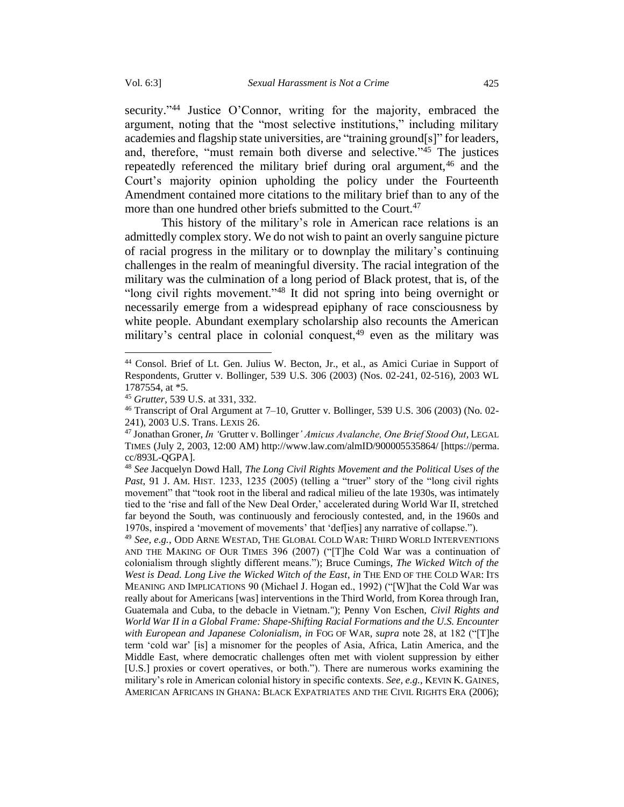security."<sup>44</sup> Justice O'Connor, writing for the majority, embraced the argument, noting that the "most selective institutions," including military academies and flagship state universities, are "training ground[s]" for leaders, and, therefore, "must remain both diverse and selective." <sup>45</sup> The justices repeatedly referenced the military brief during oral argument,<sup>46</sup> and the Court's majority opinion upholding the policy under the Fourteenth Amendment contained more citations to the military brief than to any of the more than one hundred other briefs submitted to the Court.<sup>47</sup>

This history of the military's role in American race relations is an admittedly complex story. We do not wish to paint an overly sanguine picture of racial progress in the military or to downplay the military's continuing challenges in the realm of meaningful diversity. The racial integration of the military was the culmination of a long period of Black protest, that is, of the "long civil rights movement."<sup>48</sup> It did not spring into being overnight or necessarily emerge from a widespread epiphany of race consciousness by white people. Abundant exemplary scholarship also recounts the American military's central place in colonial conquest,  $49$  even as the military was

<sup>49</sup> *See, e.g.*, ODD ARNE WESTAD, THE GLOBAL COLD WAR: THIRD WORLD INTERVENTIONS AND THE MAKING OF OUR TIMES 396 (2007) ("[T]he Cold War was a continuation of colonialism through slightly different means."); Bruce Cumings*, The Wicked Witch of the West is Dead. Long Live the Wicked Witch of the East, in* THE END OF THE COLD WAR: ITS MEANING AND IMPLICATIONS 90 (Michael J. Hogan ed., 1992) ("[W]hat the Cold War was really about for Americans [was] interventions in the Third World, from Korea through Iran, Guatemala and Cuba, to the debacle in Vietnam."); Penny Von Eschen, *Civil Rights and World War II in a Global Frame: Shape-Shifting Racial Formations and the U.S. Encounter with European and Japanese Colonialism*, *in* FOG OF WAR, *supra* note 28, at 182 ("[T]he term 'cold war' [is] a misnomer for the peoples of Asia, Africa, Latin America, and the Middle East, where democratic challenges often met with violent suppression by either [U.S.] proxies or covert operatives, or both."). There are numerous works examining the military's role in American colonial history in specific contexts. *See, e.g.*, KEVIN K. GAINES, AMERICAN AFRICANS IN GHANA: BLACK EXPATRIATES AND THE CIVIL RIGHTS ERA (2006);

<sup>44</sup> Consol. Brief of Lt. Gen. Julius W. Becton, Jr., et al., as Amici Curiae in Support of Respondents, Grutter v. Bollinger, 539 U.S. 306 (2003) (Nos. 02-241, 02-516), 2003 WL 1787554, at \*5.

<sup>45</sup> *Grutter*, 539 U.S. at 331, 332.

 $46$  Transcript of Oral Argument at 7–10, Grutter v. Bollinger, 539 U.S. 306 (2003) (No. 02-241), 2003 U.S. Trans. LEXIS 26.

<sup>47</sup> Jonathan Groner, *In '*Grutter v. Bollinger*' Amicus Avalanche, One Brief Stood Out*, LEGAL TIMES (July 2, 2003, 12:00 AM) http://www.law.com/almID/900005535864/ [https://perma. cc/893L-QGPA].

<sup>48</sup> *See* Jacquelyn Dowd Hall, *The Long Civil Rights Movement and the Political Uses of the Past*, 91 J. AM. HIST. 1233, 1235 (2005) (telling a "truer" story of the "long civil rights movement" that "took root in the liberal and radical milieu of the late 1930s, was intimately tied to the 'rise and fall of the New Deal Order,' accelerated during World War II, stretched far beyond the South, was continuously and ferociously contested, and, in the 1960s and 1970s, inspired a 'movement of movements' that 'def[ies] any narrative of collapse.").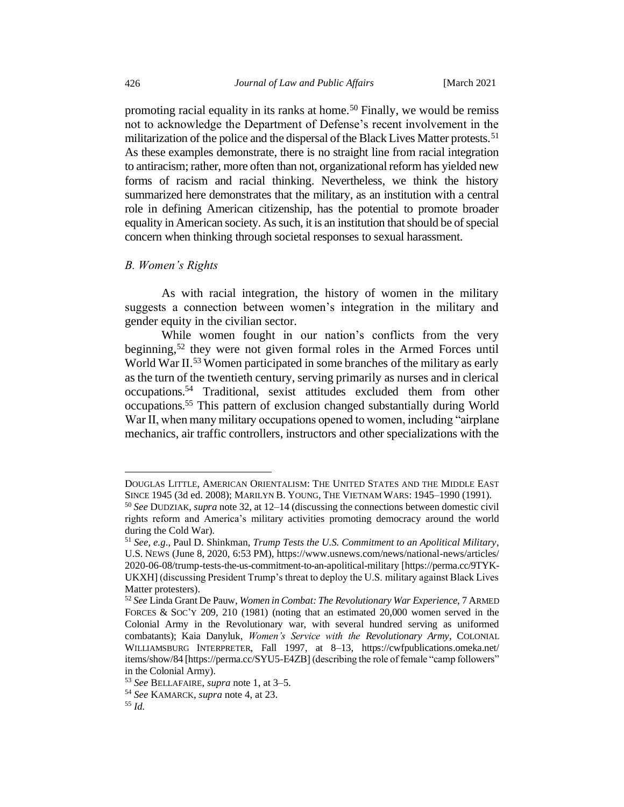promoting racial equality in its ranks at home.<sup>50</sup> Finally, we would be remiss not to acknowledge the Department of Defense's recent involvement in the militarization of the police and the dispersal of the Black Lives Matter protests.<sup>51</sup> As these examples demonstrate, there is no straight line from racial integration to antiracism; rather, more often than not, organizational reform has yielded new forms of racism and racial thinking. Nevertheless, we think the history summarized here demonstrates that the military, as an institution with a central role in defining American citizenship, has the potential to promote broader equality in American society. As such, it is an institution that should be of special concern when thinking through societal responses to sexual harassment.

#### <span id="page-13-0"></span>*B. Women's Rights*

As with racial integration, the history of women in the military suggests a connection between women's integration in the military and gender equity in the civilian sector.

While women fought in our nation's conflicts from the very beginning,<sup>52</sup> they were not given formal roles in the Armed Forces until World War II.<sup>53</sup> Women participated in some branches of the military as early as the turn of the twentieth century, serving primarily as nurses and in clerical occupations.<sup>54</sup> Traditional, sexist attitudes excluded them from other occupations.<sup>55</sup> This pattern of exclusion changed substantially during World War II, when many military occupations opened to women, including "airplane mechanics, air traffic controllers, instructors and other specializations with the

DOUGLAS LITTLE, AMERICAN ORIENTALISM: THE UNITED STATES AND THE MIDDLE EAST SINCE 1945 (3d ed. 2008); MARILYN B. YOUNG, THE VIETNAM WARS: 1945–1990 (1991).

<sup>50</sup> *See* DUDZIAK, *supra* note 32, at 12–14 (discussing the connections between domestic civil rights reform and America's military activities promoting democracy around the world during the Cold War).

<sup>51</sup> *See, e.g*., Paul D. Shinkman, *Trump Tests the U.S. Commitment to an Apolitical Military*, U.S. NEWS (June 8, 2020, 6:53 PM), https://www.usnews.com/news/national-news/articles/ 2020-06-08/trump-tests-the-us-commitment-to-an-apolitical-military [https://perma.cc/9TYK-UKXH] (discussing President Trump's threat to deploy the U.S. military against Black Lives Matter protesters).

<sup>52</sup> *See* Linda Grant De Pauw, *Women in Combat: The Revolutionary War Experience*, 7 ARMED FORCES & SOC'Y 209, 210 (1981) (noting that an estimated 20,000 women served in the Colonial Army in the Revolutionary war, with several hundred serving as uniformed combatants); Kaia Danyluk, *Women's Service with the Revolutionary Army*, COLONIAL WILLIAMSBURG INTERPRETER, Fall 1997, at 8–13, https://cwfpublications.omeka.net/ items/show/84 [https://perma.cc/SYU5-E4ZB] (describing the role of female "camp followers" in the Colonial Army).

<sup>53</sup> *See* BELLAFAIRE, *supra* note [1,](#page-1-2) at 3–5.

<sup>54</sup> *See* KAMARCK, *supra* note [4,](#page-2-0) at 23.

<sup>55</sup> *Id.*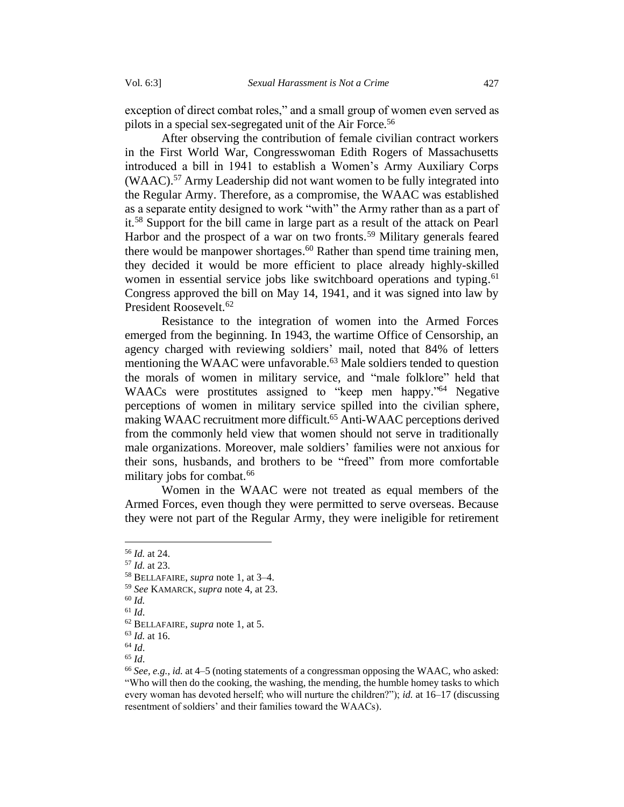exception of direct combat roles," and a small group of women even served as pilots in a special sex-segregated unit of the Air Force.<sup>56</sup>

After observing the contribution of female civilian contract workers in the First World War, Congresswoman Edith Rogers of Massachusetts introduced a bill in 1941 to establish a Women's Army Auxiliary Corps (WAAC).<sup>57</sup> Army Leadership did not want women to be fully integrated into the Regular Army. Therefore, as a compromise, the WAAC was established as a separate entity designed to work "with" the Army rather than as a part of it.<sup>58</sup> Support for the bill came in large part as a result of the attack on Pearl Harbor and the prospect of a war on two fronts.<sup>59</sup> Military generals feared there would be manpower shortages. <sup>60</sup> Rather than spend time training men, they decided it would be more efficient to place already highly-skilled women in essential service jobs like switchboard operations and typing.<sup>61</sup> Congress approved the bill on May 14, 1941, and it was signed into law by President Roosevelt.<sup>62</sup>

Resistance to the integration of women into the Armed Forces emerged from the beginning. In 1943, the wartime Office of Censorship, an agency charged with reviewing soldiers' mail, noted that 84% of letters mentioning the WAAC were unfavorable.<sup>63</sup> Male soldiers tended to question the morals of women in military service, and "male folklore" held that WAACs were prostitutes assigned to "keep men happy."<sup>64</sup> Negative perceptions of women in military service spilled into the civilian sphere, making WAAC recruitment more difficult. <sup>65</sup> Anti-WAAC perceptions derived from the commonly held view that women should not serve in traditionally male organizations. Moreover, male soldiers' families were not anxious for their sons, husbands, and brothers to be "freed" from more comfortable military jobs for combat. 66

Women in the WAAC were not treated as equal members of the Armed Forces, even though they were permitted to serve overseas. Because they were not part of the Regular Army, they were ineligible for retirement

<sup>56</sup> *Id.* at 24.

<sup>57</sup> *Id.* at 23.

<sup>58</sup> BELLAFAIRE, *supra* not[e 1,](#page-1-2) at 3–4.

<sup>59</sup> *See* KAMARCK, *supra* note [4,](#page-2-0) at 23.

<sup>60</sup> *Id.*

<sup>61</sup> *Id*.

<sup>62</sup> BELLAFAIRE, *supra* not[e 1,](#page-1-2) at 5.

<sup>63</sup> *Id.* at 16.

<sup>64</sup> *Id*.

<sup>65</sup> *Id*.

<sup>66</sup> *See, e.g.*, *id.* at 4–5 (noting statements of a congressman opposing the WAAC, who asked: "Who will then do the cooking, the washing, the mending, the humble homey tasks to which every woman has devoted herself; who will nurture the children?"); *id.* at 16–17 (discussing resentment of soldiers' and their families toward the WAACs).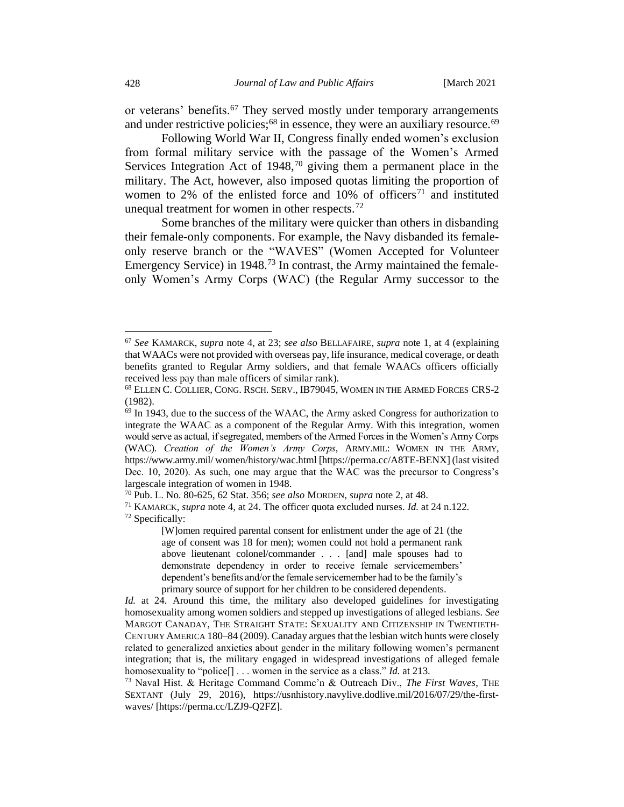or veterans' benefits.<sup>67</sup> They served mostly under temporary arrangements and under restrictive policies; $68$  in essence, they were an auxiliary resource.  $69$ 

Following World War II, Congress finally ended women's exclusion from formal military service with the passage of the Women's Armed Services Integration Act of  $1948$ ,<sup>70</sup> giving them a permanent place in the military. The Act, however, also imposed quotas limiting the proportion of women to 2% of the enlisted force and  $10%$  of officers<sup>71</sup> and instituted unequal treatment for women in other respects.<sup>72</sup>

Some branches of the military were quicker than others in disbanding their female-only components. For example, the Navy disbanded its femaleonly reserve branch or the "WAVES" (Women Accepted for Volunteer Emergency Service) in 1948.<sup>73</sup> In contrast, the Army maintained the femaleonly Women's Army Corps (WAC) (the Regular Army successor to the

<sup>67</sup> *See* KAMARCK, *supra* note [4,](#page-2-0) at 23; *see also* BELLAFAIRE, *supra* note [1,](#page-1-2) at 4 (explaining that WAACs were not provided with overseas pay, life insurance, medical coverage, or death benefits granted to Regular Army soldiers, and that female WAACs officers officially received less pay than male officers of similar rank).

<sup>68</sup> ELLEN C. COLLIER, CONG. RSCH.SERV., IB79045, WOMEN IN THE ARMED FORCES CRS-2 (1982).

 $69$  In 1943, due to the success of the WAAC, the Army asked Congress for authorization to integrate the WAAC as a component of the Regular Army. With this integration, women would serve as actual, if segregated, members of the Armed Forces in the Women's Army Corps (WAC). *Creation of the Women's Army Corps*, ARMY.MIL: WOMEN IN THE ARMY, https://www.army.mil/ women/history/wac.html [https://perma.cc/A8TE-BENX] (last visited Dec. 10, 2020). As such, one may argue that the WAC was the precursor to Congress's largescale integration of women in 1948.

<sup>70</sup> Pub. L. No. 80-625, 62 Stat. 356; *see also* MORDEN, *supra* note [2,](#page-1-3) at 48.

<sup>71</sup> KAMARCK, *supra* not[e 4,](#page-2-0) at 24. The officer quota excluded nurses. *Id.* at 24 n.122. <sup>72</sup> Specifically:

<sup>[</sup>W]omen required parental consent for enlistment under the age of 21 (the age of consent was 18 for men); women could not hold a permanent rank above lieutenant colonel/commander . . . [and] male spouses had to demonstrate dependency in order to receive female servicemembers' dependent's benefits and/or the female servicemember had to be the family's primary source of support for her children to be considered dependents.

*Id.* at 24. Around this time, the military also developed guidelines for investigating homosexuality among women soldiers and stepped up investigations of alleged lesbians. *See*  MARGOT CANADAY, THE STRAIGHT STATE: SEXUALITY AND CITIZENSHIP IN TWENTIETH-CENTURY AMERICA 180–84 (2009). Canaday argues that the lesbian witch hunts were closely related to generalized anxieties about gender in the military following women's permanent integration; that is, the military engaged in widespread investigations of alleged female homosexuality to "police[] . . . women in the service as a class." *Id.* at 213.

<sup>73</sup> Naval Hist. & Heritage Command Commc'n & Outreach Div., *The First Waves*, THE SEXTANT (July 29, 2016), https://usnhistory.navylive.dodlive.mil/2016/07/29/the-firstwaves/ [https://perma.cc/LZJ9-Q2FZ].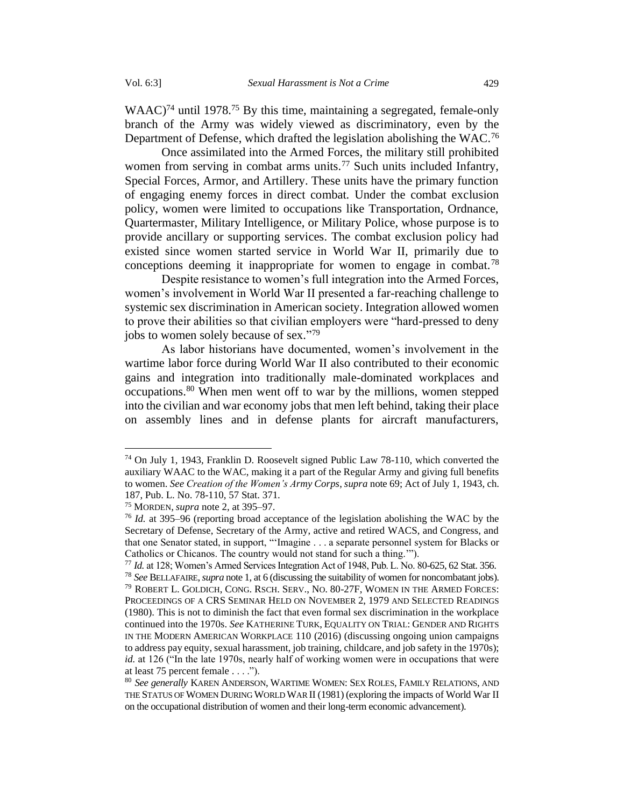WAAC)<sup>74</sup> until 1978.<sup>75</sup> By this time, maintaining a segregated, female-only branch of the Army was widely viewed as discriminatory, even by the Department of Defense, which drafted the legislation abolishing the WAC.<sup>76</sup>

Once assimilated into the Armed Forces, the military still prohibited women from serving in combat arms units.<sup>77</sup> Such units included Infantry, Special Forces, Armor, and Artillery. These units have the primary function of engaging enemy forces in direct combat. Under the combat exclusion policy, women were limited to occupations like Transportation, Ordnance, Quartermaster, Military Intelligence, or Military Police, whose purpose is to provide ancillary or supporting services. The combat exclusion policy had existed since women started service in World War II, primarily due to conceptions deeming it inappropriate for women to engage in combat.<sup>78</sup>

Despite resistance to women's full integration into the Armed Forces, women's involvement in World War II presented a far-reaching challenge to systemic sex discrimination in American society. Integration allowed women to prove their abilities so that civilian employers were "hard-pressed to deny jobs to women solely because of sex."79

As labor historians have documented, women's involvement in the wartime labor force during World War II also contributed to their economic gains and integration into traditionally male-dominated workplaces and occupations.<sup>80</sup> When men went off to war by the millions, women stepped into the civilian and war economy jobs that men left behind, taking their place on assembly lines and in defense plants for aircraft manufacturers,

<sup>74</sup> On July 1, 1943, Franklin D. Roosevelt signed Public Law 78-110, which converted the auxiliary WAAC to the WAC, making it a part of the Regular Army and giving full benefits to women. *See Creation of the Women's Army Corps*, *supra* note 69; Act of July 1, 1943, ch. 187, Pub. L. No. 78-110, 57 Stat. 371.

<sup>75</sup> MORDEN, *supra* not[e 2,](#page-1-3) at 395–97.

<sup>76</sup> *Id.* at 395–96 (reporting broad acceptance of the legislation abolishing the WAC by the Secretary of Defense, Secretary of the Army, active and retired WACS, and Congress, and that one Senator stated, in support, "'Imagine . . . a separate personnel system for Blacks or Catholics or Chicanos. The country would not stand for such a thing.'").

<sup>77</sup> *Id.* at 128; Women's Armed Services Integration Act of 1948, Pub. L. No. 80-625, 62 Stat. 356. <sup>78</sup> *See* BELLAFAIRE, *supra* not[e 1,](#page-1-2) at 6 (discussing the suitability of women for noncombatant jobs). <sup>79</sup> ROBERT L. GOLDICH, CONG. RSCH. SERV., NO. 80-27F, WOMEN IN THE ARMED FORCES: PROCEEDINGS OF A CRS SEMINAR HELD ON NOVEMBER 2, 1979 AND SELECTED READINGS (1980). This is not to diminish the fact that even formal sex discrimination in the workplace continued into the 1970s. *See* KATHERINE TURK, EQUALITY ON TRIAL: GENDER AND RIGHTS IN THE MODERN AMERICAN WORKPLACE 110 (2016) (discussing ongoing union campaigns to address pay equity, sexual harassment, job training, childcare, and job safety in the 1970s); *id.* at 126 ("In the late 1970s, nearly half of working women were in occupations that were at least 75 percent female . . . .").

<sup>80</sup> *See generally* KAREN ANDERSON, WARTIME WOMEN: SEX ROLES,FAMILY RELATIONS, AND THE STATUS OF WOMEN DURING WORLD WAR II (1981) (exploring the impacts of World War II on the occupational distribution of women and their long-term economic advancement).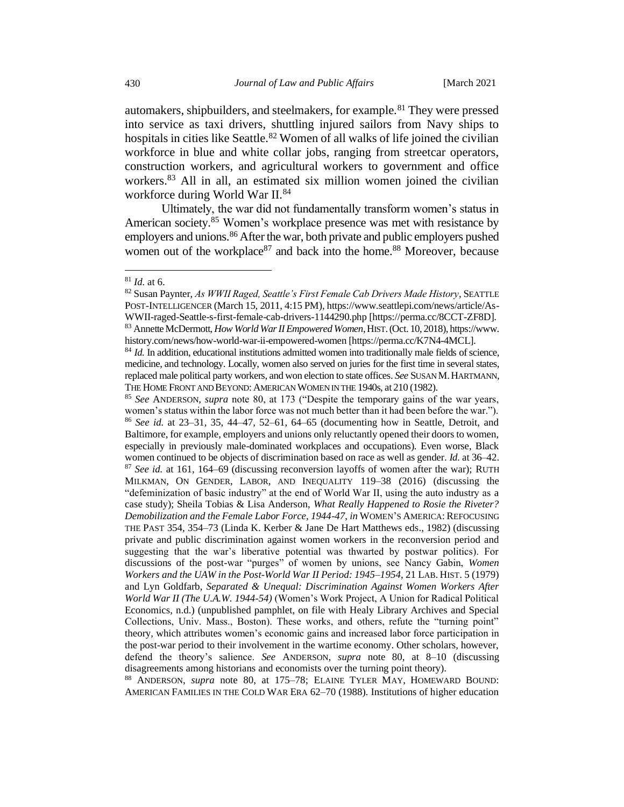automakers, shipbuilders, and steelmakers, for example.<sup>81</sup> They were pressed into service as taxi drivers, shuttling injured sailors from Navy ships to hospitals in cities like Seattle.<sup>82</sup> Women of all walks of life joined the civilian workforce in blue and white collar jobs, ranging from streetcar operators, construction workers, and agricultural workers to government and office workers.<sup>83</sup> All in all, an estimated six million women joined the civilian workforce during World War II.<sup>84</sup>

Ultimately, the war did not fundamentally transform women's status in American society.<sup>85</sup> Women's workplace presence was met with resistance by employers and unions.<sup>86</sup> After the war, both private and public employers pushed women out of the workplace<sup>87</sup> and back into the home.<sup>88</sup> Moreover, because

<sup>88</sup> ANDERSON, *supra* note 80, at 175–78; ELAINE TYLER MAY, HOMEWARD BOUND: AMERICAN FAMILIES IN THE COLD WAR ERA 62–70 (1988). Institutions of higher education

<sup>81</sup> *Id.* at 6.

<sup>82</sup> Susan Paynter, *As WWII Raged, Seattle's First Female Cab Drivers Made History*, SEATTLE POST-INTELLIGENCER (March 15, 2011, 4:15 PM), https://www.seattlepi.com/news/article/As-WWII-raged-Seattle-s-first-female-cab-drivers-1144290.php [https://perma.cc/8CCT-ZF8D]. <sup>83</sup> Annette McDermott, *How World War II Empowered Women*, HIST.(Oct. 10, 2018), https://www. history.com/news/how-world-war-ii-empowered-women [https://perma.cc/K7N4-4MCL].

<sup>&</sup>lt;sup>84</sup> *Id.* In addition, educational institutions admitted women into traditionally male fields of science, medicine, and technology. Locally, women also served on juries for the first time in several states, replaced male political party workers, and won election to state offices. *See* SUSAN M. HARTMANN, THE HOME FRONT AND BEYOND: AMERICAN WOMEN IN THE 1940s, at 210 (1982).

<sup>85</sup> *See* ANDERSON, *supra* note 80, at 173 ("Despite the temporary gains of the war years, women's status within the labor force was not much better than it had been before the war."). <sup>86</sup> *See id.* at 23–31, 35, 44–47, 52–61, 64–65 (documenting how in Seattle, Detroit, and Baltimore, for example, employers and unions only reluctantly opened their doors to women, especially in previously male-dominated workplaces and occupations). Even worse, Black women continued to be objects of discrimination based on race as well as gender. *Id.* at 36–42. <sup>87</sup> *See id.* at 161, 164–69 (discussing reconversion layoffs of women after the war); RUTH MILKMAN, ON GENDER, LABOR, AND INEQUALITY 119–38 (2016) (discussing the "defeminization of basic industry" at the end of World War II, using the auto industry as a case study); Sheila Tobias & Lisa Anderson, *What Really Happened to Rosie the Riveter? Demobilization and the Female Labor Force, 1944-47*, *in* WOMEN'S AMERICA: REFOCUSING THE PAST 354, 354–73 (Linda K. Kerber & Jane De Hart Matthews eds., 1982) (discussing private and public discrimination against women workers in the reconversion period and suggesting that the war's liberative potential was thwarted by postwar politics). For discussions of the post-war "purges" of women by unions, see Nancy Gabin, *Women Workers and the UAW in the Post-World War II Period: 1945–1954*, 21 LAB. HIST. 5 (1979) and Lyn Goldfarb*, Separated & Unequal: Discrimination Against Women Workers After World War II (The U.A.W. 1944-54)* (Women's Work Project, A Union for Radical Political Economics, n.d.) (unpublished pamphlet, on file with Healy Library Archives and Special Collections, Univ. Mass., Boston). These works, and others, refute the "turning point" theory, which attributes women's economic gains and increased labor force participation in the post-war period to their involvement in the wartime economy. Other scholars, however, defend the theory's salience. *See* ANDERSON, *supra* note 80, at 8–10 (discussing disagreements among historians and economists over the turning point theory).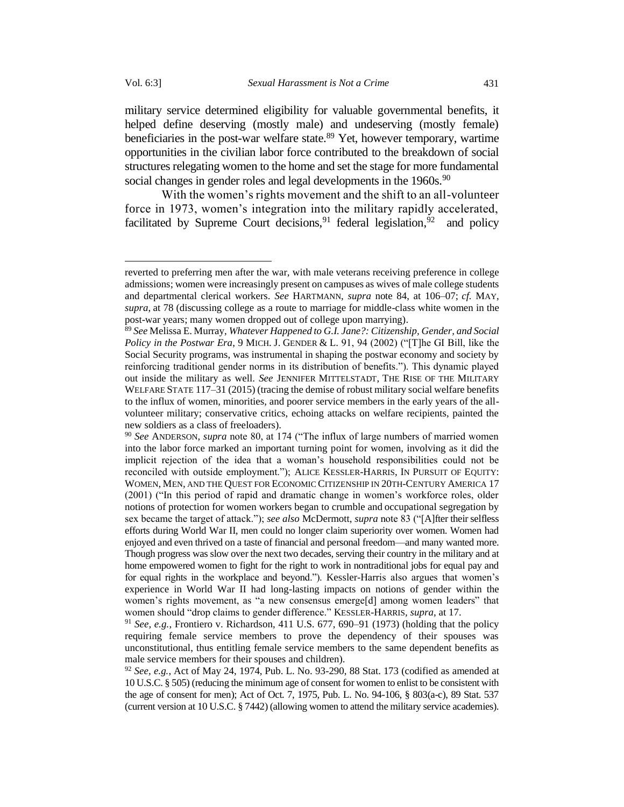military service determined eligibility for valuable governmental benefits, it helped define deserving (mostly male) and undeserving (mostly female) beneficiaries in the post-war welfare state. $89$  Yet, however temporary, wartime opportunities in the civilian labor force contributed to the breakdown of social structures relegating women to the home and set the stage for more fundamental social changes in gender roles and legal developments in the 1960s.<sup>90</sup>

With the women's rights movement and the shift to an all-volunteer force in 1973, women's integration into the military rapidly accelerated, facilitated by Supreme Court decisions, <sup>91</sup> federal legislation, <sup>92</sup> and policy

reverted to preferring men after the war, with male veterans receiving preference in college admissions; women were increasingly present on campuses as wives of male college students and departmental clerical workers. *See* HARTMANN, *supra* note 84, at 106–07; *cf.* MAY, *supra*, at 78 (discussing college as a route to marriage for middle-class white women in the post-war years; many women dropped out of college upon marrying).

<sup>89</sup> *See* Melissa E. Murray, *Whatever Happened to G.I. Jane?: Citizenship, Gender, and Social Policy in the Postwar Era*, 9 MICH. J. GENDER & L. 91, 94 (2002) ("[T]he GI Bill, like the Social Security programs, was instrumental in shaping the postwar economy and society by reinforcing traditional gender norms in its distribution of benefits."). This dynamic played out inside the military as well. *See* JENNIFER MITTELSTADT, THE RISE OF THE MILITARY WELFARE STATE 117–31 (2015) (tracing the demise of robust military social welfare benefits to the influx of women, minorities, and poorer service members in the early years of the allvolunteer military; conservative critics, echoing attacks on welfare recipients, painted the new soldiers as a class of freeloaders).

<sup>90</sup> *See* ANDERSON, *supra* note 80, at 174 ("The influx of large numbers of married women into the labor force marked an important turning point for women, involving as it did the implicit rejection of the idea that a woman's household responsibilities could not be reconciled with outside employment."); ALICE KESSLER-HARRIS, IN PURSUIT OF EQUITY: WOMEN, MEN, AND THE QUEST FOR ECONOMIC CITIZENSHIP IN 20TH-CENTURY AMERICA 17 (2001) ("In this period of rapid and dramatic change in women's workforce roles, older notions of protection for women workers began to crumble and occupational segregation by sex became the target of attack."); *see also* McDermott, *supra* note 83 ("[A]fter their selfless efforts during World War II, men could no longer claim superiority over women. Women had enjoyed and even thrived on a taste of financial and personal freedom—and many wanted more. Though progress was slow over the next two decades, serving their country in the military and at home empowered women to fight for the right to work in nontraditional jobs for equal pay and for equal rights in the workplace and beyond."). Kessler-Harris also argues that women's experience in World War II had long-lasting impacts on notions of gender within the women's rights movement, as "a new consensus emerge[d] among women leaders" that women should "drop claims to gender difference." KESSLER-HARRIS*, supra*, at 17.

<sup>&</sup>lt;sup>91</sup> *See, e.g.*, Frontiero v. Richardson, 411 U.S. 677, 690–91 (1973) (holding that the policy requiring female service members to prove the dependency of their spouses was unconstitutional, thus entitling female service members to the same dependent benefits as male service members for their spouses and children).

<sup>92</sup> *See, e.g.*, Act of May 24, 1974, Pub. L. No. 93-290, 88 Stat. 173 (codified as amended at 10 U.S.C. § 505) (reducing the minimum age of consent for women to enlist to be consistent with the age of consent for men); Act of Oct. 7, 1975, Pub. L. No. 94-106, § 803(a-c), 89 Stat. 537 (current version at 10 U.S.C. § 7442) (allowing women to attend the military service academies).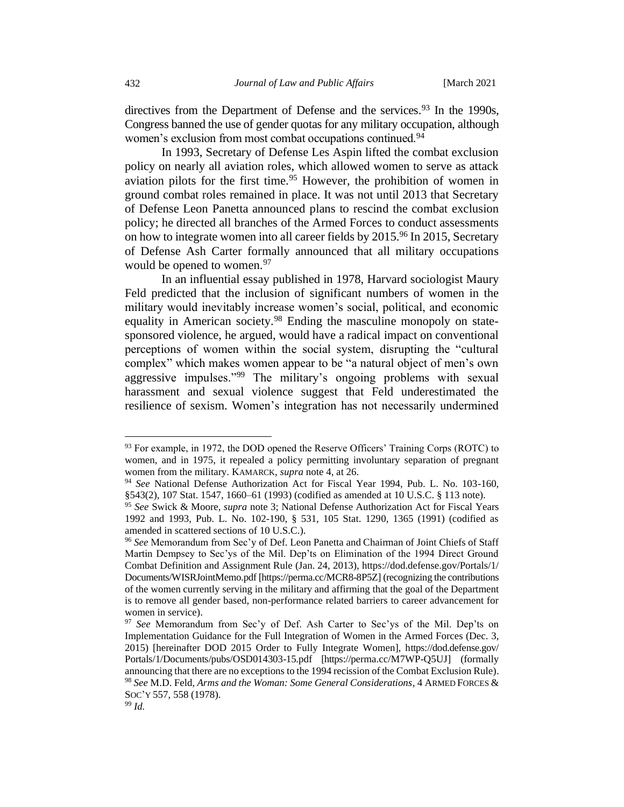directives from the Department of Defense and the services.<sup>93</sup> In the 1990s, Congress banned the use of gender quotas for any military occupation, although women's exclusion from most combat occupations continued.<sup>94</sup>

In 1993, Secretary of Defense Les Aspin lifted the combat exclusion policy on nearly all aviation roles, which allowed women to serve as attack aviation pilots for the first time.<sup>95</sup> However, the prohibition of women in ground combat roles remained in place. It was not until 2013 that Secretary of Defense Leon Panetta announced plans to rescind the combat exclusion policy; he directed all branches of the Armed Forces to conduct assessments on how to integrate women into all career fields by 2015.<sup>96</sup> In 2015, Secretary of Defense Ash Carter formally announced that all military occupations would be opened to women.<sup>97</sup>

In an influential essay published in 1978, Harvard sociologist Maury Feld predicted that the inclusion of significant numbers of women in the military would inevitably increase women's social, political, and economic equality in American society.<sup>98</sup> Ending the masculine monopoly on statesponsored violence, he argued, would have a radical impact on conventional perceptions of women within the social system, disrupting the "cultural complex" which makes women appear to be "a natural object of men's own aggressive impulses."<sup>99</sup> The military's ongoing problems with sexual harassment and sexual violence suggest that Feld underestimated the resilience of sexism. Women's integration has not necessarily undermined

<sup>&</sup>lt;sup>93</sup> For example, in 1972, the DOD opened the Reserve Officers' Training Corps (ROTC) to women, and in 1975, it repealed a policy permitting involuntary separation of pregnant women from the military. KAMARCK, *supra* note [4,](#page-2-0) at 26.

<sup>94</sup> *See* National Defense Authorization Act for Fiscal Year 1994, Pub. L. No. 103-160, §543(2), 107 Stat. 1547, 1660–61 (1993) (codified as amended at 10 U.S.C. § 113 note).

<sup>95</sup> *See* Swick & Moore, *supra* note [3;](#page-1-1) National Defense Authorization Act for Fiscal Years 1992 and 1993, Pub. L. No. 102-190, § 531, 105 Stat. 1290, 1365 (1991) (codified as amended in scattered sections of 10 U.S.C.).

<sup>96</sup> *See* Memorandum from Sec'y of Def. Leon Panetta and Chairman of Joint Chiefs of Staff Martin Dempsey to Sec'ys of the Mil. Dep'ts on Elimination of the 1994 Direct Ground Combat Definition and Assignment Rule (Jan. 24, 2013), https://dod.defense.gov/Portals/1/ Documents/WISRJointMemo.pdf [https://perma.cc/MCR8-8P5Z] (recognizing the contributions of the women currently serving in the military and affirming that the goal of the Department is to remove all gender based, non-performance related barriers to career advancement for women in service).

<sup>97</sup> *See* Memorandum from Sec'y of Def. Ash Carter to Sec'ys of the Mil. Dep'ts on Implementation Guidance for the Full Integration of Women in the Armed Forces (Dec. 3, 2015) [hereinafter DOD 2015 Order to Fully Integrate Women], https://dod.defense.gov/ Portals/1/Documents/pubs/OSD014303-15.pdf [https://perma.cc/M7WP-Q5UJ] (formally announcing that there are no exceptions to the 1994 recission of the Combat Exclusion Rule). <sup>98</sup> *See* M.D. Feld, *Arms and the Woman: Some General Considerations*, 4 ARMED FORCES & SOC'Y 557, 558 (1978).

<sup>99</sup> *Id.*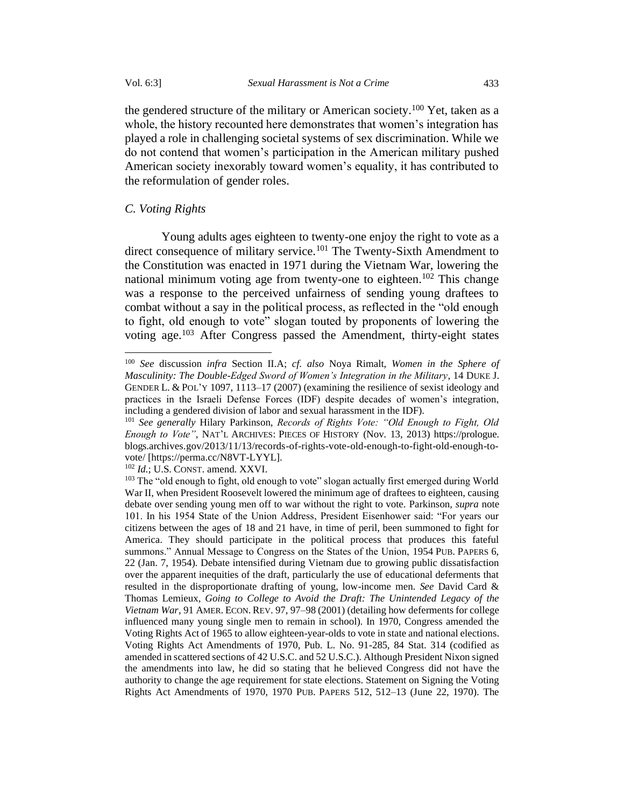the gendered structure of the military or American society.<sup>100</sup> Yet, taken as a whole, the history recounted here demonstrates that women's integration has played a role in challenging societal systems of sex discrimination. While we do not contend that women's participation in the American military pushed American society inexorably toward women's equality, it has contributed to the reformulation of gender roles.

#### <span id="page-20-0"></span>*C. Voting Rights*

Young adults ages eighteen to twenty-one enjoy the right to vote as a direct consequence of military service.<sup>101</sup> The Twenty-Sixth Amendment to the Constitution was enacted in 1971 during the Vietnam War, lowering the national minimum voting age from twenty-one to eighteen. <sup>102</sup> This change was a response to the perceived unfairness of sending young draftees to combat without a say in the political process, as reflected in the "old enough to fight, old enough to vote" slogan touted by proponents of lowering the voting age. <sup>103</sup> After Congress passed the Amendment, thirty-eight states

<sup>102</sup> *Id.*; U.S. CONST. amend. XXVI.

<sup>100</sup> *See* discussion *infra* Section II.A; *cf. also* Noya Rimalt, *Women in the Sphere of Masculinity: The Double-Edged Sword of Women's Integration in the Military*, 14 DUKE J. GENDER L. & POL'Y 1097, 1113–17 (2007) (examining the resilience of sexist ideology and practices in the Israeli Defense Forces (IDF) despite decades of women's integration, including a gendered division of labor and sexual harassment in the IDF).

<sup>101</sup> *See generally* Hilary Parkinson, *Records of Rights Vote: "Old Enough to Fight, Old Enough to Vote"*, NAT'L ARCHIVES: PIECES OF HISTORY (Nov. 13, 2013) https://prologue. blogs.archives.gov/2013/11/13/records-of-rights-vote-old-enough-to-fight-old-enough-tovote/ [https://perma.cc/N8VT-LYYL].

<sup>&</sup>lt;sup>103</sup> The "old enough to fight, old enough to vote" slogan actually first emerged during World War II, when President Roosevelt lowered the minimum age of draftees to eighteen, causing debate over sending young men off to war without the right to vote. Parkinson, *supra* note 101. In his 1954 State of the Union Address, President Eisenhower said: "For years our citizens between the ages of 18 and 21 have, in time of peril, been summoned to fight for America. They should participate in the political process that produces this fateful summons." Annual Message to Congress on the States of the Union, 1954 PUB. PAPERS 6, 22 (Jan. 7, 1954). Debate intensified during Vietnam due to growing public dissatisfaction over the apparent inequities of the draft, particularly the use of educational deferments that resulted in the disproportionate drafting of young, low-income men. *See* David Card & Thomas Lemieux, *Going to College to Avoid the Draft: The Unintended Legacy of the Vietnam War*, 91 AMER. ECON. REV. 97, 97–98 (2001) (detailing how deferments for college influenced many young single men to remain in school). In 1970, Congress amended the Voting Rights Act of 1965 to allow eighteen-year-olds to vote in state and national elections. Voting Rights Act Amendments of 1970, Pub. L. No. 91-285, 84 Stat. 314 (codified as amended in scattered sections of 42 U.S.C. and 52 U.S.C.). Although President Nixon signed the amendments into law, he did so stating that he believed Congress did not have the authority to change the age requirement for state elections. Statement on Signing the Voting Rights Act Amendments of 1970, 1970 PUB. PAPERS 512, 512–13 (June 22, 1970). The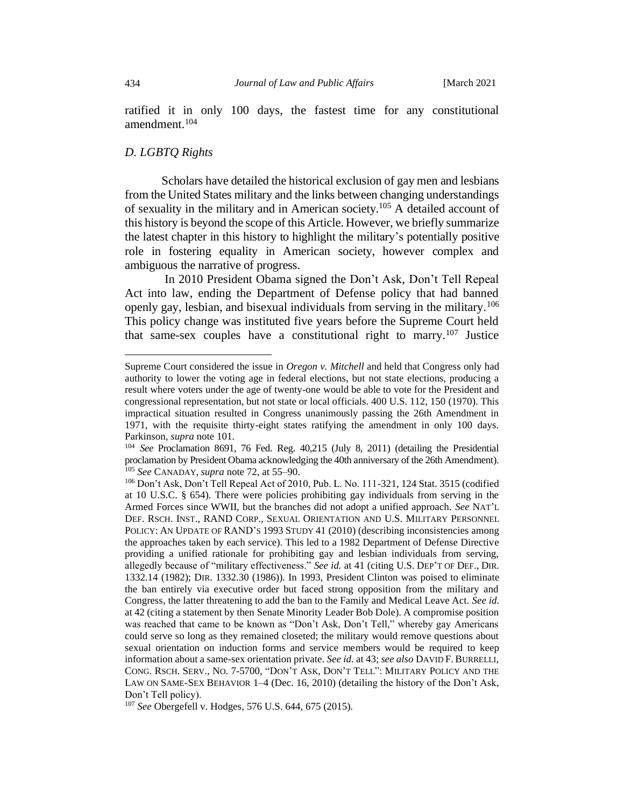ratified it in only 100 days, the fastest time for any constitutional amendment.<sup>104</sup>

## <span id="page-21-0"></span>*D. LGBTQ Rights*

Scholars have detailed the historical exclusion of gay men and lesbians from the United States military and the links between changing understandings of sexuality in the military and in American society.<sup>105</sup> A detailed account of this history is beyond the scope of this Article. However, we briefly summarize the latest chapter in this history to highlight the military's potentially positive role in fostering equality in American society, however complex and ambiguous the narrative of progress.

In 2010 President Obama signed the Don't Ask, Don't Tell Repeal Act into law, ending the Department of Defense policy that had banned openly gay, lesbian, and bisexual individuals from serving in the military.<sup>106</sup> This policy change was instituted five years before the Supreme Court held that same-sex couples have a constitutional right to marry.<sup>107</sup> Justice

Supreme Court considered the issue in *Oregon v. Mitchell* and held that Congress only had authority to lower the voting age in federal elections, but not state elections, producing a result where voters under the age of twenty-one would be able to vote for the President and congressional representation, but not state or local officials. 400 U.S. 112, 150 (1970). This impractical situation resulted in Congress unanimously passing the 26th Amendment in 1971, with the requisite thirty-eight states ratifying the amendment in only 100 days. Parkinson, *supra* note 101.

<sup>104</sup> *See* Proclamation 8691, 76 Fed. Reg. 40,215 (July 8, 2011) (detailing the Presidential proclamation by President Obama acknowledging the 40th anniversary of the 26th Amendment). <sup>105</sup> *See* CANADAY, *supra* note 72, at 55–90.

<sup>106</sup> Don't Ask, Don't Tell Repeal Act of 2010, Pub. L. No. 111-321, 124 Stat. 3515 (codified at 10 U.S.C. § 654). There were policies prohibiting gay individuals from serving in the Armed Forces since WWII, but the branches did not adopt a unified approach. *See* NAT'L DEF. RSCH. INST., RAND CORP., SEXUAL ORIENTATION AND U.S. MILITARY PERSONNEL POLICY: AN UPDATE OF RAND'S 1993 STUDY 41 (2010) (describing inconsistencies among the approaches taken by each service). This led to a 1982 Department of Defense Directive providing a unified rationale for prohibiting gay and lesbian individuals from serving, allegedly because of "military effectiveness." *See id.* at 41 (citing U.S. DEP'T OF DEF., DIR. 1332.14 (1982); DIR. 1332.30 (1986)). In 1993, President Clinton was poised to eliminate the ban entirely via executive order but faced strong opposition from the military and Congress, the latter threatening to add the ban to the Family and Medical Leave Act. *See id.* at 42 (citing a statement by then Senate Minority Leader Bob Dole). A compromise position was reached that came to be known as "Don't Ask, Don't Tell," whereby gay Americans could serve so long as they remained closeted; the military would remove questions about sexual orientation on induction forms and service members would be required to keep information about a same-sex orientation private. *See id*. at 43; *see also* DAVID F. BURRELLI, CONG. RSCH. SERV., NO. 7-5700, "DON'T ASK, DON'T TELL": MILITARY POLICY AND THE LAW ON SAME-SEX BEHAVIOR 1–4 (Dec. 16, 2010) (detailing the history of the Don't Ask, Don't Tell policy).

<sup>107</sup> *See* Obergefell v. Hodges, 576 U.S. 644, 675 (2015).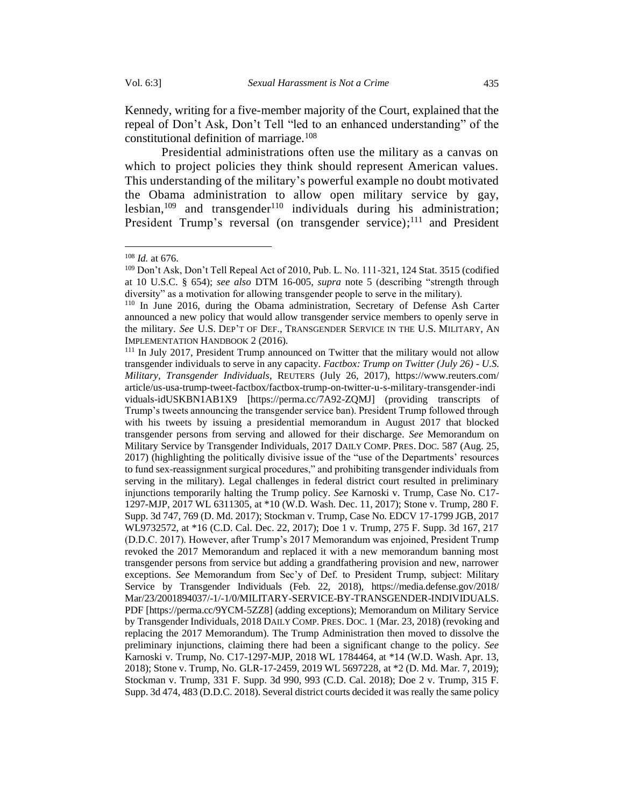Kennedy, writing for a five-member majority of the Court, explained that the repeal of Don't Ask, Don't Tell "led to an enhanced understanding" of the constitutional definition of marriage.<sup>108</sup>

Presidential administrations often use the military as a canvas on which to project policies they think should represent American values. This understanding of the military's powerful example no doubt motivated the Obama administration to allow open military service by gay, lesbian,<sup>109</sup> and transgender<sup>110</sup> individuals during his administration; President Trump's reversal (on transgender service);<sup>111</sup> and President

<sup>108</sup> *Id.* at 676.

<sup>109</sup> Don't Ask, Don't Tell Repeal Act of 2010, Pub. L. No. 111-321, 124 Stat. 3515 (codified at 10 U.S.C. § 654); *see also* DTM 16-005, *supra* note [5](#page-2-1) (describing "strength through diversity" as a motivation for allowing transgender people to serve in the military).

<sup>110</sup> In June 2016, during the Obama administration, Secretary of Defense Ash Carter announced a new policy that would allow transgender service members to openly serve in the military. *See* U.S. DEP'T OF DEF., TRANSGENDER SERVICE IN THE U.S. MILITARY, AN IMPLEMENTATION HANDBOOK 2 (2016).

<sup>&</sup>lt;sup>111</sup> In July 2017, President Trump announced on Twitter that the military would not allow transgender individuals to serve in any capacity. *Factbox: Trump on Twitter (July 26) - U.S. Military, Transgender Individuals*, REUTERS (July 26, 2017), https://www.reuters.com/ article/us-usa-trump-tweet-factbox/factbox-trump-on-twitter-u-s-military-transgender-indi viduals-idUSKBN1AB1X9 [https://perma.cc/7A92-ZQMJ] (providing transcripts of Trump's tweets announcing the transgender service ban). President Trump followed through with his tweets by issuing a presidential memorandum in August 2017 that blocked transgender persons from serving and allowed for their discharge. *See* Memorandum on Military Service by Transgender Individuals, 2017 DAILY COMP.PRES. DOC. 587 (Aug. 25, 2017) (highlighting the politically divisive issue of the "use of the Departments' resources to fund sex-reassignment surgical procedures," and prohibiting transgender individuals from serving in the military). Legal challenges in federal district court resulted in preliminary injunctions temporarily halting the Trump policy. *See* Karnoski v. Trump, Case No. C17- 1297-MJP, 2017 WL 6311305, at \*10 (W.D. Wash. Dec. 11, 2017); Stone v. Trump, 280 F. Supp. 3d 747, 769 (D. Md. 2017); Stockman v. Trump, Case No. EDCV 17-1799 JGB, 2017 WL9732572, at \*16 (C.D. Cal. Dec. 22, 2017); Doe 1 v. Trump, 275 F. Supp. 3d 167, 217 (D.D.C. 2017). However, after Trump's 2017 Memorandum was enjoined, President Trump revoked the 2017 Memorandum and replaced it with a new memorandum banning most transgender persons from service but adding a grandfathering provision and new, narrower exceptions. *See* Memorandum from Sec'y of Def. to President Trump, subject: Military Service by Transgender Individuals (Feb. 22, 2018), https://media.defense.gov/2018/ Mar/23/2001894037/-1/-1/0/MILITARY-SERVICE-BY-TRANSGENDER-INDIVIDUALS. PDF [https://perma.cc/9YCM-5ZZ8] (adding exceptions); Memorandum on Military Service by Transgender Individuals, 2018 DAILY COMP.PRES. DOC. 1 (Mar. 23, 2018) (revoking and replacing the 2017 Memorandum). The Trump Administration then moved to dissolve the preliminary injunctions, claiming there had been a significant change to the policy. *See*  Karnoski v. Trump, No. C17-1297-MJP, 2018 WL 1784464, at \*14 (W.D. Wash. Apr. 13, 2018); Stone v. Trump, No. GLR-17-2459, 2019 WL 5697228, at \*2 (D. Md. Mar. 7, 2019); Stockman v. Trump, 331 F. Supp. 3d 990, 993 (C.D. Cal. 2018); Doe 2 v. Trump, 315 F. Supp. 3d 474, 483 (D.D.C. 2018). Several district courts decided it was really the same policy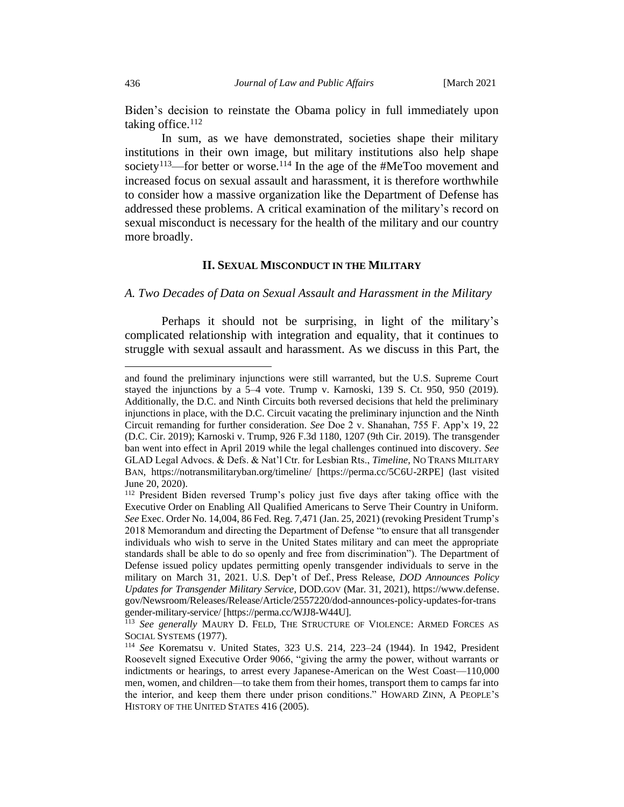Biden's decision to reinstate the Obama policy in full immediately upon taking office. $112$ 

In sum, as we have demonstrated, societies shape their military institutions in their own image, but military institutions also help shape society<sup>113</sup>—for better or worse.<sup>114</sup> In the age of the #MeToo movement and increased focus on sexual assault and harassment, it is therefore worthwhile to consider how a massive organization like the Department of Defense has addressed these problems. A critical examination of the military's record on sexual misconduct is necessary for the health of the military and our country more broadly.

# **II. SEXUAL MISCONDUCT IN THE MILITARY**

#### <span id="page-23-1"></span><span id="page-23-0"></span>*A. Two Decades of Data on Sexual Assault and Harassment in the Military*

Perhaps it should not be surprising, in light of the military's complicated relationship with integration and equality, that it continues to struggle with sexual assault and harassment. As we discuss in this Part, the

and found the preliminary injunctions were still warranted, but the U.S. Supreme Court stayed the injunctions by a 5–4 vote. Trump v. Karnoski, 139 S. Ct. 950, 950 (2019). Additionally, the D.C. and Ninth Circuits both reversed decisions that held the preliminary injunctions in place, with the D.C. Circuit vacating the preliminary injunction and the Ninth Circuit remanding for further consideration. *See* Doe 2 v. Shanahan, 755 F. App'x 19, 22 (D.C. Cir. 2019); Karnoski v. Trump, 926 F.3d 1180, 1207 (9th Cir. 2019). The transgender ban went into effect in April 2019 while the legal challenges continued into discovery. *See*  GLAD Legal Advocs. & Defs. & Nat'l Ctr. for Lesbian Rts., *Timeline*, NO TRANS MILITARY BAN, https://notransmilitaryban.org/timeline/ [https://perma.cc/5C6U-2RPE] (last visited June 20, 2020).

<sup>112</sup> President Biden reversed Trump's policy just five days after taking office with the Executive Order on Enabling All Qualified Americans to Serve Their Country in Uniform. *See* Exec. Order No. 14,004, 86 Fed. Reg. 7,471 (Jan. 25, 2021) (revoking President Trump's 2018 Memorandum and directing the Department of Defense "to ensure that all transgender individuals who wish to serve in the United States military and can meet the appropriate standards shall be able to do so openly and free from discrimination"). The Department of Defense issued policy updates permitting openly transgender individuals to serve in the military on March 31, 2021. U.S. Dep't of Def., Press Release, *DOD Announces Policy Updates for Transgender Military Service*, DOD.GOV (Mar. 31, 2021), https://www.defense. gov/Newsroom/Releases/Release/Article/2557220/dod-announces-policy-updates-for-trans gender-military-service/ [https://perma.cc/WJJ8-W44U].

<sup>113</sup> *See generally* MAURY D. FELD, THE STRUCTURE OF VIOLENCE: ARMED FORCES AS SOCIAL SYSTEMS (1977).

<sup>114</sup> *See* Korematsu v. United States, 323 U.S. 214, 223–24 (1944). In 1942, President Roosevelt signed Executive Order 9066, "giving the army the power, without warrants or indictments or hearings, to arrest every Japanese-American on the West Coast—110,000 men, women, and children—to take them from their homes, transport them to camps far into the interior, and keep them there under prison conditions." HOWARD ZINN, A PEOPLE'S HISTORY OF THE UNITED STATES 416 (2005).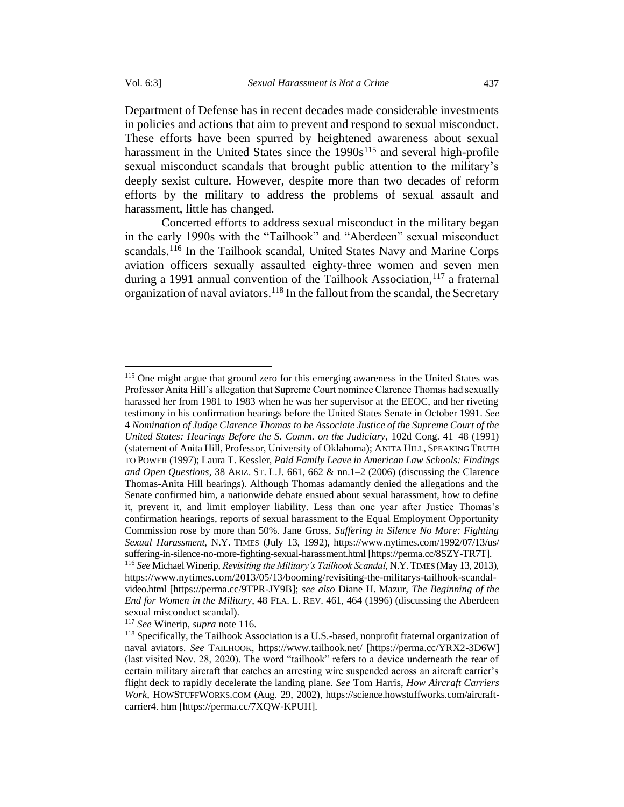Department of Defense has in recent decades made considerable investments in policies and actions that aim to prevent and respond to sexual misconduct. These efforts have been spurred by heightened awareness about sexual harassment in the United States since the  $1990s^{115}$  and several high-profile sexual misconduct scandals that brought public attention to the military's deeply sexist culture. However, despite more than two decades of reform efforts by the military to address the problems of sexual assault and harassment, little has changed.

Concerted efforts to address sexual misconduct in the military began in the early 1990s with the "Tailhook" and "Aberdeen" sexual misconduct scandals.<sup>116</sup> In the Tailhook scandal, United States Navy and Marine Corps aviation officers sexually assaulted eighty-three women and seven men during a 1991 annual convention of the Tailhook Association,  $117$  a fraternal organization of naval aviators.<sup>118</sup> In the fallout from the scandal, the Secretary

<sup>115</sup> One might argue that ground zero for this emerging awareness in the United States was Professor Anita Hill's allegation that Supreme Court nominee Clarence Thomas had sexually harassed her from 1981 to 1983 when he was her supervisor at the EEOC, and her riveting testimony in his confirmation hearings before the United States Senate in October 1991. *See*  4 *Nomination of Judge Clarence Thomas to be Associate Justice of the Supreme Court of the United States: Hearings Before the S. Comm. on the Judiciary*, 102d Cong. 41–48 (1991) (statement of Anita Hill, Professor, University of Oklahoma); ANITA HILL, SPEAKING TRUTH TO POWER (1997); Laura T. Kessler, *Paid Family Leave in American Law Schools: Findings and Open Questions*, 38 ARIZ. ST. L.J. 661, 662 & nn.1–2 (2006) (discussing the Clarence Thomas-Anita Hill hearings). Although Thomas adamantly denied the allegations and the Senate confirmed him, a nationwide debate ensued about sexual harassment, how to define it, prevent it, and limit employer liability. Less than one year after Justice Thomas's confirmation hearings, reports of sexual harassment to the Equal Employment Opportunity Commission rose by more than 50%. Jane Gross, *Suffering in Silence No More: Fighting Sexual Harassment*, N.Y. TIMES (July 13, 1992), https://www.nytimes.com/1992/07/13/us/ suffering-in-silence-no-more-fighting-sexual-harassment.html [https://perma.cc/8SZY-TR7T]. <sup>116</sup> *See* Michael Winerip, *Revisiting the Military's Tailhook Scandal*, N.Y.TIMES (May 13, 2013), https://www.nytimes.com/2013/05/13/booming/revisiting-the-militarys-tailhook-scandalvideo.html [https://perma.cc/9TPR-JY9B]; *see also* Diane H. Mazur, *The Beginning of the* 

*End for Women in the Military*, 48 FLA. L. REV. 461, 464 (1996) (discussing the Aberdeen sexual misconduct scandal).

<sup>117</sup> *See* Winerip, *supra* note 116.

<sup>118</sup> Specifically, the Tailhook Association is a U.S.-based, nonprofit fraternal organization of naval aviators. *See* TAILHOOK, https://www.tailhook.net/ [https://perma.cc/YRX2-3D6W] (last visited Nov. 28, 2020). The word "tailhook" refers to a device underneath the rear of certain military aircraft that catches an arresting wire suspended across an aircraft carrier's flight deck to rapidly decelerate the landing plane. *See* Tom Harris, *How Aircraft Carriers Work*, HOWSTUFFWORKS.COM (Aug. 29, 2002), https://science.howstuffworks.com/aircraftcarrier4. htm [https://perma.cc/7XQW-KPUH].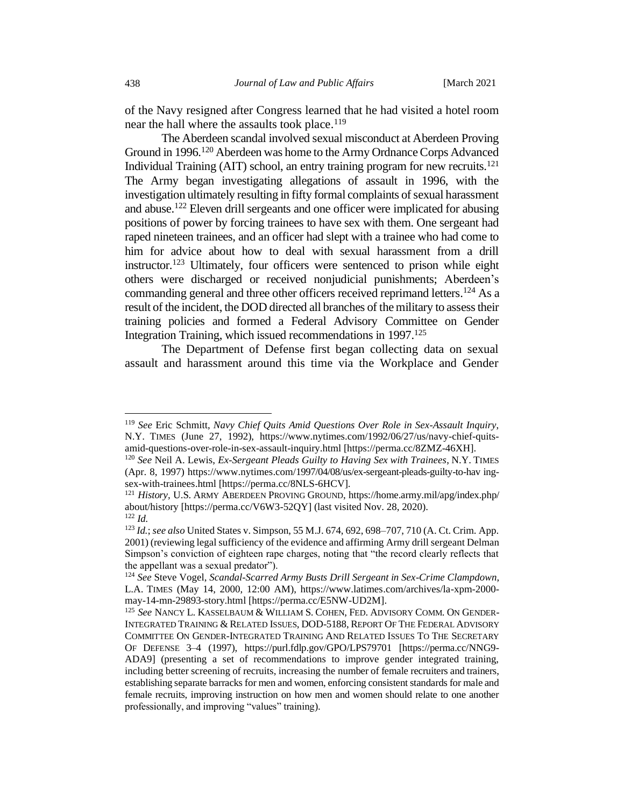of the Navy resigned after Congress learned that he had visited a hotel room near the hall where the assaults took place.<sup>119</sup>

The Aberdeen scandal involved sexual misconduct at Aberdeen Proving Ground in 1996.<sup>120</sup> Aberdeen was home to the Army Ordnance Corps Advanced Individual Training (AIT) school, an entry training program for new recruits.<sup>121</sup> The Army began investigating allegations of assault in 1996, with the investigation ultimately resulting in fifty formal complaints of sexual harassment and abuse.<sup>122</sup> Eleven drill sergeants and one officer were implicated for abusing positions of power by forcing trainees to have sex with them. One sergeant had raped nineteen trainees, and an officer had slept with a trainee who had come to him for advice about how to deal with sexual harassment from a drill instructor.<sup>123</sup> Ultimately, four officers were sentenced to prison while eight others were discharged or received nonjudicial punishments; Aberdeen's commanding general and three other officers received reprimand letters.<sup>124</sup> As a result of the incident, the DOD directed all branches of the military to assess their training policies and formed a Federal Advisory Committee on Gender Integration Training, which issued recommendations in 1997. 125

The Department of Defense first began collecting data on sexual assault and harassment around this time via the Workplace and Gender

<sup>119</sup> *See* Eric Schmitt, *Navy Chief Quits Amid Questions Over Role in Sex-Assault Inquiry*, N.Y. TIMES (June 27, 1992), https://www.nytimes.com/1992/06/27/us/navy-chief-quitsamid-questions-over-role-in-sex-assault-inquiry.html [https://perma.cc/8ZMZ-46XH].

<sup>120</sup> *See* Neil A. Lewis, *Ex-Sergeant Pleads Guilty to Having Sex with Trainees*, N.Y. TIMES (Apr. 8, 1997) https://www.nytimes.com/1997/04/08/us/ex-sergeant-pleads-guilty-to-hav ingsex-with-trainees.html [https://perma.cc/8NLS-6HCV].

<sup>121</sup> *History,* U.S. ARMY ABERDEEN PROVING GROUND, https://home.army.mil/apg/index.php/ about/history [https://perma.cc/V6W3-52QY] (last visited Nov. 28, 2020). <sup>122</sup> *Id.*

<sup>123</sup> *Id.*; *see also* United States v. Simpson, 55 M.J. 674, 692, 698–707, 710 (A. Ct. Crim. App. 2001) (reviewing legal sufficiency of the evidence and affirming Army drill sergeant Delman Simpson's conviction of eighteen rape charges, noting that "the record clearly reflects that the appellant was a sexual predator").

<sup>124</sup> *See* Steve Vogel, *Scandal-Scarred Army Busts Drill Sergeant in Sex-Crime Clampdown*, L.A. TIMES (May 14, 2000, 12:00 AM), https://www.latimes.com/archives/la-xpm-2000 may-14-mn-29893-story.html [https://perma.cc/E5NW-UD2M].

<sup>125</sup> *See* NANCY L. KASSELBAUM & WILLIAM S. COHEN, FED. ADVISORY COMM. ON GENDER-INTEGRATED TRAINING & RELATED ISSUES, DOD-5188, REPORT OF THE FEDERAL ADVISORY COMMITTEE ON GENDER-INTEGRATED TRAINING AND RELATED ISSUES TO THE SECRETARY OF DEFENSE 3–4 (1997), https://purl.fdlp.gov/GPO/LPS79701 [https://perma.cc/NNG9- ADA9] (presenting a set of recommendations to improve gender integrated training, including better screening of recruits, increasing the number of female recruiters and trainers, establishing separate barracks for men and women, enforcing consistent standards for male and female recruits, improving instruction on how men and women should relate to one another professionally, and improving "values" training).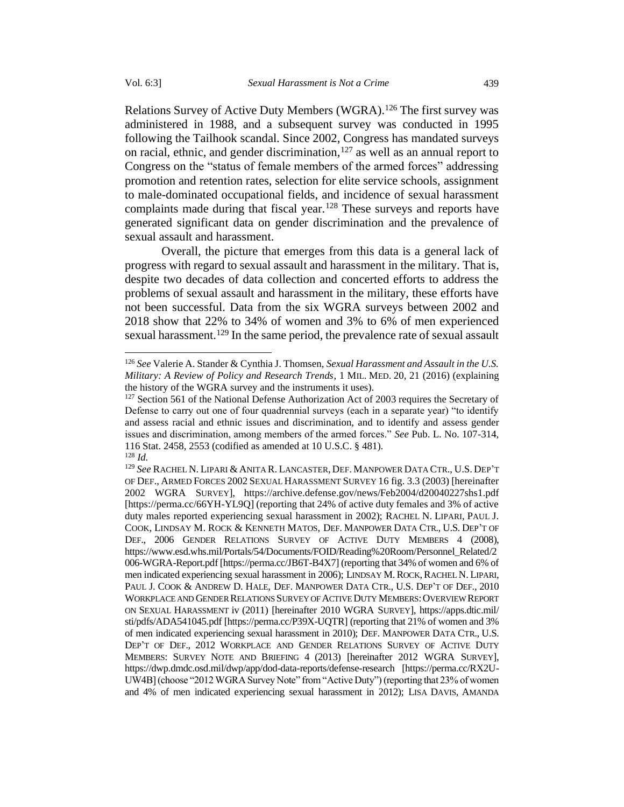Relations Survey of Active Duty Members (WGRA).<sup>126</sup> The first survey was administered in 1988, and a subsequent survey was conducted in 1995 following the Tailhook scandal. Since 2002, Congress has mandated surveys on racial, ethnic, and gender discrimination, $127$  as well as an annual report to Congress on the "status of female members of the armed forces" addressing promotion and retention rates, selection for elite service schools, assignment to male-dominated occupational fields, and incidence of sexual harassment complaints made during that fiscal year.<sup>128</sup> These surveys and reports have generated significant data on gender discrimination and the prevalence of sexual assault and harassment.

Overall, the picture that emerges from this data is a general lack of progress with regard to sexual assault and harassment in the military. That is, despite two decades of data collection and concerted efforts to address the problems of sexual assault and harassment in the military, these efforts have not been successful. Data from the six WGRA surveys between 2002 and 2018 show that 22% to 34% of women and 3% to 6% of men experienced sexual harassment.<sup>129</sup> In the same period, the prevalence rate of sexual assault

<sup>126</sup> *See* Valerie A. Stander & Cynthia J. Thomsen, *Sexual Harassment and Assault in the U.S. Military: A Review of Policy and Research Trends*, 1 MIL. MED. 20, 21 (2016) (explaining the history of the WGRA survey and the instruments it uses).

<sup>&</sup>lt;sup>127</sup> Section 561 of the National Defense Authorization Act of 2003 requires the Secretary of Defense to carry out one of four quadrennial surveys (each in a separate year) "to identify and assess racial and ethnic issues and discrimination, and to identify and assess gender issues and discrimination, among members of the armed forces." *See* Pub. L. No. 107-314, 116 Stat. 2458, 2553 (codified as amended at 10 U.S.C. § 481). <sup>128</sup> *Id.*

<sup>&</sup>lt;sup>129</sup> See RACHEL N. LIPARI & ANITA R. LANCASTER, DEF. MANPOWER DATA CTR., U.S. DEP'T OF DEF., ARMED FORCES 2002SEXUAL HARASSMENT SURVEY 16 fig. 3.3 (2003) [hereinafter 2002 WGRA SURVEY], https://archive.defense.gov/news/Feb2004/d20040227shs1.pdf [https://perma.cc/66YH-YL9Q] (reporting that 24% of active duty females and 3% of active duty males reported experiencing sexual harassment in 2002); RACHEL N. LIPARI, PAUL J. COOK, LINDSAY M. ROCK & KENNETH MATOS, DEF. MANPOWER DATA CTR., U.S. DEP'T OF DEF., 2006 GENDER RELATIONS SURVEY OF ACTIVE DUTY MEMBERS 4 (2008), https://www.esd.whs.mil/Portals/54/Documents/FOID/Reading%20Room/Personnel\_Related/2 006-WGRA-Report.pdf [https://perma.cc/JB6T-B4X7] (reporting that 34% of women and 6% of men indicated experiencing sexual harassment in 2006); LINDSAY M.ROCK,RACHEL N. LIPARI, PAUL J. COOK & ANDREW D. HALE, DEF. MANPOWER DATA CTR., U.S. DEP'T OF DEF., 2010 WORKPLACE AND GENDER RELATIONS SURVEY OF ACTIVE DUTY MEMBERS: OVERVIEW REPORT ON SEXUAL HARASSMENT iv (2011) [hereinafter 2010 WGRA SURVEY], https://apps.dtic.mil/ sti/pdfs/ADA541045.pdf [https://perma.cc/P39X-UQTR] (reporting that 21% of women and 3% of men indicated experiencing sexual harassment in 2010); DEF. MANPOWER DATA CTR., U.S. DEP'T OF DEF., 2012 WORKPLACE AND GENDER RELATIONS SURVEY OF ACTIVE DUTY MEMBERS: SURVEY NOTE AND BRIEFING 4 (2013) [hereinafter 2012 WGRA SURVEY], https://dwp.dmdc.osd.mil/dwp/app/dod-data-reports/defense-research [https://perma.cc/RX2U-UW4B] (choose "2012 WGRA Survey Note" from "Active Duty") (reporting that 23% of women and 4% of men indicated experiencing sexual harassment in 2012); LISA DAVIS, AMANDA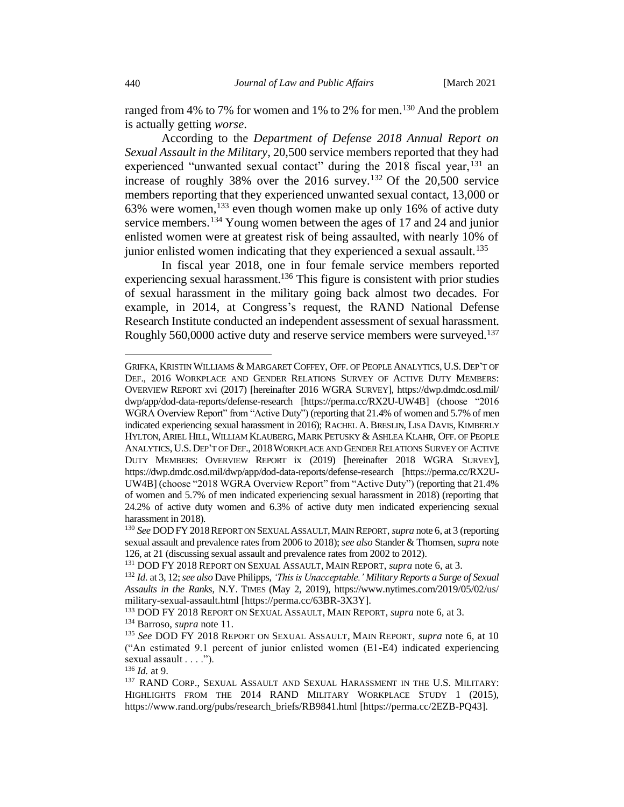ranged from 4% to 7% for women and 1% to 2% for men.<sup>130</sup> And the problem is actually getting *worse*.

According to the *Department of Defense 2018 Annual Report on Sexual Assault in the Military*, 20,500 service members reported that they had experienced "unwanted sexual contact" during the 2018 fiscal year, <sup>131</sup> an increase of roughly 38% over the 2016 survey.<sup>132</sup> Of the 20,500 service members reporting that they experienced unwanted sexual contact, 13,000 or 63% were women,  $133$  even though women make up only 16% of active duty service members.<sup>134</sup> Young women between the ages of 17 and 24 and junior enlisted women were at greatest risk of being assaulted, with nearly 10% of junior enlisted women indicating that they experienced a sexual assault.<sup>135</sup>

In fiscal year 2018, one in four female service members reported experiencing sexual harassment.<sup>136</sup> This figure is consistent with prior studies of sexual harassment in the military going back almost two decades. For example, in 2014, at Congress's request, the RAND National Defense Research Institute conducted an independent assessment of sexual harassment. Roughly 560,0000 active duty and reserve service members were surveyed.<sup>137</sup>

<sup>136</sup> *Id.* at 9.

GRIFKA, KRISTIN WILLIAMS & MARGARET COFFEY, OFF. OF PEOPLE ANALYTICS, U.S. DEP'T OF DEF., 2016 WORKPLACE AND GENDER RELATIONS SURVEY OF ACTIVE DUTY MEMBERS: OVERVIEW REPORT xvi (2017) [hereinafter 2016 WGRA SURVEY], https://dwp.dmdc.osd.mil/ dwp/app/dod-data-reports/defense-research [https://perma.cc/RX2U-UW4B] (choose "2016 WGRA Overview Report" from "Active Duty") (reporting that 21.4% of women and 5.7% of men indicated experiencing sexual harassment in 2016); RACHEL A. BRESLIN, LISA DAVIS, KIMBERLY HYLTON, ARIEL HILL, WILLIAM KLAUBERG, MARK PETUSKY & ASHLEA KLAHR, OFF. OF PEOPLE ANALYTICS, U.S. DEP'T OF DEF., 2018WORKPLACE AND GENDER RELATIONS SURVEY OF ACTIVE DUTY MEMBERS: OVERVIEW REPORT ix (2019) [hereinafter 2018 WGRA SURVEY], https://dwp.dmdc.osd.mil/dwp/app/dod-data-reports/defense-research [https://perma.cc/RX2U-UW4B] (choose "2018 WGRA Overview Report" from "Active Duty") (reporting that 21.4% of women and 5.7% of men indicated experiencing sexual harassment in 2018) (reporting that 24.2% of active duty women and 6.3% of active duty men indicated experiencing sexual harassment in 2018).

<sup>130</sup> *See* DODFY 2018REPORT ON SEXUAL ASSAULT,MAIN REPORT, *supra* not[e 6,](#page-3-2) at 3 (reporting sexual assault and prevalence rates from 2006 to 2018); *see also* Stander & Thomsen, *supra* note 126, at 21 (discussing sexual assault and prevalence rates from 2002 to 2012).

<sup>131</sup> DOD FY 2018 REPORT ON SEXUAL ASSAULT, MAIN REPORT, *supra* not[e 6,](#page-3-2) at 3.

<sup>132</sup> *Id.* at 3, 12; *see also* Dave Philipps, *'This is Unacceptable.' Military Reports a Surge of Sexual Assaults in the Ranks*, N.Y. TIMES (May 2, 2019), https://www.nytimes.com/2019/05/02/us/ military-sexual-assault.html [https://perma.cc/63BR-3X3Y].

<sup>133</sup> DOD FY 2018 REPORT ON SEXUAL ASSAULT, MAIN REPORT, *supra* note [6,](#page-3-2) at 3. <sup>134</sup> Barroso, *supra* not[e 11.](#page-4-0)

<sup>135</sup> *See* DOD FY 2018 REPORT ON SEXUAL ASSAULT, MAIN REPORT, *supra* note [6,](#page-3-2) at 10 ("An estimated 9.1 percent of junior enlisted women (E1-E4) indicated experiencing sexual assault . . . .").

<sup>&</sup>lt;sup>137</sup> RAND CORP., SEXUAL ASSAULT AND SEXUAL HARASSMENT IN THE U.S. MILITARY: HIGHLIGHTS FROM THE 2014 RAND MILITARY WORKPLACE STUDY 1 (2015), https://www.rand.org/pubs/research\_briefs/RB9841.html [https://perma.cc/2EZB-PQ43].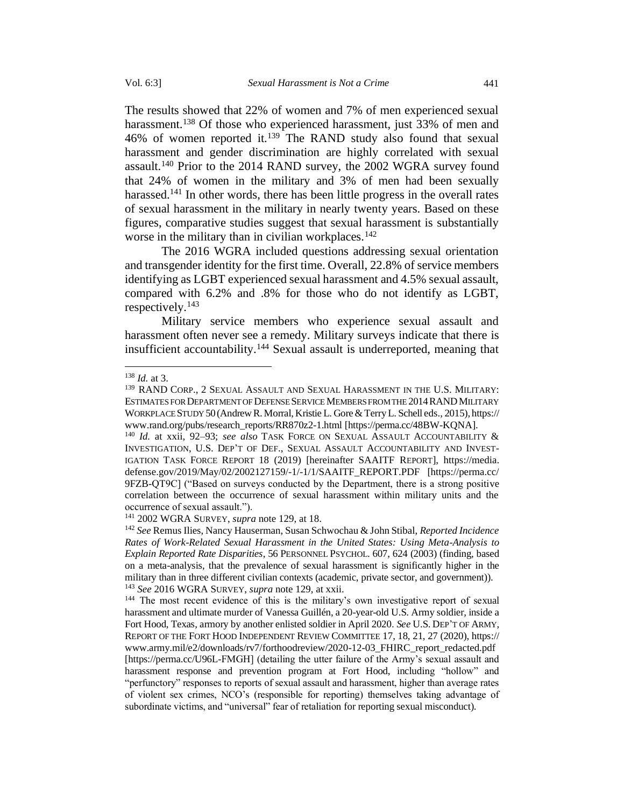The results showed that 22% of women and 7% of men experienced sexual harassment.<sup>138</sup> Of those who experienced harassment, just 33% of men and 46% of women reported it. <sup>139</sup> The RAND study also found that sexual harassment and gender discrimination are highly correlated with sexual assault.<sup>140</sup> Prior to the 2014 RAND survey, the 2002 WGRA survey found that 24% of women in the military and 3% of men had been sexually harassed.<sup>141</sup> In other words, there has been little progress in the overall rates of sexual harassment in the military in nearly twenty years. Based on these figures, comparative studies suggest that sexual harassment is substantially worse in the military than in civilian workplaces.<sup>142</sup>

The 2016 WGRA included questions addressing sexual orientation and transgender identity for the first time. Overall, 22.8% of service members identifying as LGBT experienced sexual harassment and 4.5% sexual assault, compared with 6.2% and .8% for those who do not identify as LGBT, respectively.<sup>143</sup>

Military service members who experience sexual assault and harassment often never see a remedy. Military surveys indicate that there is insufficient accountability.<sup>144</sup> Sexual assault is underreported, meaning that

<sup>138</sup> *Id.* at 3.

<sup>139</sup> RAND CORP., 2 SEXUAL ASSAULT AND SEXUAL HARASSMENT IN THE U.S. MILITARY: ESTIMATES FOR DEPARTMENT OF DEFENSE SERVICE MEMBERS FROM THE 2014 RAND MILITARY WORKPLACE STUDY 50(Andrew R. Morral, Kristie L. Gore & Terry L. Schell eds., 2015), https:// www.rand.org/pubs/research\_reports/RR870z2-1.html [https://perma.cc/48BW-KQNA].

<sup>140</sup> *Id.* at xxii, 92–93; *see also* TASK FORCE ON SEXUAL ASSAULT ACCOUNTABILITY & INVESTIGATION, U.S. DEP'T OF DEF., SEXUAL ASSAULT ACCOUNTABILITY AND INVEST-IGATION TASK FORCE REPORT 18 (2019) [hereinafter SAAITF REPORT], https://media. defense.gov/2019/May/02/2002127159/-1/-1/1/SAAITF\_REPORT.PDF [https://perma.cc/ 9FZB-QT9C] ("Based on surveys conducted by the Department, there is a strong positive correlation between the occurrence of sexual harassment within military units and the occurrence of sexual assault.").

<sup>141</sup> 2002 WGRA SURVEY, *supra* note 129, at 18.

<sup>142</sup> *See* Remus Ilies, Nancy Hauserman, Susan Schwochau & John Stibal, *Reported Incidence Rates of Work-Related Sexual Harassment in the United States: Using Meta-Analysis to Explain Reported Rate Disparities*, 56 PERSONNEL PSYCHOL. 607, 624 (2003) (finding, based on a meta-analysis, that the prevalence of sexual harassment is significantly higher in the military than in three different civilian contexts (academic, private sector, and government)). <sup>143</sup> *See* 2016 WGRA SURVEY, *supra* note 129, at xxii.

<sup>&</sup>lt;sup>144</sup> The most recent evidence of this is the military's own investigative report of sexual harassment and ultimate murder of Vanessa Guillén, a 20-year-old U.S. Army soldier, inside a Fort Hood, Texas, armory by another enlisted soldier in April 2020. *See* U.S. DEP'T OF ARMY, REPORT OF THE FORT HOOD INDEPENDENT REVIEW COMMITTEE 17, 18, 21, 27 (2020), https:// www.army.mil/e2/downloads/rv7/forthoodreview/2020-12-03\_FHIRC\_report\_redacted.pdf [https://perma.cc/U96L-FMGH] (detailing the utter failure of the Army's sexual assault and harassment response and prevention program at Fort Hood, including "hollow" and "perfunctory" responses to reports of sexual assault and harassment, higher than average rates of violent sex crimes, NCO's (responsible for reporting) themselves taking advantage of subordinate victims, and "universal" fear of retaliation for reporting sexual misconduct).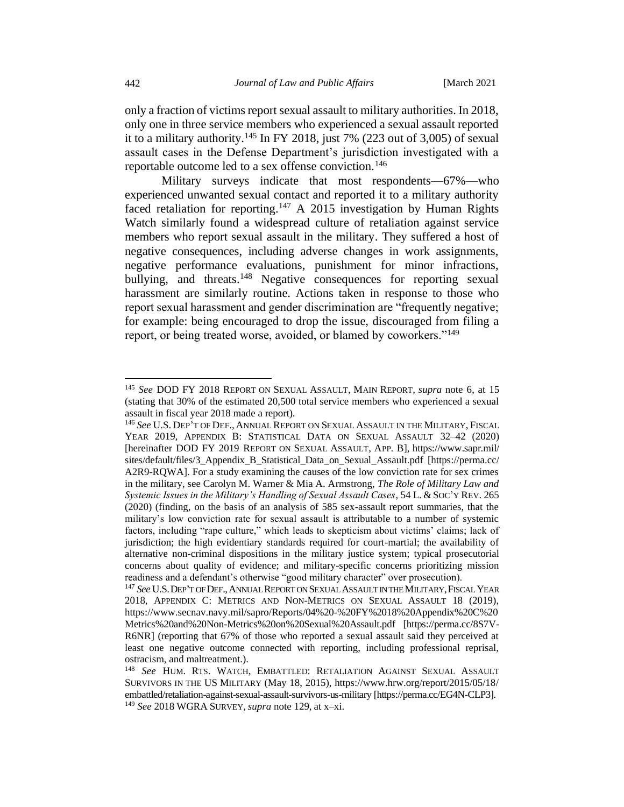only a fraction of victims report sexual assault to military authorities. In 2018, only one in three service members who experienced a sexual assault reported it to a military authority.<sup>145</sup> In FY 2018, just 7% (223 out of 3,005) of sexual assault cases in the Defense Department's jurisdiction investigated with a reportable outcome led to a sex offense conviction.<sup>146</sup>

Military surveys indicate that most respondents—67%—who experienced unwanted sexual contact and reported it to a military authority faced retaliation for reporting.<sup>147</sup> A 2015 investigation by Human Rights Watch similarly found a widespread culture of retaliation against service members who report sexual assault in the military. They suffered a host of negative consequences, including adverse changes in work assignments, negative performance evaluations, punishment for minor infractions, bullying, and threats.<sup>148</sup> Negative consequences for reporting sexual harassment are similarly routine. Actions taken in response to those who report sexual harassment and gender discrimination are "frequently negative; for example: being encouraged to drop the issue, discouraged from filing a report, or being treated worse, avoided, or blamed by coworkers."<sup>149</sup>

<sup>145</sup> *See* DOD FY 2018 REPORT ON SEXUAL ASSAULT, MAIN REPORT, *supra* note [6,](#page-3-2) at 15 (stating that 30% of the estimated 20,500 total service members who experienced a sexual assault in fiscal year 2018 made a report).

<sup>146</sup> *See* U.S. DEP'T OF DEF., ANNUAL REPORT ON SEXUAL ASSAULT IN THE MILITARY,FISCAL YEAR 2019, APPENDIX B: STATISTICAL DATA ON SEXUAL ASSAULT 32–42 (2020) [hereinafter DOD FY 2019 REPORT ON SEXUAL ASSAULT, APP. B], https://www.sapr.mil/ sites/default/files/3\_Appendix\_B\_Statistical\_Data\_on\_Sexual\_Assault.pdf [https://perma.cc/ A2R9-RQWA]. For a study examining the causes of the low conviction rate for sex crimes in the military, see Carolyn M. Warner & Mia A. Armstrong, *The Role of Military Law and Systemic Issues in the Military's Handling of Sexual Assault Cases*, 54 L. & SOC'Y REV. 265 (2020) (finding, on the basis of an analysis of 585 sex-assault report summaries, that the military's low conviction rate for sexual assault is attributable to a number of systemic factors, including "rape culture," which leads to skepticism about victims' claims; lack of jurisdiction; the high evidentiary standards required for court-martial; the availability of alternative non-criminal dispositions in the military justice system; typical prosecutorial concerns about quality of evidence; and military-specific concerns prioritizing mission readiness and a defendant's otherwise "good military character" over prosecution).

<sup>147</sup> *See* U.S.DEP'T OF DEF.,ANNUAL REPORT ON SEXUAL ASSAULT IN THE MILITARY,FISCAL YEAR 2018, APPENDIX C: METRICS AND NON-METRICS ON SEXUAL ASSAULT 18 (2019), https://www.secnav.navy.mil/sapro/Reports/04%20-%20FY%2018%20Appendix%20C%20 Metrics%20and%20Non-Metrics%20on%20Sexual%20Assault.pdf [https://perma.cc/8S7V-R6NR] (reporting that 67% of those who reported a sexual assault said they perceived at least one negative outcome connected with reporting, including professional reprisal, ostracism, and maltreatment.).

<sup>148</sup> *See* HUM. RTS. WATCH, EMBATTLED: RETALIATION AGAINST SEXUAL ASSAULT SURVIVORS IN THE US MILITARY (May 18, 2015), https://www.hrw.org/report/2015/05/18/ embattled/retaliation-against-sexual-assault-survivors-us-military [https://perma.cc/EG4N-CLP3]. <sup>149</sup> *See* 2018 WGRA SURVEY, *supra* note 129, at x–xi.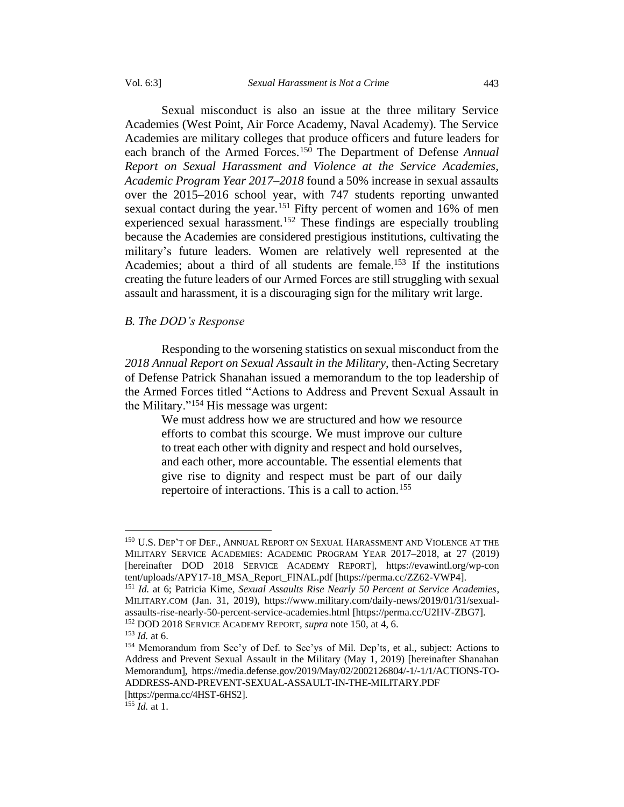Sexual misconduct is also an issue at the three military Service Academies (West Point, Air Force Academy, Naval Academy). The Service Academies are military colleges that produce officers and future leaders for each branch of the Armed Forces.<sup>150</sup> The Department of Defense *Annual Report on Sexual Harassment and Violence at the Service Academies, Academic Program Year 2017–2018* found a 50% increase in sexual assaults over the 2015–2016 school year, with 747 students reporting unwanted sexual contact during the year.<sup>151</sup> Fifty percent of women and 16% of men experienced sexual harassment.<sup>152</sup> These findings are especially troubling because the Academies are considered prestigious institutions, cultivating the military's future leaders. Women are relatively well represented at the Academies; about a third of all students are female.<sup>153</sup> If the institutions creating the future leaders of our Armed Forces are still struggling with sexual assault and harassment, it is a discouraging sign for the military writ large.

# <span id="page-30-0"></span>*B. The DOD's Response*

Responding to the worsening statistics on sexual misconduct from the *2018 Annual Report on Sexual Assault in the Military*, then-Acting Secretary of Defense Patrick Shanahan issued a memorandum to the top leadership of the Armed Forces titled "Actions to Address and Prevent Sexual Assault in the Military."<sup>154</sup> His message was urgent:

We must address how we are structured and how we resource efforts to combat this scourge. We must improve our culture to treat each other with dignity and respect and hold ourselves, and each other, more accountable. The essential elements that give rise to dignity and respect must be part of our daily repertoire of interactions. This is a call to action.<sup>155</sup>

<sup>&</sup>lt;sup>150</sup> U.S. DEP'T OF DEF., ANNUAL REPORT ON SEXUAL HARASSMENT AND VIOLENCE AT THE MILITARY SERVICE ACADEMIES: ACADEMIC PROGRAM YEAR 2017–2018, at 27 (2019) [hereinafter DOD 2018 SERVICE ACADEMY REPORT], https://evawintl.org/wp-con tent/uploads/APY17-18\_MSA\_Report\_FINAL.pdf [https://perma.cc/ZZ62-VWP4].

<sup>151</sup> *Id.* at 6; Patricia Kime, *Sexual Assaults Rise Nearly 50 Percent at Service Academies*, MILITARY.COM (Jan. 31, 2019), https://www.military.com/daily-news/2019/01/31/sexualassaults-rise-nearly-50-percent-service-academies.html [https://perma.cc/U2HV-ZBG7]. <sup>152</sup> DOD 2018 SERVICE ACADEMY REPORT, *supra* note 150, at 4, 6.

<sup>153</sup> *Id.* at 6.

<sup>154</sup> Memorandum from Sec'y of Def. to Sec'ys of Mil. Dep'ts, et al., subject: Actions to Address and Prevent Sexual Assault in the Military (May 1, 2019) [hereinafter Shanahan Memorandum], https://media.defense.gov/2019/May/02/2002126804/-1/-1/1/ACTIONS-TO-ADDRESS-AND-PREVENT-SEXUAL-ASSAULT-IN-THE-MILITARY.PDF [https://perma.cc/4HST-6HS2].

 $155$  *Id.* at 1.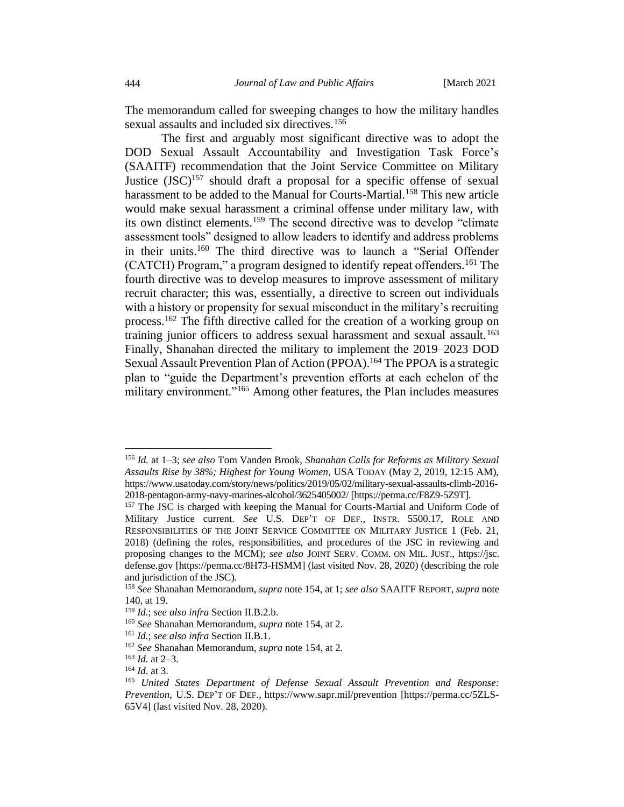The memorandum called for sweeping changes to how the military handles sexual assaults and included six directives.<sup>156</sup>

The first and arguably most significant directive was to adopt the DOD Sexual Assault Accountability and Investigation Task Force's (SAAITF) recommendation that the Joint Service Committee on Military Justice  $(JSC)^{157}$  should draft a proposal for a specific offense of sexual harassment to be added to the Manual for Courts-Martial.<sup>158</sup> This new article would make sexual harassment a criminal offense under military law, with its own distinct elements.<sup>159</sup> The second directive was to develop "climate assessment tools" designed to allow leaders to identify and address problems in their units.<sup>160</sup> The third directive was to launch a "Serial Offender (CATCH) Program," a program designed to identify repeat offenders.<sup>161</sup> The fourth directive was to develop measures to improve assessment of military recruit character; this was, essentially, a directive to screen out individuals with a history or propensity for sexual misconduct in the military's recruiting process.<sup>162</sup> The fifth directive called for the creation of a working group on training junior officers to address sexual harassment and sexual assault.<sup>163</sup> Finally, Shanahan directed the military to implement the 2019–2023 DOD Sexual Assault Prevention Plan of Action (PPOA).<sup>164</sup> The PPOA is a strategic plan to "guide the Department's prevention efforts at each echelon of the military environment."<sup>165</sup> Among other features, the Plan includes measures

<sup>156</sup> *Id.* at 1–3; *see also* Tom Vanden Brook, *Shanahan Calls for Reforms as Military Sexual Assaults Rise by 38%; Highest for Young Women*, USA TODAY (May 2, 2019, 12:15 AM), https://www.usatoday.com/story/news/politics/2019/05/02/military-sexual-assaults-climb-2016- 2018-pentagon-army-navy-marines-alcohol/3625405002/ [https://perma.cc/F8Z9-5Z9T].

<sup>&</sup>lt;sup>157</sup> The JSC is charged with keeping the Manual for Courts-Martial and Uniform Code of Military Justice current. *See* U.S. DEP'T OF DEF., INSTR. 5500.17, ROLE AND RESPONSIBILITIES OF THE JOINT SERVICE COMMITTEE ON MILITARY JUSTICE 1 (Feb. 21, 2018) (defining the roles, responsibilities, and procedures of the JSC in reviewing and proposing changes to the MCM); *see also* JOINT SERV. COMM. ON MIL. JUST., https://jsc. defense.gov [https://perma.cc/8H73-HSMM] (last visited Nov. 28, 2020) (describing the role and jurisdiction of the JSC).

<sup>158</sup> *See* Shanahan Memorandum, *supra* note 154, at 1; *see also* SAAITF REPORT, *supra* note 140, at 19.

<sup>159</sup> *Id.*; *see also infra* Section II.B.2.b.

<sup>160</sup> *See* Shanahan Memorandum, *supra* note 154, at 2.

<sup>161</sup> *Id.*; *see also infra* Section II.B.1.

<sup>162</sup> *See* Shanahan Memorandum, *supra* note 154, at 2*.*

 $163$  *Id.* at 2–3.

<sup>164</sup> *Id*. at 3.

<sup>165</sup> *United States Department of Defense Sexual Assault Prevention and Response: Prevention*, U.S. DEP'T OF DEF., https://www.sapr.mil/prevention [https://perma.cc/5ZLS-65V4] (last visited Nov. 28, 2020).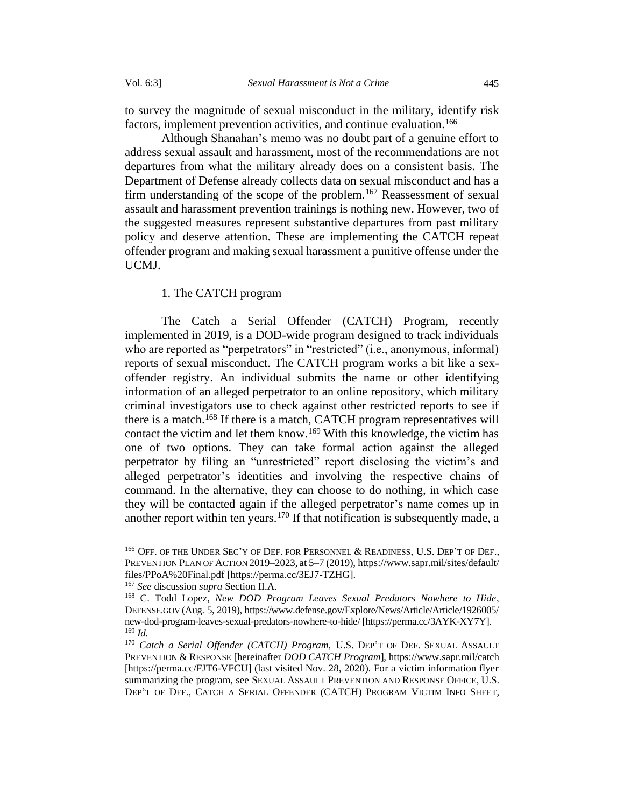to survey the magnitude of sexual misconduct in the military, identify risk factors, implement prevention activities, and continue evaluation.<sup>166</sup>

Although Shanahan's memo was no doubt part of a genuine effort to address sexual assault and harassment, most of the recommendations are not departures from what the military already does on a consistent basis. The Department of Defense already collects data on sexual misconduct and has a firm understanding of the scope of the problem.<sup>167</sup> Reassessment of sexual assault and harassment prevention trainings is nothing new. However, two of the suggested measures represent substantive departures from past military policy and deserve attention. These are implementing the CATCH repeat offender program and making sexual harassment a punitive offense under the UCMJ.

## 1. The CATCH program

<span id="page-32-0"></span>The Catch a Serial Offender (CATCH) Program, recently implemented in 2019, is a DOD-wide program designed to track individuals who are reported as "perpetrators" in "restricted" (i.e., anonymous, informal) reports of sexual misconduct. The CATCH program works a bit like a sexoffender registry. An individual submits the name or other identifying information of an alleged perpetrator to an online repository, which military criminal investigators use to check against other restricted reports to see if there is a match.<sup>168</sup> If there is a match, CATCH program representatives will contact the victim and let them know.<sup>169</sup> With this knowledge, the victim has one of two options. They can take formal action against the alleged perpetrator by filing an "unrestricted" report disclosing the victim's and alleged perpetrator's identities and involving the respective chains of command. In the alternative, they can choose to do nothing, in which case they will be contacted again if the alleged perpetrator's name comes up in another report within ten years.<sup>170</sup> If that notification is subsequently made, a

<sup>166</sup> OFF. OF THE UNDER SEC'Y OF DEF. FOR PERSONNEL & READINESS, U.S. DEP'T OF DEF., PREVENTION PLAN OF ACTION 2019–2023, at 5–7 (2019), https://www.sapr.mil/sites/default/ files/PPoA%20Final.pdf [https://perma.cc/3EJ7-TZHG].

<sup>167</sup> *See* discussion *supra* Section II.A.

<sup>168</sup> C. Todd Lopez, *New DOD Program Leaves Sexual Predators Nowhere to Hide*, DEFENSE.GOV (Aug. 5, 2019), https://www.defense.gov/Explore/News/Article/Article/1926005/ new-dod-program-leaves-sexual-predators-nowhere-to-hide/ [https://perma.cc/3AYK-XY7Y]. <sup>169</sup> *Id.*

<sup>170</sup> *Catch a Serial Offender (CATCH) Program,* U.S. DEP'T OF DEF. SEXUAL ASSAULT PREVENTION & RESPONSE [hereinafter *DOD CATCH Program*], https://www.sapr.mil/catch [https://perma.cc/FJT6-VFCU] (last visited Nov. 28, 2020). For a victim information flyer summarizing the program, see SEXUAL ASSAULT PREVENTION AND RESPONSE OFFICE, U.S. DEP'T OF DEF., CATCH A SERIAL OFFENDER (CATCH) PROGRAM VICTIM INFO SHEET,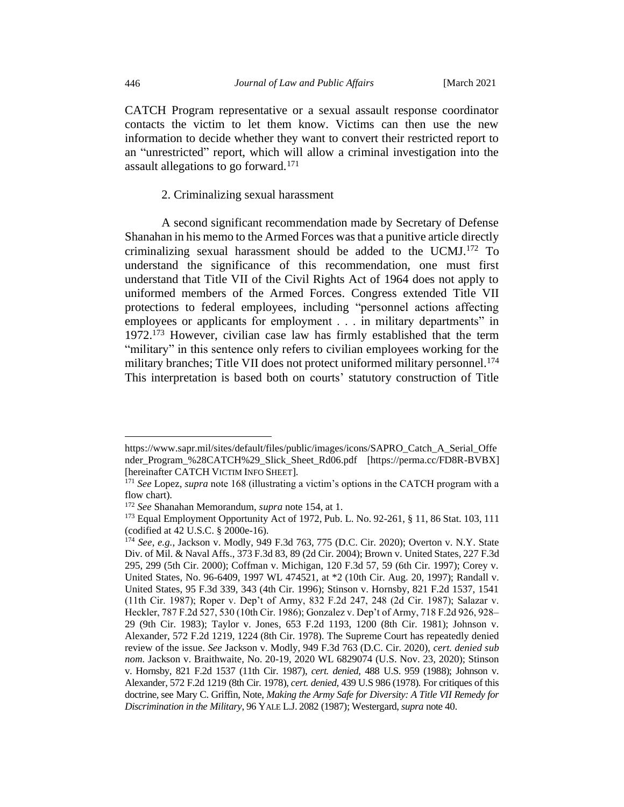CATCH Program representative or a sexual assault response coordinator contacts the victim to let them know. Victims can then use the new information to decide whether they want to convert their restricted report to an "unrestricted" report, which will allow a criminal investigation into the assault allegations to go forward.<sup>171</sup>

#### 2. Criminalizing sexual harassment

<span id="page-33-0"></span>A second significant recommendation made by Secretary of Defense Shanahan in his memo to the Armed Forces was that a punitive article directly criminalizing sexual harassment should be added to the UCMJ.<sup>172</sup> To understand the significance of this recommendation, one must first understand that Title VII of the Civil Rights Act of 1964 does not apply to uniformed members of the Armed Forces. Congress extended Title VII protections to federal employees, including "personnel actions affecting employees or applicants for employment . . . in military departments" in 1972.<sup>173</sup> However, civilian case law has firmly established that the term "military" in this sentence only refers to civilian employees working for the military branches; Title VII does not protect uniformed military personnel. 174 This interpretation is based both on courts' statutory construction of Title

https://www.sapr.mil/sites/default/files/public/images/icons/SAPRO\_Catch\_A\_Serial\_Offe nder\_Program\_%28CATCH%29\_Slick\_Sheet\_Rd06.pdf [https://perma.cc/FD8R-BVBX] [hereinafter CATCH VICTIM INFO SHEET].

<sup>171</sup> *See* Lopez, *supra* note 168 (illustrating a victim's options in the CATCH program with a flow chart).

<sup>172</sup> *See* Shanahan Memorandum, *supra* note 154, at 1.

<sup>173</sup> Equal Employment Opportunity Act of 1972, Pub. L. No. 92-261, § 11, 86 Stat. 103, 111 (codified at 42 U.S.C. § 2000e-16).

<sup>174</sup> *See*, *e.g.*, Jackson v. Modly, 949 F.3d 763, 775 (D.C. Cir. 2020); Overton v. N.Y. State Div. of Mil. & Naval Affs., 373 F.3d 83, 89 (2d Cir. 2004); Brown v. United States, 227 F.3d 295, 299 (5th Cir. 2000); Coffman v. Michigan, 120 F.3d 57, 59 (6th Cir. 1997); Corey v. United States, No. 96-6409, 1997 WL 474521, at \*2 (10th Cir. Aug. 20, 1997); Randall v. United States, 95 F.3d 339, 343 (4th Cir. 1996); Stinson v. Hornsby, 821 F.2d 1537, 1541 (11th Cir. 1987); Roper v. Dep't of Army, 832 F.2d 247, 248 (2d Cir. 1987); Salazar v. Heckler, 787 F.2d 527, 530 (10th Cir. 1986); Gonzalez v. Dep't of Army, 718 F.2d 926, 928– 29 (9th Cir. 1983); Taylor v. Jones, 653 F.2d 1193, 1200 (8th Cir. 1981); Johnson v. Alexander, 572 F.2d 1219, 1224 (8th Cir. 1978). The Supreme Court has repeatedly denied review of the issue. *See* Jackson v. Modly, 949 F.3d 763 (D.C. Cir. 2020), *cert. denied sub nom.* Jackson v. Braithwaite, No. 20-19, 2020 WL 6829074 (U.S. Nov. 23, 2020); Stinson v. Hornsby, 821 F.2d 1537 (11th Cir. 1987), *cert. denied*, 488 U.S. 959 (1988); Johnson v. Alexander, 572 F.2d 1219 (8th Cir. 1978), *cert. denied*, 439 U.S 986 (1978). For critiques of this doctrine, see Mary C. Griffin, Note, *Making the Army Safe for Diversity: A Title VII Remedy for Discrimination in the Military*, 96 YALE L.J. 2082 (1987); Westergard, *supra* note [40.](#page-11-0)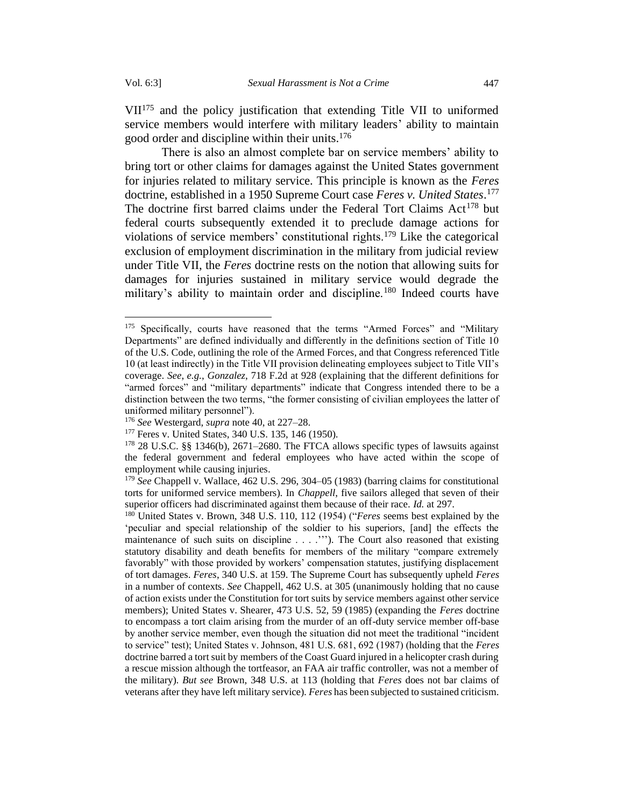VII<sup>175</sup> and the policy justification that extending Title VII to uniformed service members would interfere with military leaders' ability to maintain good order and discipline within their units.<sup>176</sup>

There is also an almost complete bar on service members' ability to bring tort or other claims for damages against the United States government for injuries related to military service. This principle is known as the *Feres* doctrine, established in a 1950 Supreme Court case *Feres v. United States*. 177 The doctrine first barred claims under the Federal Tort Claims Act<sup>178</sup> but federal courts subsequently extended it to preclude damage actions for violations of service members' constitutional rights.<sup>179</sup> Like the categorical exclusion of employment discrimination in the military from judicial review under Title VII, the *Feres* doctrine rests on the notion that allowing suits for damages for injuries sustained in military service would degrade the military's ability to maintain order and discipline.<sup>180</sup> Indeed courts have

<sup>&</sup>lt;sup>175</sup> Specifically, courts have reasoned that the terms "Armed Forces" and "Military Departments" are defined individually and differently in the definitions section of Title 10 of the U.S. Code, outlining the role of the Armed Forces, and that Congress referenced Title 10 (at least indirectly) in the Title VII provision delineating employees subject to Title VII's coverage. *See*, *e.g.*, *Gonzalez*, 718 F.2d at 928 (explaining that the different definitions for "armed forces" and "military departments" indicate that Congress intended there to be a distinction between the two terms, "the former consisting of civilian employees the latter of uniformed military personnel").

<sup>176</sup> *See* Westergard, *supra* note 40, at 227–28.

<sup>177</sup> Feres v. United States, 340 U.S. 135, 146 (1950).

<sup>178</sup> 28 U.S.C. §§ 1346(b), 2671–2680. The FTCA allows specific types of lawsuits against the federal government and federal employees who have acted within the scope of employment while causing injuries.

<sup>179</sup> *See* Chappell v. Wallace, 462 U.S. 296, 304–05 (1983) (barring claims for constitutional torts for uniformed service members). In *Chappell*, five sailors alleged that seven of their superior officers had discriminated against them because of their race. *Id.* at 297.

<sup>180</sup> United States v. Brown, 348 U.S. 110, 112 (1954) ("*Feres* seems best explained by the 'peculiar and special relationship of the soldier to his superiors, [and] the effects the maintenance of such suits on discipline . . . .'''). The Court also reasoned that existing statutory disability and death benefits for members of the military "compare extremely favorably" with those provided by workers' compensation statutes, justifying displacement of tort damages. *Feres*, 340 U.S. at 159. The Supreme Court has subsequently upheld *Feres*  in a number of contexts. *See* Chappell, 462 U.S. at 305 (unanimously holding that no cause of action exists under the Constitution for tort suits by service members against other service members); United States v. Shearer, 473 U.S. 52, 59 (1985) (expanding the *Feres* doctrine to encompass a tort claim arising from the murder of an off-duty service member off-base by another service member, even though the situation did not meet the traditional "incident to service" test); United States v. Johnson, 481 U.S. 681, 692 (1987) (holding that the *Feres* doctrine barred a tort suit by members of the Coast Guard injured in a helicopter crash during a rescue mission although the tortfeasor, an FAA air traffic controller, was not a member of the military). *But see* Brown, 348 U.S. at 113 (holding that *Feres* does not bar claims of veterans after they have left military service). *Feres* has been subjected to sustained criticism.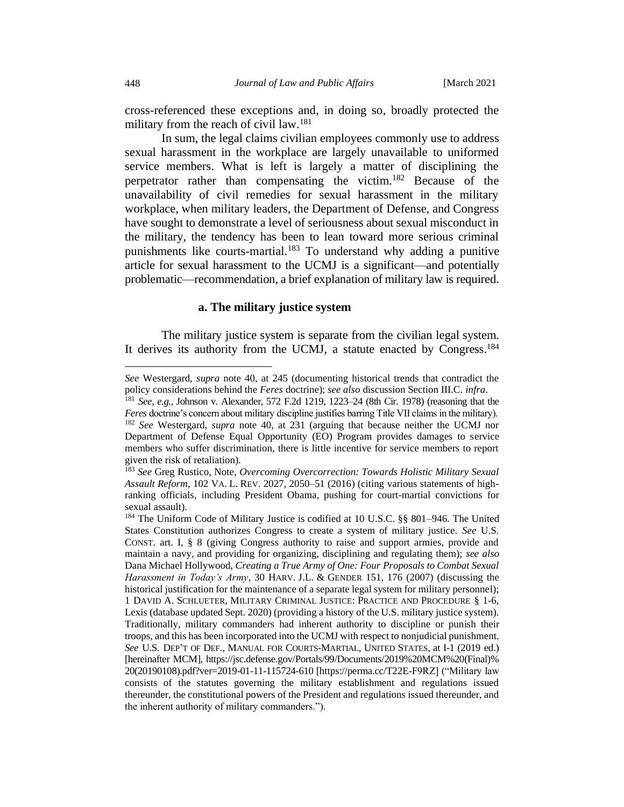cross-referenced these exceptions and, in doing so, broadly protected the military from the reach of civil law.<sup>181</sup>

In sum, the legal claims civilian employees commonly use to address sexual harassment in the workplace are largely unavailable to uniformed service members. What is left is largely a matter of disciplining the perpetrator rather than compensating the victim.<sup>182</sup> Because of the unavailability of civil remedies for sexual harassment in the military workplace, when military leaders, the Department of Defense, and Congress have sought to demonstrate a level of seriousness about sexual misconduct in the military, the tendency has been to lean toward more serious criminal punishments like courts-martial.<sup>183</sup> To understand why adding a punitive article for sexual harassment to the UCMJ is a significant—and potentially problematic—recommendation, a brief explanation of military law is required.

#### **a. The military justice system**

<span id="page-35-0"></span>The military justice system is separate from the civilian legal system. It derives its authority from the UCMJ, a statute enacted by Congress.<sup>184</sup>

*See* Westergard, *supra* note 40, at 245 (documenting historical trends that contradict the policy considerations behind the *Feres* doctrine); *see also* discussion Section III.C. *infra*.

<sup>181</sup> *See*, *e.g.*, Johnson v. Alexander, 572 F.2d 1219, 1223–24 (8th Cir. 1978) (reasoning that the *Feres* doctrine's concern about military discipline justifies barring Title VII claims in the military). <sup>182</sup> *See* Westergard, *supra* note 40, at 231 (arguing that because neither the UCMJ nor Department of Defense Equal Opportunity (EO) Program provides damages to service members who suffer discrimination, there is little incentive for service members to report given the risk of retaliation).

<sup>183</sup> *See* Greg Rustico, Note, *Overcoming Overcorrection: Towards Holistic Military Sexual Assault Reform*, 102 VA. L. REV. 2027, 2050–51 (2016) (citing various statements of highranking officials, including President Obama, pushing for court-martial convictions for sexual assault).

<sup>184</sup> The Uniform Code of Military Justice is codified at 10 U.S.C. §§ 801–946*.* The United States Constitution authorizes Congress to create a system of military justice. *See* U.S. CONST. art. I, § 8 (giving Congress authority to raise and support armies, provide and maintain a navy, and providing for organizing, disciplining and regulating them); *see also* Dana Michael Hollywood, *Creating a True Army of One: Four Proposals to Combat Sexual Harassment in Today's Army*, 30 HARV. J.L. & GENDER 151, 176 (2007) (discussing the historical justification for the maintenance of a separate legal system for military personnel); 1 DAVID A. SCHLUETER, MILITARY CRIMINAL JUSTICE: PRACTICE AND PROCEDURE § 1-6, Lexis (database updated Sept. 2020) (providing a history of the U.S. military justice system). Traditionally, military commanders had inherent authority to discipline or punish their troops, and this has been incorporated into the UCMJ with respect to nonjudicial punishment. *See* U.S. DEP'T OF DEF., MANUAL FOR COURTS-MARTIAL, UNITED STATES, at I-1 (2019 ed.) [hereinafter MCM], https://jsc.defense.gov/Portals/99/Documents/2019%20MCM%20(Final)% 20(20190108).pdf?ver=2019-01-11-115724-610 [https://perma.cc/T22E-F9RZ] ("Military law consists of the statutes governing the military establishment and regulations issued thereunder, the constitutional powers of the President and regulations issued thereunder, and the inherent authority of military commanders.").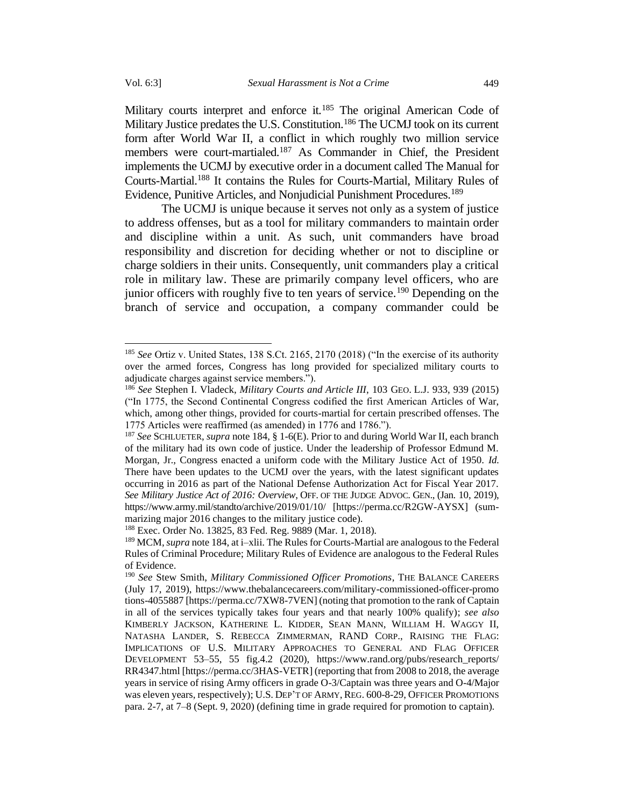Military courts interpret and enforce it.<sup>185</sup> The original American Code of Military Justice predates the U.S. Constitution.<sup>186</sup> The UCMJ took on its current form after World War II, a conflict in which roughly two million service members were court-martialed.<sup>187</sup> As Commander in Chief, the President implements the UCMJ by executive order in a document called The Manual for Courts-Martial.<sup>188</sup> It contains the Rules for Courts-Martial, Military Rules of Evidence, Punitive Articles, and Nonjudicial Punishment Procedures.<sup>189</sup>

The UCMJ is unique because it serves not only as a system of justice to address offenses, but as a tool for military commanders to maintain order and discipline within a unit. As such, unit commanders have broad responsibility and discretion for deciding whether or not to discipline or charge soldiers in their units. Consequently, unit commanders play a critical role in military law. These are primarily company level officers, who are junior officers with roughly five to ten years of service.<sup>190</sup> Depending on the branch of service and occupation, a company commander could be

<sup>185</sup> *See* Ortiz v. United States, 138 S.Ct. 2165, 2170 (2018) ("In the exercise of its authority over the armed forces, Congress has long provided for specialized military courts to adjudicate charges against service members.").

<sup>186</sup> *See* Stephen I. Vladeck, *Military Courts and Article III*, 103 GEO. L.J. 933, 939 (2015) ("In 1775, the Second Continental Congress codified the first American Articles of War, which, among other things, provided for courts-martial for certain prescribed offenses. The 1775 Articles were reaffirmed (as amended) in 1776 and 1786.").

<sup>187</sup> *See* SCHLUETER, *supra* note 184, § 1-6(E). Prior to and during World War II, each branch of the military had its own code of justice. Under the leadership of Professor Edmund M. Morgan, Jr., Congress enacted a uniform code with the Military Justice Act of 1950. *Id.* There have been updates to the UCMJ over the years, with the latest significant updates occurring in 2016 as part of the National Defense Authorization Act for Fiscal Year 2017. *See Military Justice Act of 2016: Overview*, OFF. OF THE JUDGE ADVOC. GEN., (Jan. 10, 2019), https://www.army.mil/standto/archive/2019/01/10/ [https://perma.cc/R2GW-AYSX] (summarizing major 2016 changes to the military justice code).

<sup>188</sup> Exec. Order No. 13825, 83 Fed. Reg. 9889 (Mar. 1, 2018).

<sup>189</sup> MCM, *supra* note 184, at i–xlii. The Rules for Courts-Martial are analogous to the Federal Rules of Criminal Procedure; Military Rules of Evidence are analogous to the Federal Rules of Evidence.

<sup>190</sup> *See* Stew Smith, *Military Commissioned Officer Promotions*, THE BALANCE CAREERS (July 17, 2019), https://www.thebalancecareers.com/military-commissioned-officer-promo tions-4055887 [https://perma.cc/7XW8-7VEN] (noting that promotion to the rank of Captain in all of the services typically takes four years and that nearly 100% qualify); *see also*  KIMBERLY JACKSON, KATHERINE L. KIDDER, SEAN MANN, WILLIAM H. WAGGY II, NATASHA LANDER, S. REBECCA ZIMMERMAN, RAND CORP., RAISING THE FLAG: IMPLICATIONS OF U.S. MILITARY APPROACHES TO GENERAL AND FLAG OFFICER DEVELOPMENT 53–55, 55 fig.4.2 (2020), https://www.rand.org/pubs/research\_reports/ RR4347.html [https://perma.cc/3HAS-VETR] (reporting that from 2008 to 2018, the average years in service of rising Army officers in grade O-3/Captain was three years and O-4/Major was eleven years, respectively); U.S. DEP'T OF ARMY, REG. 600-8-29, OFFICER PROMOTIONS para. 2-7, at 7–8 (Sept. 9, 2020) (defining time in grade required for promotion to captain).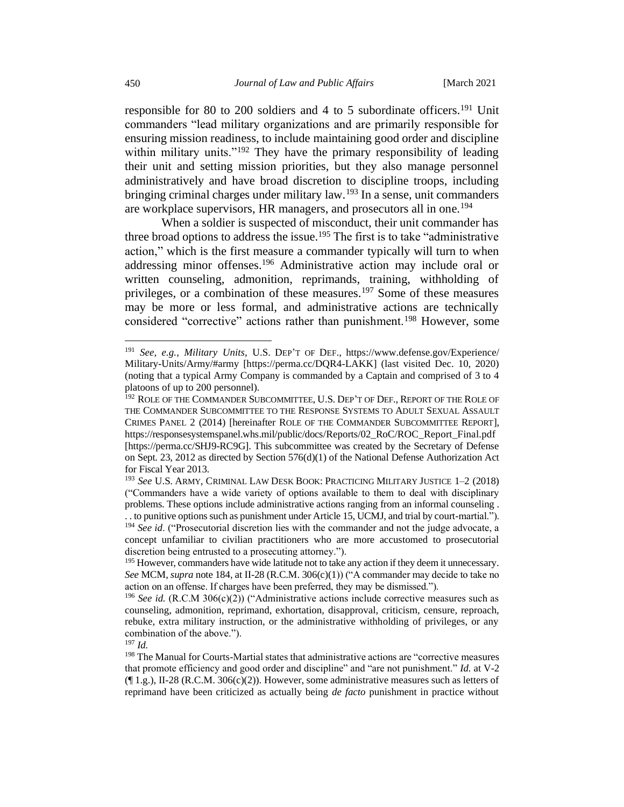responsible for 80 to 200 soldiers and 4 to 5 subordinate officers.<sup>191</sup> Unit commanders "lead military organizations and are primarily responsible for ensuring mission readiness, to include maintaining good order and discipline within military units."<sup>192</sup> They have the primary responsibility of leading their unit and setting mission priorities, but they also manage personnel administratively and have broad discretion to discipline troops, including bringing criminal charges under military law.<sup>193</sup> In a sense, unit commanders are workplace supervisors, HR managers, and prosecutors all in one.<sup>194</sup>

When a soldier is suspected of misconduct, their unit commander has three broad options to address the issue.<sup>195</sup> The first is to take "administrative" action," which is the first measure a commander typically will turn to when addressing minor offenses.<sup>196</sup> Administrative action may include oral or written counseling, admonition, reprimands, training, withholding of privileges, or a combination of these measures.<sup>197</sup> Some of these measures may be more or less formal, and administrative actions are technically considered "corrective" actions rather than punishment.<sup>198</sup> However, some

<sup>191</sup> *See, e.g.*, *Military Units*, U.S. DEP'T OF DEF., https://www.defense.gov/Experience/ Military-Units/Army/#army [https://perma.cc/DQR4-LAKK] (last visited Dec. 10, 2020) (noting that a typical Army Company is commanded by a Captain and comprised of 3 to 4 platoons of up to 200 personnel).

<sup>&</sup>lt;sup>192</sup> ROLE OF THE COMMANDER SUBCOMMITTEE, U.S. DEP'T OF DEF., REPORT OF THE ROLE OF THE COMMANDER SUBCOMMITTEE TO THE RESPONSE SYSTEMS TO ADULT SEXUAL ASSAULT CRIMES PANEL 2 (2014) [hereinafter ROLE OF THE COMMANDER SUBCOMMITTEE REPORT], https://responsesystemspanel.whs.mil/public/docs/Reports/02\_RoC/ROC\_Report\_Final.pdf [https://perma.cc/SHJ9-RC9G]. This subcommittee was created by the Secretary of Defense on Sept. 23, 2012 as directed by Section 576(d)(1) of the National Defense Authorization Act for Fiscal Year 2013.

<sup>193</sup> *See* U.S. ARMY, CRIMINAL LAW DESK BOOK: PRACTICING MILITARY JUSTICE 1–2 (2018) ("Commanders have a wide variety of options available to them to deal with disciplinary problems. These options include administrative actions ranging from an informal counseling . . . to punitive options such as punishment under Article 15, UCMJ, and trial by court-martial."). <sup>194</sup> *See id*. ("Prosecutorial discretion lies with the commander and not the judge advocate, a concept unfamiliar to civilian practitioners who are more accustomed to prosecutorial

discretion being entrusted to a prosecuting attorney.").

<sup>&</sup>lt;sup>195</sup> However, commanders have wide latitude not to take any action if they deem it unnecessary. *See* MCM, *supra* note 184, at II-28 (R.C.M. 306(c)(1)) ("A commander may decide to take no action on an offense. If charges have been preferred, they may be dismissed.").

<sup>196</sup> *See id.* (R.C.M 306(c)(2)) ("Administrative actions include corrective measures such as counseling, admonition, reprimand, exhortation, disapproval, criticism, censure, reproach, rebuke, extra military instruction, or the administrative withholding of privileges, or any combination of the above.").

<sup>197</sup> *Id.*

<sup>&</sup>lt;sup>198</sup> The Manual for Courts-Martial states that administrative actions are "corrective measures that promote efficiency and good order and discipline" and "are not punishment." *Id.* at V-2  $($ [ $\vert$  1.g.), II-28 (R.C.M. 306(c)(2)). However, some administrative measures such as letters of reprimand have been criticized as actually being *de facto* punishment in practice without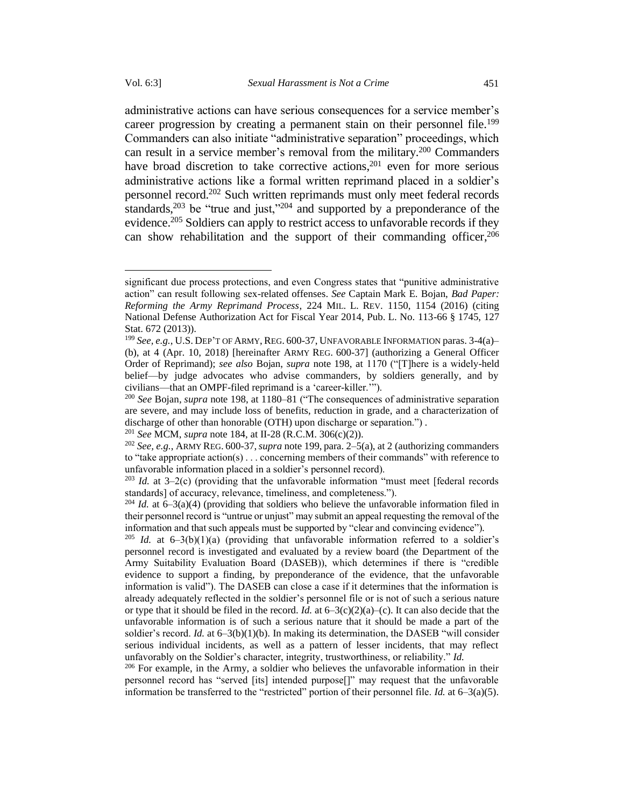administrative actions can have serious consequences for a service member's career progression by creating a permanent stain on their personnel file.<sup>199</sup> Commanders can also initiate "administrative separation" proceedings, which can result in a service member's removal from the military.<sup>200</sup> Commanders have broad discretion to take corrective actions,<sup>201</sup> even for more serious administrative actions like a formal written reprimand placed in a soldier's personnel record.<sup>202</sup> Such written reprimands must only meet federal records standards,<sup>203</sup> be "true and just,"<sup>204</sup> and supported by a preponderance of the evidence.<sup>205</sup> Soldiers can apply to restrict access to unfavorable records if they can show rehabilitation and the support of their commanding officer, 206

significant due process protections, and even Congress states that "punitive administrative action" can result following sex-related offenses. *See* Captain Mark E. Bojan, *Bad Paper: Reforming the Army Reprimand Process*, 224 MIL. L. REV. 1150, 1154 (2016) (citing National Defense Authorization Act for Fiscal Year 2014, Pub. L. No. 113-66 § 1745, 127 Stat. 672 (2013)).

<sup>199</sup> *See, e.g.*, U.S. DEP'T OF ARMY, REG. 600-37, UNFAVORABLE INFORMATION paras. 3-4(a)– (b), at 4 (Apr. 10, 2018) [hereinafter ARMY REG. 600-37] (authorizing a General Officer Order of Reprimand); *see also* Bojan, *supra* note 198, at 1170 ("[T]here is a widely-held belief—by judge advocates who advise commanders, by soldiers generally, and by civilians—that an OMPF-filed reprimand is a 'career-killer.'").

<sup>200</sup> *See* Bojan*, supra* note 198, at 1180–81 ("The consequences of administrative separation are severe, and may include loss of benefits, reduction in grade, and a characterization of discharge of other than honorable (OTH) upon discharge or separation.") *.*

<sup>201</sup> *See* MCM, *supra* note 184, at II-28 (R.C.M. 306(c)(2)).

<sup>202</sup> *See, e.g.*, ARMY REG. 600-37,*supra* note 199, para. 2–5(a), at 2 (authorizing commanders to "take appropriate action(s)... concerning members of their commands" with reference to unfavorable information placed in a soldier's personnel record).

<sup>203</sup> *Id.* at 3–2(c) (providing that the unfavorable information "must meet [federal records standards] of accuracy, relevance, timeliness, and completeness.").

<sup>&</sup>lt;sup>204</sup> *Id.* at  $6-3(a)(4)$  (providing that soldiers who believe the unfavorable information filed in their personnel record is "untrue or unjust" may submit an appeal requesting the removal of the information and that such appeals must be supported by "clear and convincing evidence")*.*

<sup>&</sup>lt;sup>205</sup> *Id.* at  $6-3(b)(1)(a)$  (providing that unfavorable information referred to a soldier's personnel record is investigated and evaluated by a review board (the Department of the Army Suitability Evaluation Board (DASEB)), which determines if there is "credible evidence to support a finding, by preponderance of the evidence, that the unfavorable information is valid"). The DASEB can close a case if it determines that the information is already adequately reflected in the soldier's personnel file or is not of such a serious nature or type that it should be filed in the record. *Id.* at  $6-3(c)(2)(a)-(c)$ . It can also decide that the unfavorable information is of such a serious nature that it should be made a part of the soldier's record. *Id.* at 6–3(b)(1)(b). In making its determination, the DASEB "will consider serious individual incidents, as well as a pattern of lesser incidents, that may reflect unfavorably on the Soldier's character, integrity, trustworthiness, or reliability." *Id.*

 $206$  For example, in the Army, a soldier who believes the unfavorable information in their personnel record has "served [its] intended purpose[]" may request that the unfavorable information be transferred to the "restricted" portion of their personnel file. *Id.* at 6–3(a)(5).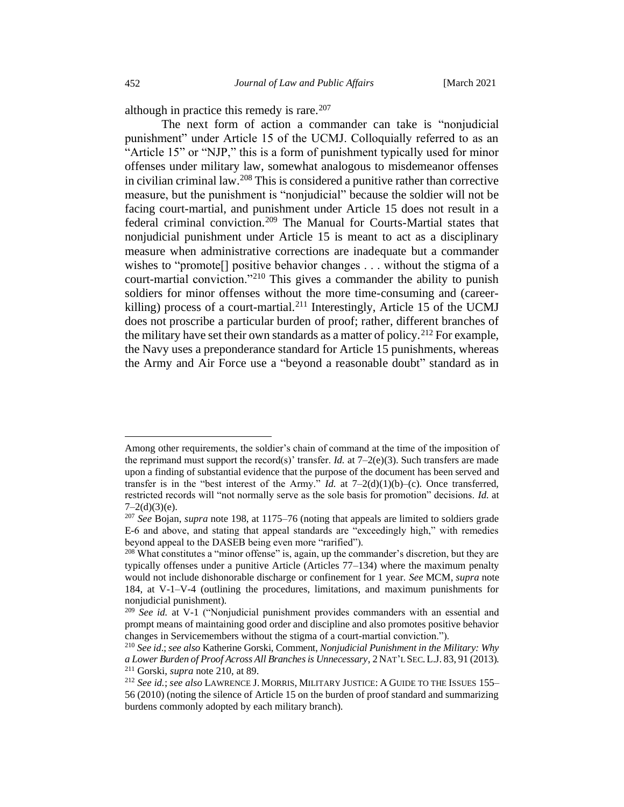although in practice this remedy is rare.<sup>207</sup>

The next form of action a commander can take is "nonjudicial punishment" under Article 15 of the UCMJ. Colloquially referred to as an "Article 15" or "NJP," this is a form of punishment typically used for minor offenses under military law, somewhat analogous to misdemeanor offenses in civilian criminal law. <sup>208</sup> This is considered a punitive rather than corrective measure, but the punishment is "nonjudicial" because the soldier will not be facing court-martial, and punishment under Article 15 does not result in a federal criminal conviction.<sup>209</sup> The Manual for Courts-Martial states that nonjudicial punishment under Article 15 is meant to act as a disciplinary measure when administrative corrections are inadequate but a commander wishes to "promote<sup>[]</sup> positive behavior changes . . . without the stigma of a court-martial conviction."<sup>210</sup> This gives a commander the ability to punish soldiers for minor offenses without the more time-consuming and (careerkilling) process of a court-martial.<sup>211</sup> Interestingly, Article 15 of the UCMJ does not proscribe a particular burden of proof; rather, different branches of the military have set their own standards as a matter of policy.<sup>212</sup> For example, the Navy uses a preponderance standard for Article 15 punishments, whereas the Army and Air Force use a "beyond a reasonable doubt" standard as in

Among other requirements, the soldier's chain of command at the time of the imposition of the reprimand must support the record(s)' transfer. *Id.* at  $7-2(e)(3)$ . Such transfers are made upon a finding of substantial evidence that the purpose of the document has been served and transfer is in the "best interest of the Army." *Id.* at 7–2(d)(1)(b)–(c). Once transferred, restricted records will "not normally serve as the sole basis for promotion" decisions. *Id.* at  $7-2(d)(3)(e)$ .

<sup>207</sup> *See* Bojan, *supra* note 198, at 1175–76 (noting that appeals are limited to soldiers grade E-6 and above, and stating that appeal standards are "exceedingly high," with remedies beyond appeal to the DASEB being even more "rarified").

<sup>&</sup>lt;sup>208</sup> What constitutes a "minor offense" is, again, up the commander's discretion, but they are typically offenses under a punitive Article (Articles 77–134) where the maximum penalty would not include dishonorable discharge or confinement for 1 year. *See* MCM, *supra* note 184, at V-1–V-4 (outlining the procedures, limitations, and maximum punishments for nonjudicial punishment).

<sup>209</sup> *See id.* at V-1 ("Nonjudicial punishment provides commanders with an essential and prompt means of maintaining good order and discipline and also promotes positive behavior changes in Servicemembers without the stigma of a court-martial conviction.").

<sup>210</sup> *See id*.; *see also* Katherine Gorski, Comment, *Nonjudicial Punishment in the Military: Why a Lower Burden of Proof Across All Branches is Unnecessary*, 2 NAT'L SEC.L.J. 83, 91 (2013). <sup>211</sup> Gorski, *supra* note 210, at 89.

<sup>212</sup> *See id.*; *see also* LAWRENCE J. MORRIS, MILITARY JUSTICE: A GUIDE TO THE ISSUES 155– 56 (2010) (noting the silence of Article 15 on the burden of proof standard and summarizing burdens commonly adopted by each military branch).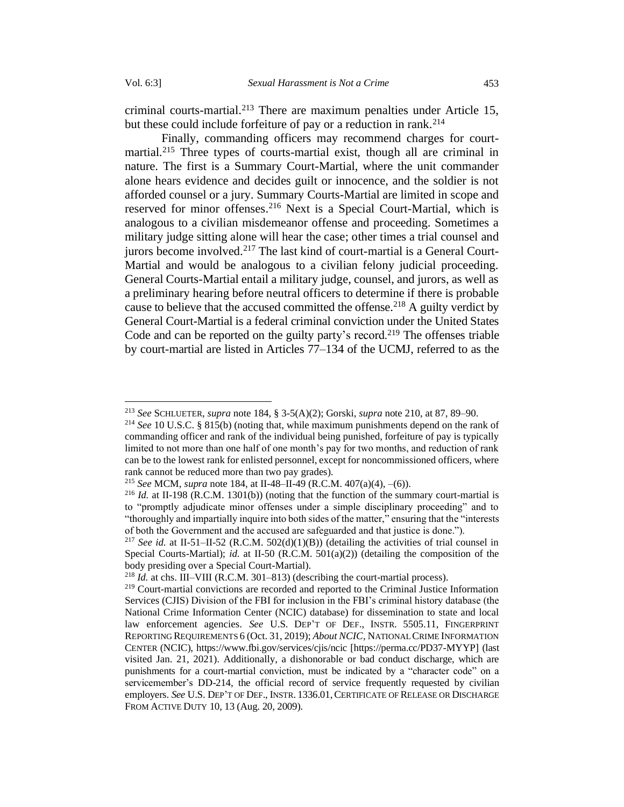criminal courts-martial.<sup>213</sup> There are maximum penalties under Article 15, but these could include forfeiture of pay or a reduction in rank.<sup>214</sup>

Finally, commanding officers may recommend charges for courtmartial.<sup>215</sup> Three types of courts-martial exist, though all are criminal in nature. The first is a Summary Court-Martial, where the unit commander alone hears evidence and decides guilt or innocence, and the soldier is not afforded counsel or a jury. Summary Courts-Martial are limited in scope and reserved for minor offenses. <sup>216</sup> Next is a Special Court-Martial, which is analogous to a civilian misdemeanor offense and proceeding. Sometimes a military judge sitting alone will hear the case; other times a trial counsel and jurors become involved.<sup>217</sup> The last kind of court-martial is a General Court-Martial and would be analogous to a civilian felony judicial proceeding. General Courts-Martial entail a military judge, counsel, and jurors, as well as a preliminary hearing before neutral officers to determine if there is probable cause to believe that the accused committed the offense.<sup>218</sup> A guilty verdict by General Court-Martial is a federal criminal conviction under the United States Code and can be reported on the guilty party's record.<sup>219</sup> The offenses triable by court-martial are listed in Articles 77–134 of the UCMJ, referred to as the

<sup>213</sup> *See* SCHLUETER, *supra* note 184, § 3-5(A)(2); Gorski, *supra* note 210, at 87, 89–90.

<sup>214</sup> *See* 10 U.S.C. § 815(b) (noting that, while maximum punishments depend on the rank of commanding officer and rank of the individual being punished, forfeiture of pay is typically limited to not more than one half of one month's pay for two months, and reduction of rank can be to the lowest rank for enlisted personnel, except for noncommissioned officers, where rank cannot be reduced more than two pay grades).

<sup>215</sup> *See* MCM, *supra* note 184, at II-48–II-49 (R.C.M. 407(a)(4), –(6)).

<sup>216</sup> *Id.* at II-198 (R.C.M. 1301(b)) (noting that the function of the summary court-martial is to "promptly adjudicate minor offenses under a simple disciplinary proceeding" and to "thoroughly and impartially inquire into both sides of the matter," ensuring that the "interests of both the Government and the accused are safeguarded and that justice is done.").

<sup>&</sup>lt;sup>217</sup> *See id.* at II-51–II-52 (R.C.M. 502(d)(1)(B)) (detailing the activities of trial counsel in Special Courts-Martial); *id.* at II-50 (R.C.M. 501(a)(2)) (detailing the composition of the body presiding over a Special Court-Martial).

<sup>218</sup> *Id.* at chs. III–VIII (R.C.M. 301–813) (describing the court-martial process).

<sup>&</sup>lt;sup>219</sup> Court-martial convictions are recorded and reported to the Criminal Justice Information Services (CJIS) Division of the FBI for inclusion in the FBI's criminal history database (the National Crime Information Center (NCIC) database) for dissemination to state and local law enforcement agencies. *See* U.S. DEP'T OF DEF., INSTR. 5505.11, FINGERPRINT REPORTING REQUIREMENTS 6 (Oct. 31, 2019); *About NCIC*, NATIONAL CRIME INFORMATION CENTER (NCIC), https://www.fbi.gov/services/cjis/ncic [https://perma.cc/PD37-MYYP] (last visited Jan. 21, 2021). Additionally, a dishonorable or bad conduct discharge, which are punishments for a court-martial conviction, must be indicated by a "character code" on a servicemember's DD-214, the official record of service frequently requested by civilian employers. *See* U.S. DEP'T OF DEF., INSTR. 1336.01, CERTIFICATE OF RELEASE OR DISCHARGE FROM ACTIVE DUTY 10, 13 (Aug. 20, 2009).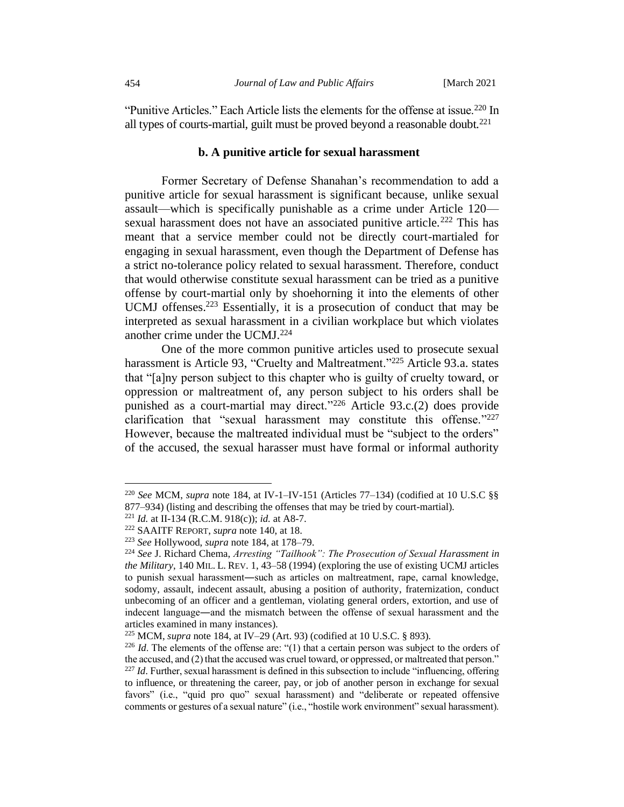"Punitive Articles." Each Article lists the elements for the offense at issue.<sup>220</sup> In all types of courts-martial, guilt must be proved beyond a reasonable doubt.<sup>221</sup>

# **b. A punitive article for sexual harassment**

Former Secretary of Defense Shanahan's recommendation to add a punitive article for sexual harassment is significant because, unlike sexual assault—which is specifically punishable as a crime under Article 120 sexual harassment does not have an associated punitive article.<sup>222</sup> This has meant that a service member could not be directly court-martialed for engaging in sexual harassment, even though the Department of Defense has a strict no-tolerance policy related to sexual harassment. Therefore, conduct that would otherwise constitute sexual harassment can be tried as a punitive offense by court-martial only by shoehorning it into the elements of other UCMJ offenses.<sup>223</sup> Essentially, it is a prosecution of conduct that may be interpreted as sexual harassment in a civilian workplace but which violates another crime under the UCMJ.<sup>224</sup>

One of the more common punitive articles used to prosecute sexual harassment is Article 93, "Cruelty and Maltreatment."<sup>225</sup> Article 93.a. states that "[a]ny person subject to this chapter who is guilty of cruelty toward, or oppression or maltreatment of, any person subject to his orders shall be punished as a court-martial may direct."<sup>226</sup> Article 93.c.(2) does provide clarification that "sexual harassment may constitute this offense."227 However, because the maltreated individual must be "subject to the orders" of the accused, the sexual harasser must have formal or informal authority

<sup>220</sup> *See* MCM, *supra* note 184, at IV-1–IV-151 (Articles 77–134) (codified at 10 U.S.C §§ 877–934) (listing and describing the offenses that may be tried by court-martial).

<sup>221</sup> *Id.* at II-134 (R.C.M. 918(c)); *id.* at A8-7.

<sup>222</sup> SAAITF REPORT, *supra* note 140, at 18.

<sup>223</sup> *See* Hollywood, *supra* note 184, at 178–79.

<sup>224</sup> *See* J. Richard Chema, *Arresting "Tailhook": The Prosecution of Sexual Harassment in the Military*, 140 MIL. L. REV. 1, 43–58 (1994) (exploring the use of existing UCMJ articles to punish sexual harassment―such as articles on maltreatment, rape, carnal knowledge, sodomy, assault, indecent assault, abusing a position of authority, fraternization, conduct unbecoming of an officer and a gentleman, violating general orders, extortion, and use of indecent language―and the mismatch between the offense of sexual harassment and the articles examined in many instances).

<sup>225</sup> MCM, *supra* note 184, at IV–29 (Art. 93) (codified at 10 U.S.C. § 893).

<sup>&</sup>lt;sup>226</sup> *Id*. The elements of the offense are: "(1) that a certain person was subject to the orders of the accused, and (2) that the accused was cruel toward, or oppressed, or maltreated that person." <sup>227</sup> *Id*. Further, sexual harassment is defined in this subsection to include "influencing, offering to influence, or threatening the career, pay, or job of another person in exchange for sexual favors" (i.e., "quid pro quo" sexual harassment) and "deliberate or repeated offensive comments or gestures of a sexual nature" (i.e., "hostile work environment" sexual harassment).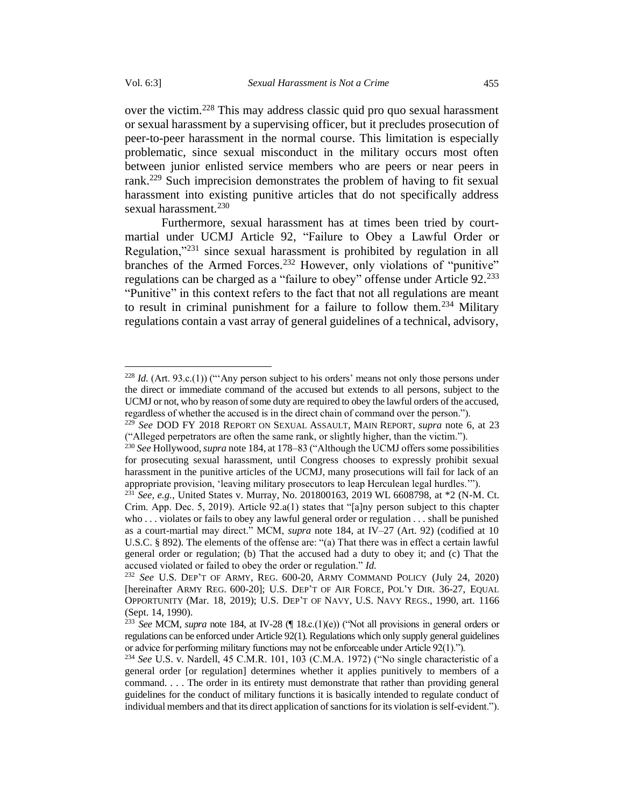over the victim.<sup>228</sup> This may address classic quid pro quo sexual harassment or sexual harassment by a supervising officer, but it precludes prosecution of peer-to-peer harassment in the normal course. This limitation is especially problematic, since sexual misconduct in the military occurs most often between junior enlisted service members who are peers or near peers in rank.<sup>229</sup> Such imprecision demonstrates the problem of having to fit sexual harassment into existing punitive articles that do not specifically address sexual harassment.<sup>230</sup>

Furthermore, sexual harassment has at times been tried by courtmartial under UCMJ Article 92, "Failure to Obey a Lawful Order or Regulation,"<sup>231</sup> since sexual harassment is prohibited by regulation in all branches of the Armed Forces.<sup>232</sup> However, only violations of "punitive" regulations can be charged as a "failure to obey" offense under Article 92.<sup>233</sup> "Punitive" in this context refers to the fact that not all regulations are meant to result in criminal punishment for a failure to follow them.<sup>234</sup> Military regulations contain a vast array of general guidelines of a technical, advisory,

<sup>228</sup> *Id.* (Art. 93.c.(1)) ("'Any person subject to his orders' means not only those persons under the direct or immediate command of the accused but extends to all persons, subject to the UCMJ or not, who by reason of some duty are required to obey the lawful orders of the accused, regardless of whether the accused is in the direct chain of command over the person.").

<sup>229</sup> *See* DOD FY 2018 REPORT ON SEXUAL ASSAULT, MAIN REPORT, *supra* note [6,](#page-3-0) at 23 ("Alleged perpetrators are often the same rank, or slightly higher, than the victim.").

<sup>230</sup> *See* Hollywood, *supra* note 184, at 178–83 ("Although the UCMJ offers some possibilities for prosecuting sexual harassment, until Congress chooses to expressly prohibit sexual harassment in the punitive articles of the UCMJ, many prosecutions will fail for lack of an appropriate provision, 'leaving military prosecutors to leap Herculean legal hurdles.'").

<sup>231</sup> *See, e.g.,* United States v. Murray, No. 201800163, 2019 WL 6608798, at \*2 (N-M. Ct. Crim. App. Dec. 5, 2019). Article 92.a(1) states that "[a]ny person subject to this chapter who . . . violates or fails to obey any lawful general order or regulation . . . shall be punished as a court-martial may direct." MCM, *supra* note 184, at IV–27 (Art. 92) (codified at 10 U.S.C. § 892). The elements of the offense are: "(a) That there was in effect a certain lawful general order or regulation; (b) That the accused had a duty to obey it; and (c) That the accused violated or failed to obey the order or regulation." *Id.*

<sup>232</sup> *See* U.S. DEP'T OF ARMY, REG. 600-20, ARMY COMMAND POLICY (July 24, 2020) [hereinafter ARMY REG. 600-20]; U.S. DEP'T OF AIR FORCE, POL'Y DIR. 36-27, EQUAL OPPORTUNITY (Mar. 18, 2019); U.S. DEP'T OF NAVY, U.S. NAVY REGS., 1990, art. 1166 (Sept. 14, 1990).

<sup>233</sup> *See* MCM, *supra* note 184, at IV-28 (¶ 18.c.(1)(e)) ("Not all provisions in general orders or regulations can be enforced under Article 92(1). Regulations which only supply general guidelines or advice for performing military functions may not be enforceable under Article 92(1).").

<sup>234</sup> *See* U.S. v. Nardell, 45 C.M.R. 101, 103 (C.M.A. 1972) ("No single characteristic of a general order [or regulation] determines whether it applies punitively to members of a command. . . . The order in its entirety must demonstrate that rather than providing general guidelines for the conduct of military functions it is basically intended to regulate conduct of individual members and that its direct application of sanctions for its violation is self-evident.").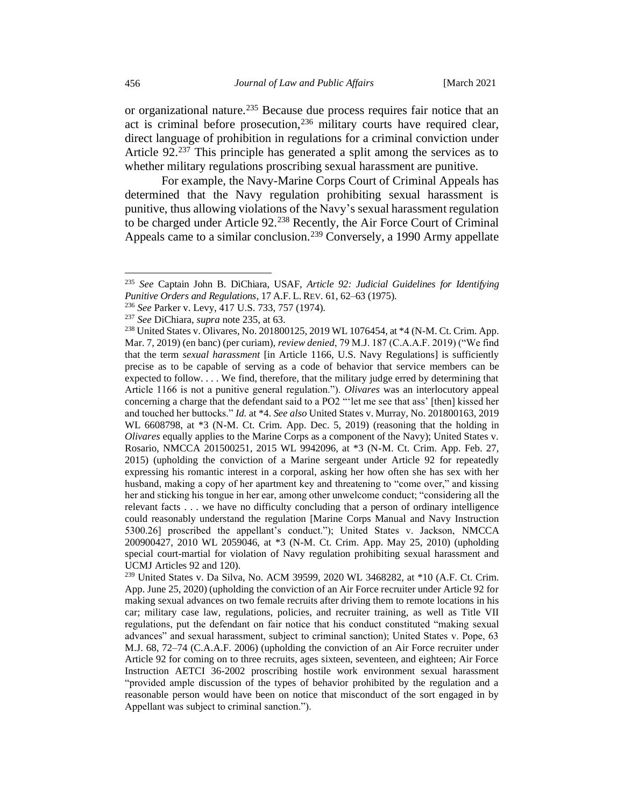or organizational nature.<sup>235</sup> Because due process requires fair notice that an act is criminal before prosecution,<sup>236</sup> military courts have required clear, direct language of prohibition in regulations for a criminal conviction under Article 92. <sup>237</sup> This principle has generated a split among the services as to whether military regulations proscribing sexual harassment are punitive.

For example, the Navy-Marine Corps Court of Criminal Appeals has determined that the Navy regulation prohibiting sexual harassment is punitive, thus allowing violations of the Navy's sexual harassment regulation to be charged under Article 92.<sup>238</sup> Recently, the Air Force Court of Criminal Appeals came to a similar conclusion.<sup>239</sup> Conversely, a 1990 Army appellate

<sup>237</sup> *See* DiChiara, *supra* note 235, at 63.

<sup>235</sup> *See* Captain John B. DiChiara, USAF, *Article 92: Judicial Guidelines for Identifying Punitive Orders and Regulations*, 17 A.F. L. REV. 61, 62–63 (1975).

<sup>236</sup> *See* Parker v. Levy, 417 U.S. 733, 757 (1974).

<sup>238</sup> United States v. Olivares, No. 201800125, 2019 WL 1076454, at \*4 (N-M. Ct. Crim. App. Mar. 7, 2019) (en banc) (per curiam), *review denied*, 79 M.J. 187 (C.A.A.F. 2019) ("We find that the term *sexual harassment* [in Article 1166, U.S. Navy Regulations] is sufficiently precise as to be capable of serving as a code of behavior that service members can be expected to follow. . . . We find, therefore, that the military judge erred by determining that Article 1166 is not a punitive general regulation."). *Olivares* was an interlocutory appeal concerning a charge that the defendant said to a PO2 "'let me see that ass' [then] kissed her and touched her buttocks." *Id.* at \*4. *See also* United States v. Murray, No. 201800163, 2019 WL 6608798, at \*3 (N-M. Ct. Crim. App. Dec. 5, 2019) (reasoning that the holding in *Olivares* equally applies to the Marine Corps as a component of the Navy); United States v. Rosario, NMCCA 201500251, 2015 WL 9942096, at \*3 (N-M. Ct. Crim. App. Feb. 27, 2015) (upholding the conviction of a Marine sergeant under Article 92 for repeatedly expressing his romantic interest in a corporal, asking her how often she has sex with her husband, making a copy of her apartment key and threatening to "come over," and kissing her and sticking his tongue in her ear, among other unwelcome conduct; "considering all the relevant facts . . . we have no difficulty concluding that a person of ordinary intelligence could reasonably understand the regulation [Marine Corps Manual and Navy Instruction 5300.26] proscribed the appellant's conduct."); United States v. Jackson, NMCCA 200900427, 2010 WL 2059046, at \*3 (N-M. Ct. Crim. App. May 25, 2010) (upholding special court-martial for violation of Navy regulation prohibiting sexual harassment and UCMJ Articles 92 and 120).

<sup>239</sup> United States v. Da Silva, No. ACM 39599, 2020 WL 3468282, at \*10 (A.F. Ct. Crim. App. June 25, 2020) (upholding the conviction of an Air Force recruiter under Article 92 for making sexual advances on two female recruits after driving them to remote locations in his car; military case law, regulations, policies, and recruiter training, as well as Title VII regulations, put the defendant on fair notice that his conduct constituted "making sexual advances" and sexual harassment, subject to criminal sanction); United States v. Pope, 63 M.J. 68, 72–74 (C.A.A.F. 2006) (upholding the conviction of an Air Force recruiter under Article 92 for coming on to three recruits, ages sixteen, seventeen, and eighteen; Air Force Instruction AETCI 36-2002 proscribing hostile work environment sexual harassment "provided ample discussion of the types of behavior prohibited by the regulation and a reasonable person would have been on notice that misconduct of the sort engaged in by Appellant was subject to criminal sanction.").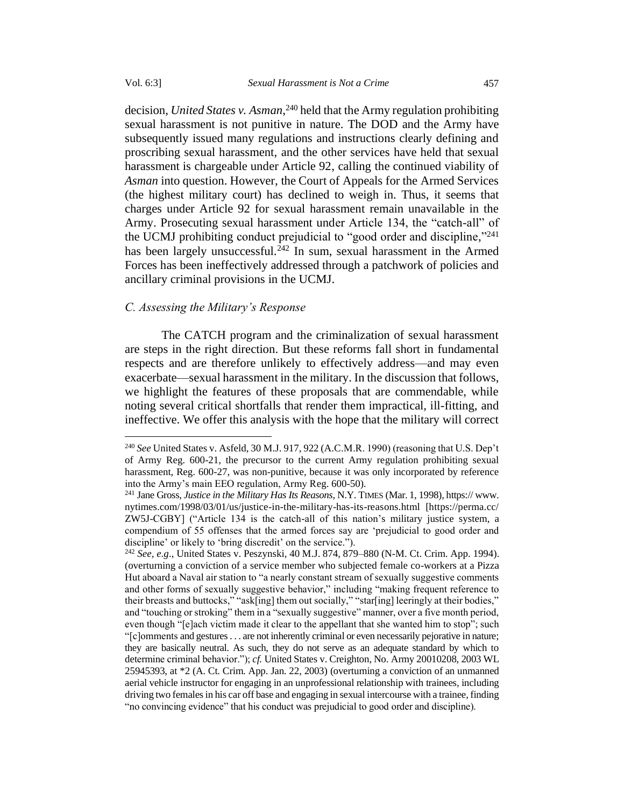decision, *United States v. Asman*, <sup>240</sup> held that the Army regulation prohibiting sexual harassment is not punitive in nature. The DOD and the Army have subsequently issued many regulations and instructions clearly defining and proscribing sexual harassment, and the other services have held that sexual harassment is chargeable under Article 92, calling the continued viability of *Asman* into question. However, the Court of Appeals for the Armed Services (the highest military court) has declined to weigh in. Thus, it seems that charges under Article 92 for sexual harassment remain unavailable in the Army. Prosecuting sexual harassment under Article 134, the "catch-all" of the UCMJ prohibiting conduct prejudicial to "good order and discipline," 241 has been largely unsuccessful.<sup>242</sup> In sum, sexual harassment in the Armed Forces has been ineffectively addressed through a patchwork of policies and ancillary criminal provisions in the UCMJ.

## *C. Assessing the Military's Response*

The CATCH program and the criminalization of sexual harassment are steps in the right direction. But these reforms fall short in fundamental respects and are therefore unlikely to effectively address—and may even exacerbate—sexual harassment in the military. In the discussion that follows, we highlight the features of these proposals that are commendable, while noting several critical shortfalls that render them impractical, ill-fitting, and ineffective. We offer this analysis with the hope that the military will correct

<sup>240</sup> *See* United States v. Asfeld, 30 M.J. 917, 922 (A.C.M.R. 1990) (reasoning that U.S. Dep't of Army Reg. 600-21, the precursor to the current Army regulation prohibiting sexual harassment, Reg. 600-27, was non-punitive, because it was only incorporated by reference into the Army's main EEO regulation, Army Reg. 600-50).

<sup>241</sup> Jane Gross, *Justice in the Military Has Its Reasons*, N.Y. TIMES (Mar. 1, 1998), https:// www. nytimes.com/1998/03/01/us/justice-in-the-military-has-its-reasons.html [https://perma.cc/ ZW5J-CGBY] ("Article 134 is the catch-all of this nation's military justice system, a compendium of 55 offenses that the armed forces say are 'prejudicial to good order and discipline' or likely to 'bring discredit' on the service.").

<sup>242</sup> *See, e.g*., United States v. Peszynski, 40 M.J. 874, 879–880 (N-M. Ct. Crim. App. 1994). (overturning a conviction of a service member who subjected female co-workers at a Pizza Hut aboard a Naval air station to "a nearly constant stream of sexually suggestive comments and other forms of sexually suggestive behavior," including "making frequent reference to their breasts and buttocks," "ask[ing] them out socially," "star[ing] leeringly at their bodies," and "touching or stroking" them in a "sexually suggestive" manner, over a five month period, even though "[e]ach victim made it clear to the appellant that she wanted him to stop"; such "[c]omments and gestures . . . are not inherently criminal or even necessarily pejorative in nature; they are basically neutral. As such, they do not serve as an adequate standard by which to determine criminal behavior."); *cf.* United States v. Creighton, No. Army 20010208, 2003 WL 25945393, at \*2 (A. Ct. Crim. App. Jan. 22, 2003) (overturning a conviction of an unmanned aerial vehicle instructor for engaging in an unprofessional relationship with trainees, including driving two females in his car off base and engaging in sexual intercourse with a trainee, finding "no convincing evidence" that his conduct was prejudicial to good order and discipline).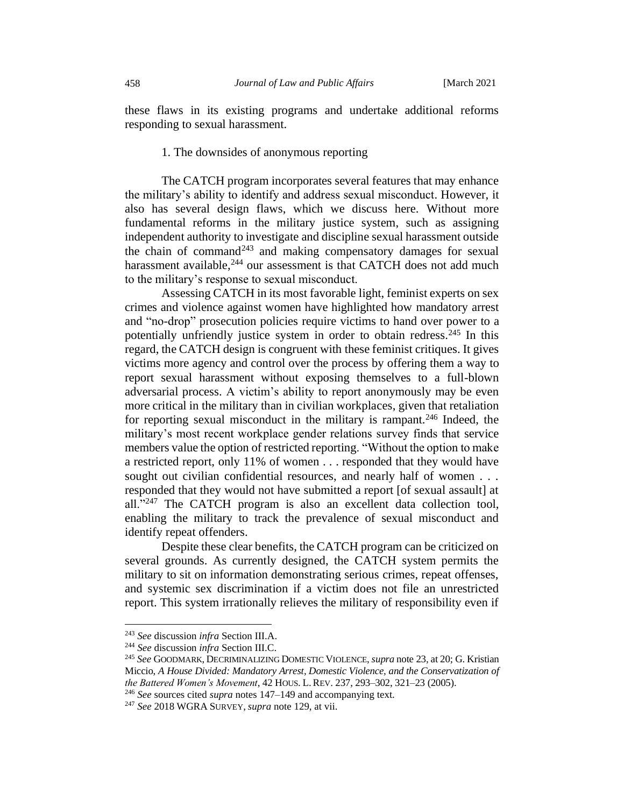these flaws in its existing programs and undertake additional reforms responding to sexual harassment.

1. The downsides of anonymous reporting

The CATCH program incorporates several features that may enhance the military's ability to identify and address sexual misconduct. However, it also has several design flaws, which we discuss here. Without more fundamental reforms in the military justice system, such as assigning independent authority to investigate and discipline sexual harassment outside the chain of command<sup>243</sup> and making compensatory damages for sexual harassment available,<sup>244</sup> our assessment is that CATCH does not add much to the military's response to sexual misconduct.

Assessing CATCH in its most favorable light, feminist experts on sex crimes and violence against women have highlighted how mandatory arrest and "no-drop" prosecution policies require victims to hand over power to a potentially unfriendly justice system in order to obtain redress.<sup>245</sup> In this regard, the CATCH design is congruent with these feminist critiques. It gives victims more agency and control over the process by offering them a way to report sexual harassment without exposing themselves to a full-blown adversarial process. A victim's ability to report anonymously may be even more critical in the military than in civilian workplaces, given that retaliation for reporting sexual misconduct in the military is rampant.<sup>246</sup> Indeed, the military's most recent workplace gender relations survey finds that service members value the option of restricted reporting. "Without the option to make a restricted report, only 11% of women . . . responded that they would have sought out civilian confidential resources, and nearly half of women . . . responded that they would not have submitted a report [of sexual assault] at all."<sup>247</sup> The CATCH program is also an excellent data collection tool, enabling the military to track the prevalence of sexual misconduct and identify repeat offenders.

Despite these clear benefits, the CATCH program can be criticized on several grounds. As currently designed, the CATCH system permits the military to sit on information demonstrating serious crimes, repeat offenses, and systemic sex discrimination if a victim does not file an unrestricted report. This system irrationally relieves the military of responsibility even if

<sup>243</sup> *See* discussion *infra* Section III.A.

<sup>244</sup> *See* discussion *infra* Section III.C.

<sup>245</sup> *See* GOODMARK, DECRIMINALIZING DOMESTIC VIOLENCE, *supra* not[e 23,](#page-6-0) at 20; G. Kristian Miccio, *A House Divided: Mandatory Arrest, Domestic Violence, and the Conservatization of the Battered Women's Movement*, 42 HOUS. L.REV. 237, 293–302, 321–23 (2005).

<sup>246</sup> *See* sources cited *supra* notes 147–149 and accompanying text.

<sup>247</sup> *See* 2018 WGRA SURVEY, *supra* note 129, at vii.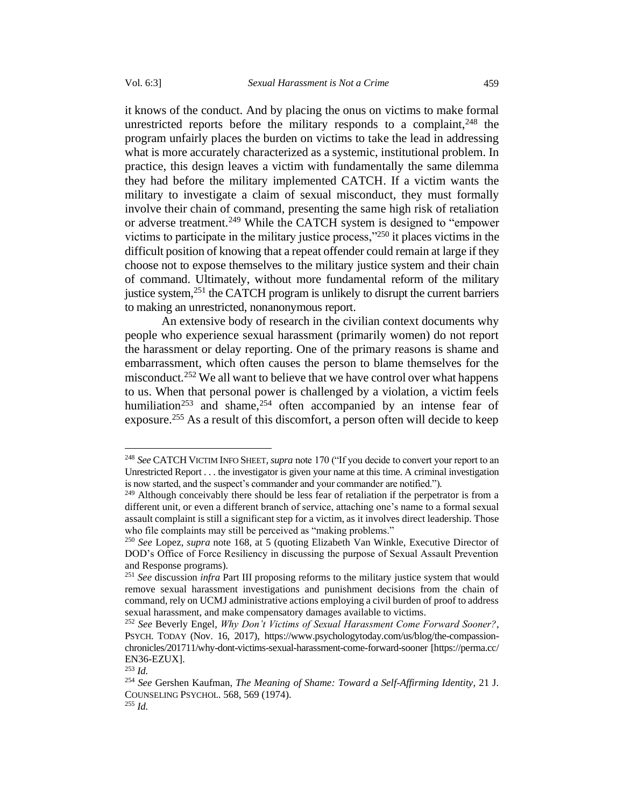it knows of the conduct. And by placing the onus on victims to make formal unrestricted reports before the military responds to a complaint,<sup>248</sup> the program unfairly places the burden on victims to take the lead in addressing what is more accurately characterized as a systemic, institutional problem. In practice, this design leaves a victim with fundamentally the same dilemma they had before the military implemented CATCH. If a victim wants the military to investigate a claim of sexual misconduct, they must formally involve their chain of command, presenting the same high risk of retaliation or adverse treatment.<sup>249</sup> While the CATCH system is designed to "empower" victims to participate in the military justice process,"<sup>250</sup> it places victims in the difficult position of knowing that a repeat offender could remain at large if they choose not to expose themselves to the military justice system and their chain of command. Ultimately, without more fundamental reform of the military justice system,<sup>251</sup> the CATCH program is unlikely to disrupt the current barriers to making an unrestricted, nonanonymous report.

An extensive body of research in the civilian context documents why people who experience sexual harassment (primarily women) do not report the harassment or delay reporting. One of the primary reasons is shame and embarrassment, which often causes the person to blame themselves for the misconduct.<sup>252</sup> We all want to believe that we have control over what happens to us. When that personal power is challenged by a violation, a victim feels humiliation<sup>253</sup> and shame,<sup>254</sup> often accompanied by an intense fear of exposure.<sup>255</sup> As a result of this discomfort, a person often will decide to keep

<sup>248</sup> *See* CATCH VICTIM INFO SHEET, *supra* note 170 ("If you decide to convert your report to an Unrestricted Report . . . the investigator is given your name at this time. A criminal investigation is now started, and the suspect's commander and your commander are notified.").

 $^{249}$  Although conceivably there should be less fear of retaliation if the perpetrator is from a different unit, or even a different branch of service, attaching one's name to a formal sexual assault complaint is still a significant step for a victim, as it involves direct leadership. Those who file complaints may still be perceived as "making problems."

<sup>250</sup> *See* Lopez, *supra* note 168, at 5 (quoting Elizabeth Van Winkle, Executive Director of DOD's Office of Force Resiliency in discussing the purpose of Sexual Assault Prevention and Response programs).

<sup>251</sup> *See* discussion *infra* Part III proposing reforms to the military justice system that would remove sexual harassment investigations and punishment decisions from the chain of command, rely on UCMJ administrative actions employing a civil burden of proof to address sexual harassment, and make compensatory damages available to victims.

<sup>252</sup> *See* Beverly Engel, *Why Don't Victims of Sexual Harassment Come Forward Sooner?*, PSYCH. TODAY (Nov. 16, 2017), https://www.psychologytoday.com/us/blog/the-compassionchronicles/201711/why-dont-victims-sexual-harassment-come-forward-sooner [https://perma.cc/ EN36-EZUX].

<sup>253</sup> *Id.*

<sup>254</sup> *See* Gershen Kaufman, *The Meaning of Shame: Toward a Self-Affirming Identity*, 21 J. COUNSELING PSYCHOL. 568, 569 (1974).

<sup>255</sup> *Id.*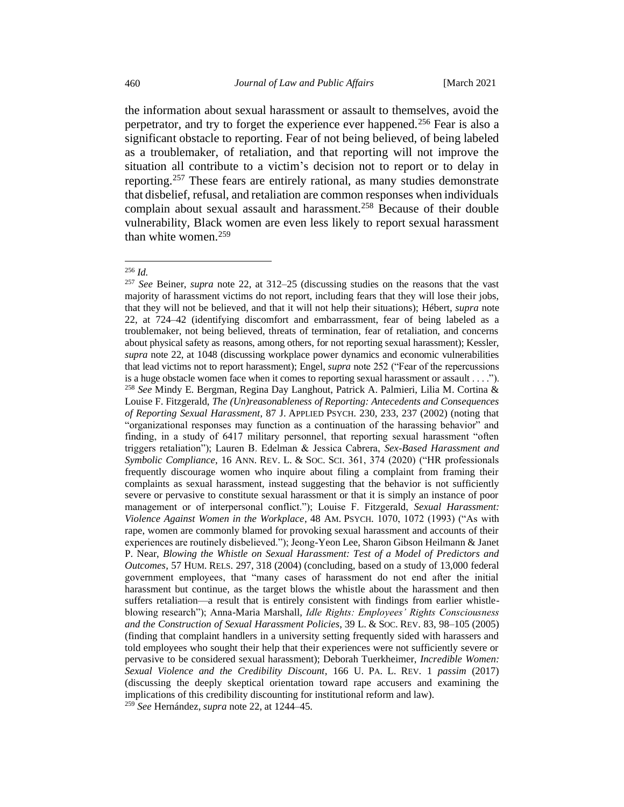the information about sexual harassment or assault to themselves, avoid the perpetrator, and try to forget the experience ever happened.<sup>256</sup> Fear is also a significant obstacle to reporting. Fear of not being believed, of being labeled as a troublemaker, of retaliation, and that reporting will not improve the situation all contribute to a victim's decision not to report or to delay in reporting.<sup>257</sup> These fears are entirely rational, as many studies demonstrate that disbelief, refusal, and retaliation are common responses when individuals complain about sexual assault and harassment.<sup>258</sup> Because of their double vulnerability, Black women are even less likely to report sexual harassment than white women.<sup>259</sup>

<sup>256</sup> *Id.*

<sup>257</sup> *See* Beiner, *supra* note [22,](#page-6-1) at 312–25 (discussing studies on the reasons that the vast majority of harassment victims do not report, including fears that they will lose their jobs, that they will not be believed, and that it will not help their situations); Hébert, *supra* note [22,](#page-6-1) at 724–42 (identifying discomfort and embarrassment, fear of being labeled as a troublemaker, not being believed, threats of termination, fear of retaliation, and concerns about physical safety as reasons, among others, for not reporting sexual harassment); Kessler, *supra* note [22,](#page-6-1) at 1048 (discussing workplace power dynamics and economic vulnerabilities that lead victims not to report harassment); Engel, *supra* note 252 ("Fear of the repercussions is a huge obstacle women face when it comes to reporting sexual harassment or assault . . . ."). <sup>258</sup> *See* Mindy E. Bergman, Regina Day Langhout, Patrick A. Palmieri, Lilia M. Cortina & Louise F. Fitzgerald, *The (Un)reasonableness of Reporting: Antecedents and Consequences of Reporting Sexual Harassment*, 87 J. APPLIED PSYCH. 230, 233, 237 (2002) (noting that "organizational responses may function as a continuation of the harassing behavior" and finding, in a study of 6417 military personnel, that reporting sexual harassment "often triggers retaliation"); Lauren B. Edelman & Jessica Cabrera, *Sex-Based Harassment and Symbolic Compliance*, 16 ANN. REV. L. & SOC. SCI. 361, 374 (2020) ("HR professionals frequently discourage women who inquire about filing a complaint from framing their complaints as sexual harassment, instead suggesting that the behavior is not sufficiently severe or pervasive to constitute sexual harassment or that it is simply an instance of poor management or of interpersonal conflict."); Louise F. Fitzgerald, *Sexual Harassment: Violence Against Women in the Workplace*, 48 AM. PSYCH. 1070, 1072 (1993) ("As with rape, women are commonly blamed for provoking sexual harassment and accounts of their experiences are routinely disbelieved."); Jeong-Yeon Lee, Sharon Gibson Heilmann & Janet P. Near, *Blowing the Whistle on Sexual Harassment: Test of a Model of Predictors and Outcomes*, 57 HUM. RELS. 297, 318 (2004) (concluding, based on a study of 13,000 federal government employees, that "many cases of harassment do not end after the initial harassment but continue, as the target blows the whistle about the harassment and then suffers retaliation—a result that is entirely consistent with findings from earlier whistleblowing research"); Anna-Maria Marshall, *Idle Rights: Employees' Rights Consciousness and the Construction of Sexual Harassment Policies*, 39 L. & SOC. REV. 83, 98–105 (2005) (finding that complaint handlers in a university setting frequently sided with harassers and told employees who sought their help that their experiences were not sufficiently severe or pervasive to be considered sexual harassment); Deborah Tuerkheimer, *Incredible Women: Sexual Violence and the Credibility Discount*, 166 U. PA. L. REV. 1 *passim* (2017) (discussing the deeply skeptical orientation toward rape accusers and examining the implications of this credibility discounting for institutional reform and law).

<sup>259</sup> *See* Hernández, *supra* not[e 22,](#page-6-1) at 1244–45.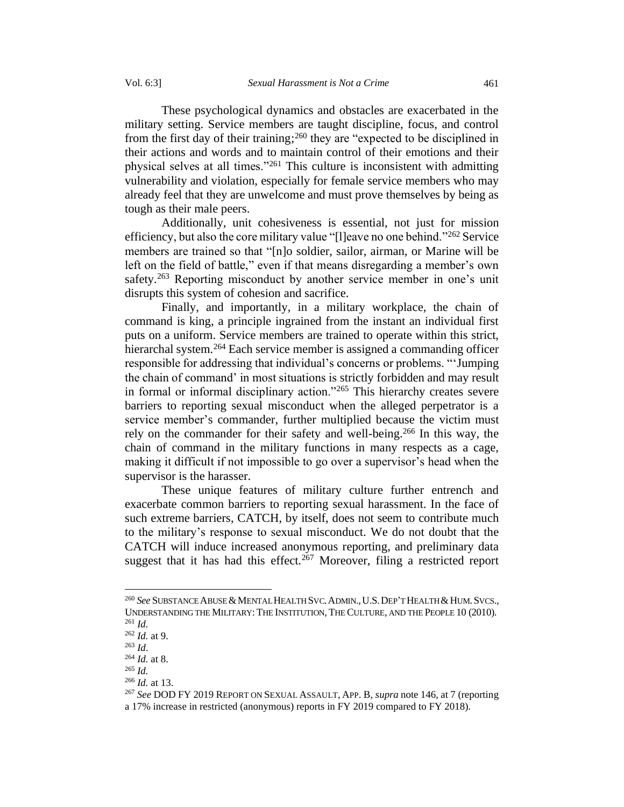These psychological dynamics and obstacles are exacerbated in the military setting. Service members are taught discipline, focus, and control from the first day of their training;<sup>260</sup> they are "expected to be disciplined in their actions and words and to maintain control of their emotions and their physical selves at all times."<sup>261</sup> This culture is inconsistent with admitting vulnerability and violation, especially for female service members who may already feel that they are unwelcome and must prove themselves by being as tough as their male peers.

Additionally, unit cohesiveness is essential, not just for mission efficiency, but also the core military value "[l]eave no one behind."<sup>262</sup> Service members are trained so that "[n]o soldier, sailor, airman, or Marine will be left on the field of battle," even if that means disregarding a member's own safety.<sup>263</sup> Reporting misconduct by another service member in one's unit disrupts this system of cohesion and sacrifice.

Finally, and importantly, in a military workplace, the chain of command is king, a principle ingrained from the instant an individual first puts on a uniform. Service members are trained to operate within this strict, hierarchal system.<sup>264</sup> Each service member is assigned a commanding officer responsible for addressing that individual's concerns or problems. "'Jumping the chain of command' in most situations is strictly forbidden and may result in formal or informal disciplinary action."<sup>265</sup> This hierarchy creates severe barriers to reporting sexual misconduct when the alleged perpetrator is a service member's commander, further multiplied because the victim must rely on the commander for their safety and well-being.<sup>266</sup> In this way, the chain of command in the military functions in many respects as a cage, making it difficult if not impossible to go over a supervisor's head when the supervisor is the harasser.

These unique features of military culture further entrench and exacerbate common barriers to reporting sexual harassment. In the face of such extreme barriers, CATCH, by itself, does not seem to contribute much to the military's response to sexual misconduct. We do not doubt that the CATCH will induce increased anonymous reporting, and preliminary data suggest that it has had this effect.<sup>267</sup> Moreover, filing a restricted report

<sup>265</sup> *Id.*

<sup>&</sup>lt;sup>260</sup> See SUBSTANCE ABUSE & MENTAL HEALTH SVC. ADMIN., U.S. DEP'T HEALTH & HUM. SVCS., UNDERSTANDING THE MILITARY: THE INSTITUTION, THE CULTURE, AND THE PEOPLE 10 (2010). <sup>261</sup> *Id.*

<sup>262</sup> *Id.* at 9.

<sup>263</sup> *Id*.

<sup>264</sup> *Id.* at 8.

<sup>266</sup> *Id.* at 13.

<sup>267</sup> *See* DOD FY 2019 REPORT ON SEXUAL ASSAULT, APP. B, *supra* note 146, at 7 (reporting a 17% increase in restricted (anonymous) reports in FY 2019 compared to FY 2018).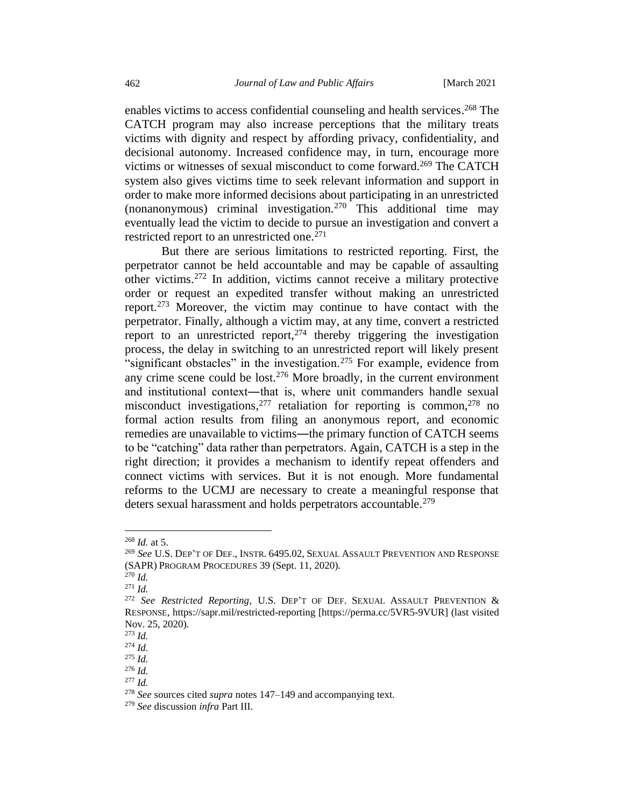enables victims to access confidential counseling and health services. <sup>268</sup> The CATCH program may also increase perceptions that the military treats victims with dignity and respect by affording privacy, confidentiality, and decisional autonomy. Increased confidence may, in turn, encourage more victims or witnesses of sexual misconduct to come forward.<sup>269</sup> The CATCH system also gives victims time to seek relevant information and support in order to make more informed decisions about participating in an unrestricted (nonanonymous) criminal investigation.<sup>270</sup> This additional time may eventually lead the victim to decide to pursue an investigation and convert a restricted report to an unrestricted one. 271

But there are serious limitations to restricted reporting. First, the perpetrator cannot be held accountable and may be capable of assaulting other victims.<sup>272</sup> In addition, victims cannot receive a military protective order or request an expedited transfer without making an unrestricted report. <sup>273</sup> Moreover, the victim may continue to have contact with the perpetrator. Finally, although a victim may, at any time, convert a restricted report to an unrestricted report,  $274$  thereby triggering the investigation process, the delay in switching to an unrestricted report will likely present "significant obstacles" in the investigation.<sup>275</sup> For example, evidence from any crime scene could be lost. <sup>276</sup> More broadly, in the current environment and institutional context—that is, where unit commanders handle sexual misconduct investigations, <sup>277</sup> retaliation for reporting is common, <sup>278</sup> no formal action results from filing an anonymous report, and economic remedies are unavailable to victims—the primary function of CATCH seems to be "catching" data rather than perpetrators. Again, CATCH is a step in the right direction; it provides a mechanism to identify repeat offenders and connect victims with services. But it is not enough. More fundamental reforms to the UCMJ are necessary to create a meaningful response that deters sexual harassment and holds perpetrators accountable.<sup>279</sup>

<sup>268</sup> *Id.* at 5.

<sup>269</sup> *See* U.S. DEP'T OF DEF., INSTR. 6495.02, SEXUAL ASSAULT PREVENTION AND RESPONSE (SAPR)PROGRAM PROCEDURES 39 (Sept. 11, 2020).

<sup>270</sup> *Id.*

<sup>271</sup> *Id.* 

<sup>272</sup> *See Restricted Reporting*, U.S. DEP'T OF DEF. SEXUAL ASSAULT PREVENTION & RESPONSE, https://sapr.mil/restricted-reporting [https://perma.cc/5VR5-9VUR] (last visited Nov. 25, 2020).

<sup>273</sup> *Id.*

<sup>274</sup> *Id.*

<sup>275</sup> *Id.*

<sup>276</sup> *Id.* <sup>277</sup> *Id.*

<sup>278</sup> *See* sources cited *supra* notes 147–149 and accompanying text.

<sup>279</sup> *See* discussion *infra* Part III.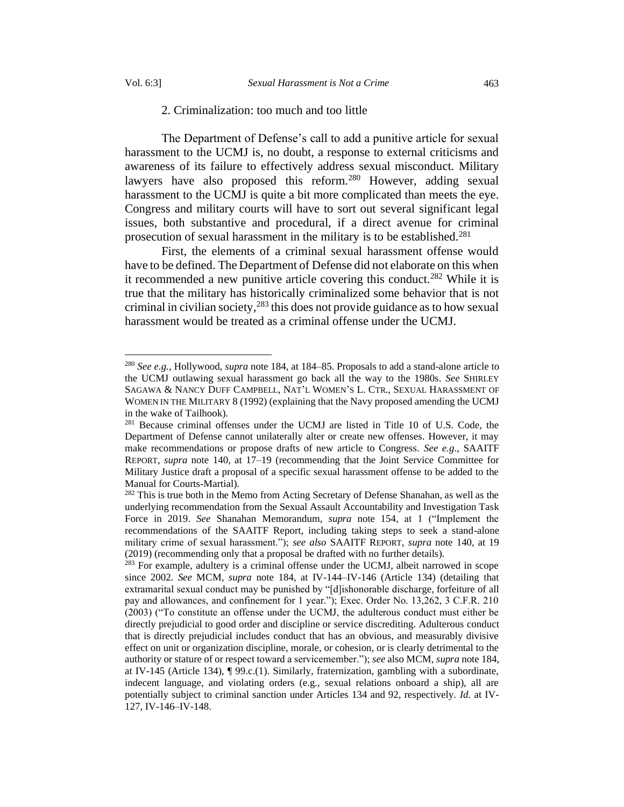### 2. Criminalization: too much and too little

The Department of Defense's call to add a punitive article for sexual harassment to the UCMJ is, no doubt, a response to external criticisms and awareness of its failure to effectively address sexual misconduct. Military lawyers have also proposed this reform.<sup>280</sup> However, adding sexual harassment to the UCMJ is quite a bit more complicated than meets the eye. Congress and military courts will have to sort out several significant legal issues, both substantive and procedural, if a direct avenue for criminal prosecution of sexual harassment in the military is to be established.<sup>281</sup>

First, the elements of a criminal sexual harassment offense would have to be defined. The Department of Defense did not elaborate on this when it recommended a new punitive article covering this conduct. <sup>282</sup> While it is true that the military has historically criminalized some behavior that is not criminal in civilian society, <sup>283</sup> this does not provide guidance as to how sexual harassment would be treated as a criminal offense under the UCMJ.

<sup>280</sup> *See e.g.*, Hollywood, *supra* note 184, at 184–85. Proposals to add a stand-alone article to the UCMJ outlawing sexual harassment go back all the way to the 1980s. *See* SHIRLEY SAGAWA & NANCY DUFF CAMPBELL, NAT'L WOMEN'S L. CTR., SEXUAL HARASSMENT OF WOMEN IN THE MILITARY 8 (1992) (explaining that the Navy proposed amending the UCMJ in the wake of Tailhook).

<sup>&</sup>lt;sup>281</sup> Because criminal offenses under the UCMJ are listed in Title 10 of U.S. Code, the Department of Defense cannot unilaterally alter or create new offenses. However, it may make recommendations or propose drafts of new article to Congress. *See e.g*., SAAITF REPORT, *supra* note 140, at 17–19 (recommending that the Joint Service Committee for Military Justice draft a proposal of a specific sexual harassment offense to be added to the Manual for Courts-Martial).

<sup>&</sup>lt;sup>282</sup> This is true both in the Memo from Acting Secretary of Defense Shanahan, as well as the underlying recommendation from the Sexual Assault Accountability and Investigation Task Force in 2019. *See* Shanahan Memorandum, *supra* note 154, at 1 ("Implement the recommendations of the SAAITF Report, including taking steps to seek a stand-alone military crime of sexual harassment."); *see also* SAAITF REPORT, *supra* note 140, at 19 (2019) (recommending only that a proposal be drafted with no further details).

 $283$  For example, adultery is a criminal offense under the UCMJ, albeit narrowed in scope since 2002. *See* MCM, *supra* note 184, at IV-144–IV-146 (Article 134) (detailing that extramarital sexual conduct may be punished by "[d]ishonorable discharge, forfeiture of all pay and allowances, and confinement for 1 year."); Exec. Order No. 13,262, 3 C.F.R. 210 (2003) ("To constitute an offense under the UCMJ, the adulterous conduct must either be directly prejudicial to good order and discipline or service discrediting. Adulterous conduct that is directly prejudicial includes conduct that has an obvious, and measurably divisive effect on unit or organization discipline, morale, or cohesion, or is clearly detrimental to the authority or stature of or respect toward a servicemember."); *see* also MCM, *supra* note 184, at IV-145 (Article 134), ¶ 99.c.(1). Similarly, fraternization, gambling with a subordinate, indecent language, and violating orders (e.g., sexual relations onboard a ship), all are potentially subject to criminal sanction under Articles 134 and 92, respectively. *Id.* at IV-127, IV-146–IV-148.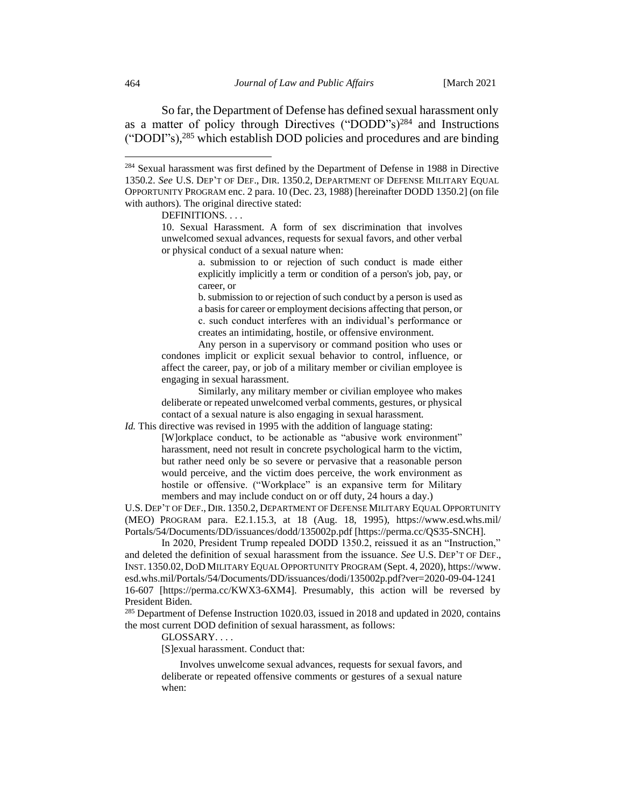So far, the Department of Defense has defined sexual harassment only as a matter of policy through Directives ("DODD"s)<sup>284</sup> and Instructions ("DODI"s), <sup>285</sup> which establish DOD policies and procedures and are binding

DEFINITIONS. . . .

b. submission to or rejection of such conduct by a person is used as a basis for career or employment decisions affecting that person, or c. such conduct interferes with an individual's performance or creates an intimidating, hostile, or offensive environment.

Any person in a supervisory or command position who uses or condones implicit or explicit sexual behavior to control, influence, or affect the career, pay, or job of a military member or civilian employee is engaging in sexual harassment.

Similarly, any military member or civilian employee who makes deliberate or repeated unwelcomed verbal comments, gestures, or physical contact of a sexual nature is also engaging in sexual harassment.

*Id.* This directive was revised in 1995 with the addition of language stating:

[W]orkplace conduct, to be actionable as "abusive work environment" harassment, need not result in concrete psychological harm to the victim, but rather need only be so severe or pervasive that a reasonable person would perceive, and the victim does perceive, the work environment as hostile or offensive. ("Workplace" is an expansive term for Military members and may include conduct on or off duty, 24 hours a day.)

U.S. DEP'T OF DEF., DIR. 1350.2, DEPARTMENT OF DEFENSE MILITARY EQUAL OPPORTUNITY (MEO) PROGRAM para. E2.1.15.3, at 18 (Aug. 18, 1995), https://www.esd.whs.mil/ Portals/54/Documents/DD/issuances/dodd/135002p.pdf [https://perma.cc/QS35-SNCH].

In 2020, President Trump repealed DODD 1350.2, reissued it as an "Instruction," and deleted the definition of sexual harassment from the issuance. *See* U.S. DEP'T OF DEF., INST. 1350.02, DOD MILITARY EQUAL OPPORTUNITY PROGRAM (Sept. 4, 2020), https://www. esd.whs.mil/Portals/54/Documents/DD/issuances/dodi/135002p.pdf?ver=2020-09-04-1241 16-607 [https://perma.cc/KWX3-6XM4]. Presumably, this action will be reversed by President Biden.

<sup>285</sup> Department of Defense Instruction 1020.03, issued in 2018 and updated in 2020, contains the most current DOD definition of sexual harassment, as follows:

GLOSSARY. . . .

[S]exual harassment. Conduct that:

Involves unwelcome sexual advances, requests for sexual favors, and deliberate or repeated offensive comments or gestures of a sexual nature when:

<sup>284</sup> Sexual harassment was first defined by the Department of Defense in 1988 in Directive 1350.2. *See* U.S. DEP'T OF DEF., DIR. 1350.2, DEPARTMENT OF DEFENSE MILITARY EQUAL OPPORTUNITY PROGRAM enc. 2 para. 10 (Dec. 23, 1988) [hereinafter DODD 1350.2] (on file with authors). The original directive stated:

<sup>10.</sup> Sexual Harassment. A form of sex discrimination that involves unwelcomed sexual advances, requests for sexual favors, and other verbal or physical conduct of a sexual nature when:

a. submission to or rejection of such conduct is made either explicitly implicitly a term or condition of a person's job, pay, or career, or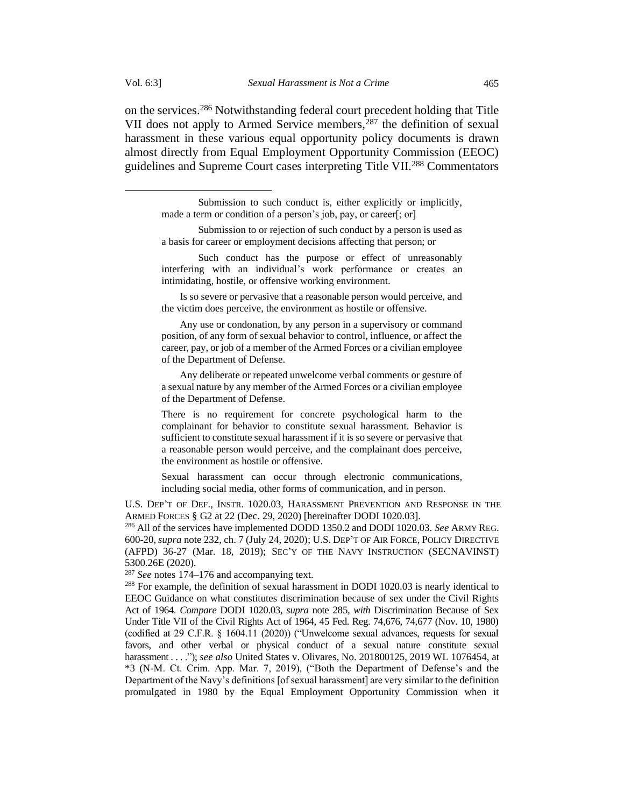on the services. <sup>286</sup> Notwithstanding federal court precedent holding that Title VII does not apply to Armed Service members,<sup>287</sup> the definition of sexual harassment in these various equal opportunity policy documents is drawn almost directly from Equal Employment Opportunity Commission (EEOC) guidelines and Supreme Court cases interpreting Title VII*.* <sup>288</sup> Commentators

Submission to or rejection of such conduct by a person is used as a basis for career or employment decisions affecting that person; or

Such conduct has the purpose or effect of unreasonably interfering with an individual's work performance or creates an intimidating, hostile, or offensive working environment.

Is so severe or pervasive that a reasonable person would perceive, and the victim does perceive, the environment as hostile or offensive.

Any use or condonation, by any person in a supervisory or command position, of any form of sexual behavior to control, influence, or affect the career, pay, or job of a member of the Armed Forces or a civilian employee of the Department of Defense.

Any deliberate or repeated unwelcome verbal comments or gesture of a sexual nature by any member of the Armed Forces or a civilian employee of the Department of Defense.

There is no requirement for concrete psychological harm to the complainant for behavior to constitute sexual harassment. Behavior is sufficient to constitute sexual harassment if it is so severe or pervasive that a reasonable person would perceive, and the complainant does perceive, the environment as hostile or offensive.

Sexual harassment can occur through electronic communications, including social media, other forms of communication, and in person.

U.S. DEP'T OF DEF., INSTR. 1020.03, HARASSMENT PREVENTION AND RESPONSE IN THE ARMED FORCES § G2 at 22 (Dec. 29, 2020) [hereinafter DODI 1020.03].

<sup>286</sup> All of the services have implemented DODD 1350.2 and DODI 1020.03. *See* ARMY REG. 600-20, *supra* note 232, ch. 7 (July 24, 2020); U.S. DEP'T OF AIR FORCE,POLICY DIRECTIVE (AFPD) 36-27 (Mar. 18, 2019); SEC'Y OF THE NAVY INSTRUCTION (SECNAVINST) 5300.26E (2020).

<sup>287</sup> *See* note[s 174](#page-33-0)[–176](#page-34-0) and accompanying text.

<sup>288</sup> For example, the definition of sexual harassment in DODI 1020.03 is nearly identical to EEOC Guidance on what constitutes discrimination because of sex under the Civil Rights Act of 1964. *Compare* DODI 1020.03*, supra* note 285*, with* Discrimination Because of Sex Under Title VII of the Civil Rights Act of 1964, 45 Fed. Reg. 74,676, 74,677 (Nov. 10, 1980) (codified at 29 C.F.R. § 1604.11 (2020)) ("Unwelcome sexual advances, requests for sexual favors, and other verbal or physical conduct of a sexual nature constitute sexual harassment. . . ."); *see also* United States v. Olivares, No. 201800125, 2019 WL 1076454, at \*3 (N-M. Ct. Crim. App. Mar. 7, 2019), ("Both the Department of Defense's and the Department of the Navy's definitions [of sexual harassment] are very similar to the definition promulgated in 1980 by the Equal Employment Opportunity Commission when it

Submission to such conduct is, either explicitly or implicitly, made a term or condition of a person's job, pay, or career[; or]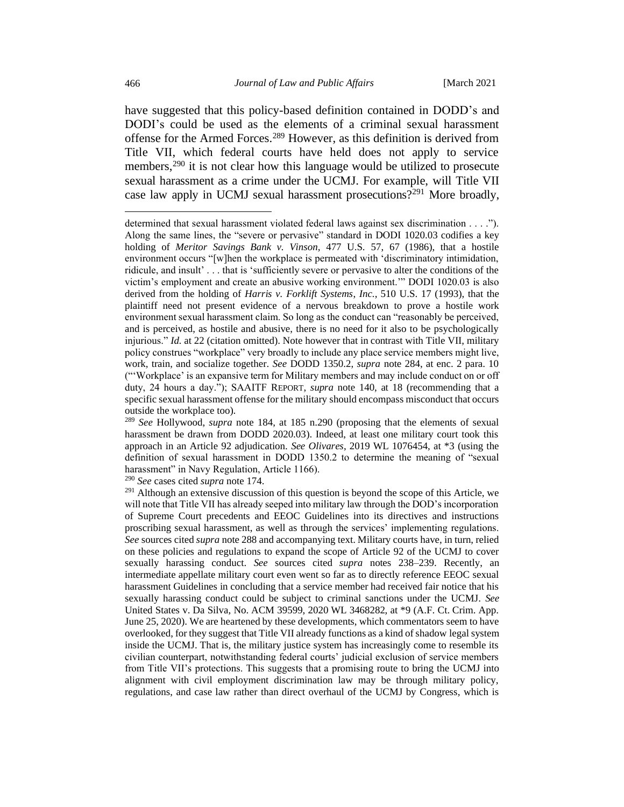have suggested that this policy-based definition contained in DODD's and DODI's could be used as the elements of a criminal sexual harassment offense for the Armed Forces. <sup>289</sup> However, as this definition is derived from Title VII, which federal courts have held does not apply to service members, $290$  it is not clear how this language would be utilized to prosecute sexual harassment as a crime under the UCMJ. For example, will Title VII case law apply in UCMJ sexual harassment prosecutions?<sup>291</sup> More broadly,

<sup>290</sup> *See* cases cited *supra* note 174.

determined that sexual harassment violated federal laws against sex discrimination . . . ."). Along the same lines, the "severe or pervasive" standard in DODI 1020.03 codifies a key holding of *Meritor Savings Bank v. Vinson,* 477 U.S. 57, 67 (1986), that a hostile environment occurs "[w]hen the workplace is permeated with 'discriminatory intimidation, ridicule, and insult' . . . that is 'sufficiently severe or pervasive to alter the conditions of the victim's employment and create an abusive working environment.'" DODI 1020.03 is also derived from the holding of *Harris v. Forklift Systems*, *Inc.*, 510 U.S. 17 (1993), that the plaintiff need not present evidence of a nervous breakdown to prove a hostile work environment sexual harassment claim. So long as the conduct can "reasonably be perceived, and is perceived, as hostile and abusive, there is no need for it also to be psychologically injurious." *Id.* at 22 (citation omitted). Note however that in contrast with Title VII, military policy construes "workplace" very broadly to include any place service members might live, work, train, and socialize together. *See* DODD 1350.2, *supra* note 284, at enc. 2 para. 10 ("'Workplace' is an expansive term for Military members and may include conduct on or off duty, 24 hours a day."); SAAITF REPORT, *supra* note 140, at 18 (recommending that a specific sexual harassment offense for the military should encompass misconduct that occurs outside the workplace too).

<sup>289</sup> *See* Hollywood, *supra* note 184, at 185 n.290 (proposing that the elements of sexual harassment be drawn from DODD 2020.03). Indeed, at least one military court took this approach in an Article 92 adjudication. *See Olivares*, 2019 WL 1076454, at \*3 (using the definition of sexual harassment in DODD 1350.2 to determine the meaning of "sexual harassment" in Navy Regulation, Article 1166).

 $291$  Although an extensive discussion of this question is beyond the scope of this Article, we will note that Title VII has already seeped into military law through the DOD's incorporation of Supreme Court precedents and EEOC Guidelines into its directives and instructions proscribing sexual harassment, as well as through the services' implementing regulations. *See* sources cited *supra* note 288 and accompanying text. Military courts have, in turn, relied on these policies and regulations to expand the scope of Article 92 of the UCMJ to cover sexually harassing conduct. *See* sources cited *supra* notes 238–239. Recently, an intermediate appellate military court even went so far as to directly reference EEOC sexual harassment Guidelines in concluding that a service member had received fair notice that his sexually harassing conduct could be subject to criminal sanctions under the UCMJ. *See*  United States v. Da Silva, No. ACM 39599, 2020 WL 3468282, at \*9 (A.F. Ct. Crim. App. June 25, 2020). We are heartened by these developments, which commentators seem to have overlooked, for they suggest that Title VII already functions as a kind of shadow legal system inside the UCMJ. That is, the military justice system has increasingly come to resemble its civilian counterpart, notwithstanding federal courts' judicial exclusion of service members from Title VII's protections. This suggests that a promising route to bring the UCMJ into alignment with civil employment discrimination law may be through military policy, regulations, and case law rather than direct overhaul of the UCMJ by Congress, which is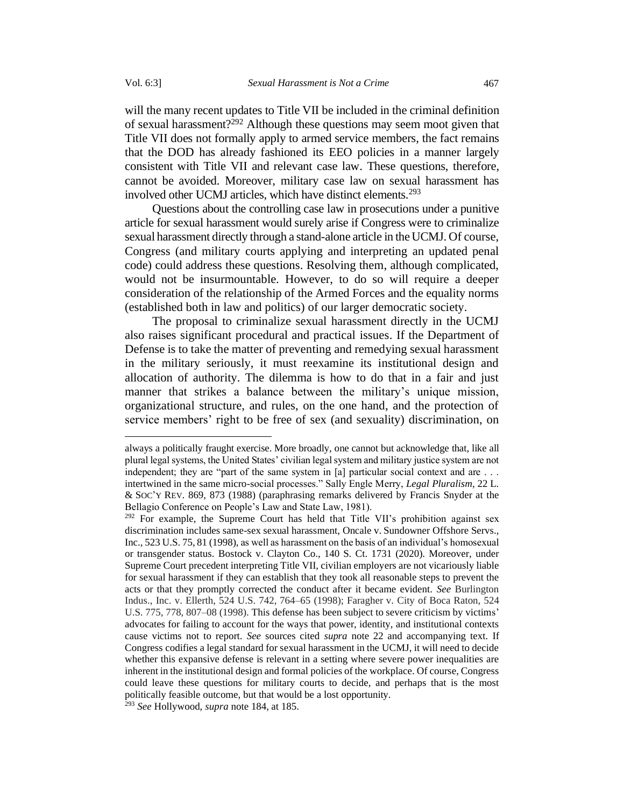will the many recent updates to Title VII be included in the criminal definition of sexual harassment?<sup>292</sup> Although these questions may seem moot given that Title VII does not formally apply to armed service members, the fact remains that the DOD has already fashioned its EEO policies in a manner largely consistent with Title VII and relevant case law. These questions, therefore, cannot be avoided. Moreover, military case law on sexual harassment has involved other UCMJ articles, which have distinct elements.<sup>293</sup>

Questions about the controlling case law in prosecutions under a punitive article for sexual harassment would surely arise if Congress were to criminalize sexual harassment directly through a stand-alone article in the UCMJ. Of course, Congress (and military courts applying and interpreting an updated penal code) could address these questions. Resolving them, although complicated, would not be insurmountable. However, to do so will require a deeper consideration of the relationship of the Armed Forces and the equality norms (established both in law and politics) of our larger democratic society.

The proposal to criminalize sexual harassment directly in the UCMJ also raises significant procedural and practical issues. If the Department of Defense is to take the matter of preventing and remedying sexual harassment in the military seriously, it must reexamine its institutional design and allocation of authority. The dilemma is how to do that in a fair and just manner that strikes a balance between the military's unique mission, organizational structure, and rules, on the one hand, and the protection of service members' right to be free of sex (and sexuality) discrimination, on

always a politically fraught exercise. More broadly, one cannot but acknowledge that, like all plural legal systems, the United States' civilian legal system and military justice system are not independent; they are "part of the same system in [a] particular social context and are . . . intertwined in the same micro-social processes." Sally Engle Merry, *Legal Pluralism*, 22 L. & SOC'Y REV. 869, 873 (1988) (paraphrasing remarks delivered by Francis Snyder at the Bellagio Conference on People's Law and State Law, 1981).

 $292$  For example, the Supreme Court has held that Title VII's prohibition against sex discrimination includes same-sex sexual harassment, Oncale v. Sundowner Offshore Servs., Inc., 523 U.S. 75, 81 (1998), as well as harassment on the basis of an individual's homosexual or transgender status. Bostock v. Clayton Co., 140 S. Ct. 1731 (2020). Moreover, under Supreme Court precedent interpreting Title VII, civilian employers are not vicariously liable for sexual harassment if they can establish that they took all reasonable steps to prevent the acts or that they promptly corrected the conduct after it became evident. *See* Burlington Indus., Inc. v. Ellerth, 524 U.S. 742, 764–65 (1998); Faragher v. City of Boca Raton, 524 U.S. 775, 778, 807–08 (1998). This defense has been subject to severe criticism by victims' advocates for failing to account for the ways that power, identity, and institutional contexts cause victims not to report. *See* sources cited *supra* note [22](#page-6-1) and accompanying text. If Congress codifies a legal standard for sexual harassment in the UCMJ, it will need to decide whether this expansive defense is relevant in a setting where severe power inequalities are inherent in the institutional design and formal policies of the workplace. Of course, Congress could leave these questions for military courts to decide, and perhaps that is the most politically feasible outcome, but that would be a lost opportunity.

<sup>293</sup> *See* Hollywood, *supra* note 184, at 185.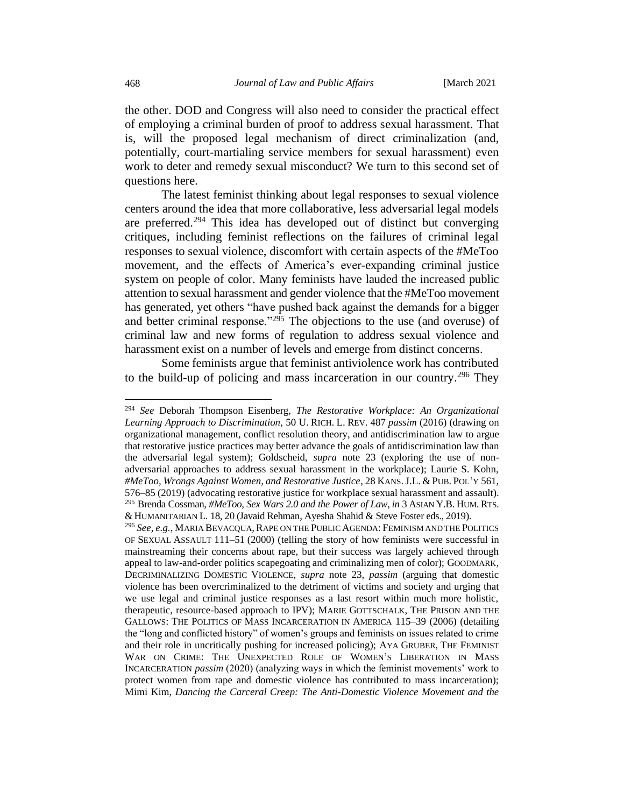the other. DOD and Congress will also need to consider the practical effect of employing a criminal burden of proof to address sexual harassment. That is, will the proposed legal mechanism of direct criminalization (and, potentially, court-martialing service members for sexual harassment) even work to deter and remedy sexual misconduct? We turn to this second set of questions here.

The latest feminist thinking about legal responses to sexual violence centers around the idea that more collaborative, less adversarial legal models are preferred.<sup>294</sup> This idea has developed out of distinct but converging critiques, including feminist reflections on the failures of criminal legal responses to sexual violence, discomfort with certain aspects of the #MeToo movement, and the effects of America's ever-expanding criminal justice system on people of color. Many feminists have lauded the increased public attention to sexual harassment and gender violence that the #MeToo movement has generated, yet others "have pushed back against the demands for a bigger and better criminal response."<sup>295</sup> The objections to the use (and overuse) of criminal law and new forms of regulation to address sexual violence and harassment exist on a number of levels and emerge from distinct concerns.

Some feminists argue that feminist antiviolence work has contributed to the build-up of policing and mass incarceration in our country. <sup>296</sup> They

<sup>294</sup> *See* Deborah Thompson Eisenberg, *The Restorative Workplace: An Organizational Learning Approach to Discrimination*, 50 U. RICH. L. REV. 487 *passim* (2016) (drawing on organizational management, conflict resolution theory, and antidiscrimination law to argue that restorative justice practices may better advance the goals of antidiscrimination law than the adversarial legal system); Goldscheid, *supra* note [23](#page-6-0) (exploring the use of nonadversarial approaches to address sexual harassment in the workplace); Laurie S. Kohn, *#MeToo, Wrongs Against Women, and Restorative Justice*, 28 KANS.J.L. & PUB.POL'Y 561, 576–85 (2019) (advocating restorative justice for workplace sexual harassment and assault). <sup>295</sup> Brenda Cossman, *#MeToo, Sex Wars 2.0 and the Power of Law*,*in* 3 ASIAN Y.B. HUM. RTS. &HUMANITARIAN L. 18, 20 (Javaid Rehman, Ayesha Shahid & Steve Foster eds., 2019).

<sup>&</sup>lt;sup>296</sup> See, e.g., MARIA BEVACQUA, RAPE ON THE PUBLIC AGENDA: FEMINISM AND THE POLITICS OF SEXUAL ASSAULT 111–51 (2000) (telling the story of how feminists were successful in mainstreaming their concerns about rape, but their success was largely achieved through appeal to law-and-order politics scapegoating and criminalizing men of color); GOODMARK, DECRIMINALIZING DOMESTIC VIOLENCE, *supra* note [23,](#page-6-0) *passim* (arguing that domestic violence has been overcriminalized to the detriment of victims and society and urging that we use legal and criminal justice responses as a last resort within much more holistic, therapeutic, resource-based approach to IPV); MARIE GOTTSCHALK, THE PRISON AND THE GALLOWS: THE POLITICS OF MASS INCARCERATION IN AMERICA 115–39 (2006) (detailing the "long and conflicted history" of women's groups and feminists on issues related to crime and their role in uncritically pushing for increased policing); AYA GRUBER, THE FEMINIST WAR ON CRIME: THE UNEXPECTED ROLE OF WOMEN'S LIBERATION IN MASS INCARCERATION *passim* (2020) (analyzing ways in which the feminist movements' work to protect women from rape and domestic violence has contributed to mass incarceration); Mimi Kim, *Dancing the Carceral Creep: The Anti-Domestic Violence Movement and the*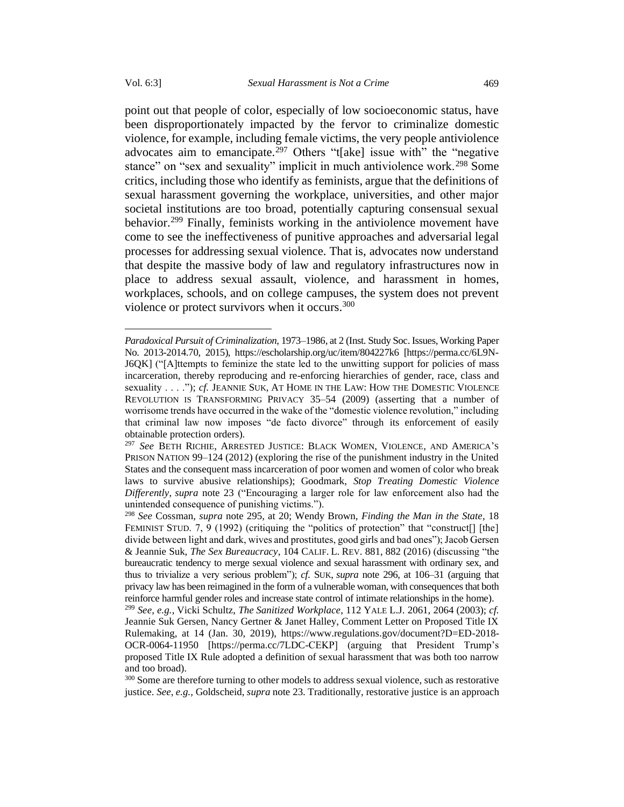point out that people of color, especially of low socioeconomic status, have been disproportionately impacted by the fervor to criminalize domestic violence, for example, including female victims, the very people antiviolence advocates aim to emancipate.<sup>297</sup> Others "t[ake] issue with" the "negative stance" on "sex and sexuality" implicit in much antiviolence work.<sup>298</sup> Some critics, including those who identify as feminists, argue that the definitions of sexual harassment governing the workplace, universities, and other major societal institutions are too broad, potentially capturing consensual sexual behavior.<sup>299</sup> Finally, feminists working in the antiviolence movement have come to see the ineffectiveness of punitive approaches and adversarial legal processes for addressing sexual violence. That is, advocates now understand that despite the massive body of law and regulatory infrastructures now in place to address sexual assault, violence, and harassment in homes, workplaces, schools, and on college campuses, the system does not prevent violence or protect survivors when it occurs.<sup>300</sup>

*Paradoxical Pursuit of Criminalization*, 1973–1986, at 2 (Inst. Study Soc. Issues,Working Paper No. 2013-2014.70, 2015), https://escholarship.org/uc/item/804227k6 [https://perma.cc/6L9N-J6QK] ("[A]ttempts to feminize the state led to the unwitting support for policies of mass incarceration, thereby reproducing and re-enforcing hierarchies of gender, race, class and sexuality . . . ."); *cf.* JEANNIE SUK, AT HOME IN THE LAW: HOW THE DOMESTIC VIOLENCE REVOLUTION IS TRANSFORMING PRIVACY 35–54 (2009) (asserting that a number of worrisome trends have occurred in the wake of the "domestic violence revolution," including that criminal law now imposes "de facto divorce" through its enforcement of easily obtainable protection orders).

<sup>297</sup> *See* BETH RICHIE, ARRESTED JUSTICE: BLACK WOMEN, VIOLENCE, AND AMERICA'S PRISON NATION 99–124 (2012) (exploring the rise of the punishment industry in the United States and the consequent mass incarceration of poor women and women of color who break laws to survive abusive relationships); Goodmark, *Stop Treating Domestic Violence Differently*, *supra* note [23](#page-6-0) ("Encouraging a larger role for law enforcement also had the unintended consequence of punishing victims.").

<sup>298</sup> *See* Cossman, *supra* note 295, at 20; Wendy Brown, *Finding the Man in the State*, 18 FEMINIST STUD. 7, 9 (1992) (critiquing the "politics of protection" that "construct<sup>[]</sup> [the] divide between light and dark, wives and prostitutes, good girls and bad ones"); Jacob Gersen & Jeannie Suk, *The Sex Bureaucracy*, 104 CALIF. L. REV. 881, 882 (2016) (discussing "the bureaucratic tendency to merge sexual violence and sexual harassment with ordinary sex, and thus to trivialize a very serious problem"); *cf.* SUK, *supra* note 296, at 106–31 (arguing that privacy law has been reimagined in the form of a vulnerable woman, with consequences that both reinforce harmful gender roles and increase state control of intimate relationships in the home).

<sup>299</sup> *See, e.g.*, Vicki Schultz, *The Sanitized Workplace*, 112 YALE L.J. 2061, 2064 (2003); *cf.*  Jeannie Suk Gersen, Nancy Gertner & Janet Halley, Comment Letter on Proposed Title IX Rulemaking, at 14 (Jan. 30, 2019), https://www.regulations.gov/document?D=ED-2018- OCR-0064-11950 [https://perma.cc/7LDC-CEKP] (arguing that President Trump's proposed Title IX Rule adopted a definition of sexual harassment that was both too narrow and too broad).

<sup>&</sup>lt;sup>300</sup> Some are therefore turning to other models to address sexual violence, such as restorative justice. *See*, *e.g.*, Goldscheid, *supra* note [23.](#page-6-0) Traditionally, restorative justice is an approach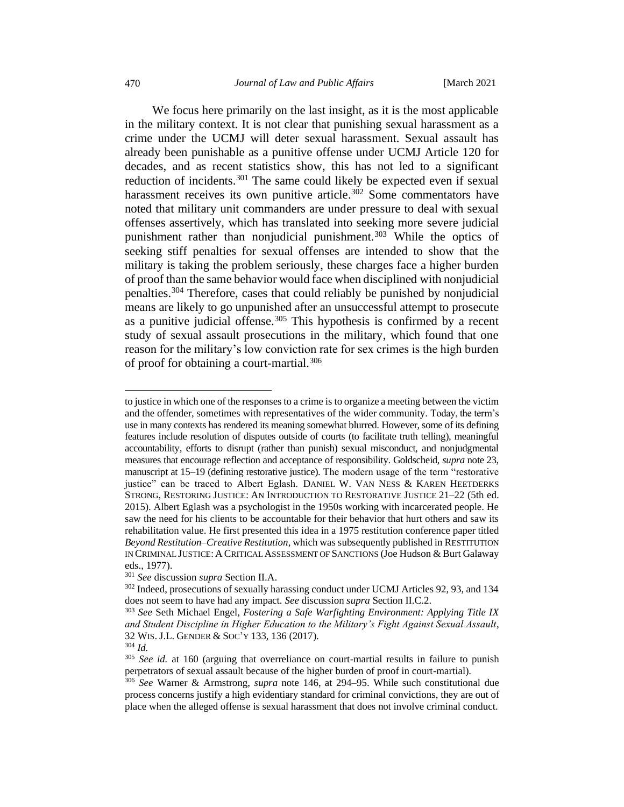We focus here primarily on the last insight, as it is the most applicable in the military context. It is not clear that punishing sexual harassment as a crime under the UCMJ will deter sexual harassment. Sexual assault has already been punishable as a punitive offense under UCMJ Article 120 for decades, and as recent statistics show, this has not led to a significant reduction of incidents.<sup>301</sup> The same could likely be expected even if sexual harassment receives its own punitive article.<sup>302</sup> Some commentators have noted that military unit commanders are under pressure to deal with sexual offenses assertively, which has translated into seeking more severe judicial punishment rather than nonjudicial punishment.<sup>303</sup> While the optics of seeking stiff penalties for sexual offenses are intended to show that the military is taking the problem seriously, these charges face a higher burden of proof than the same behavior would face when disciplined with nonjudicial penalties.<sup>304</sup> Therefore, cases that could reliably be punished by nonjudicial means are likely to go unpunished after an unsuccessful attempt to prosecute as a punitive judicial offense.<sup>305</sup> This hypothesis is confirmed by a recent study of sexual assault prosecutions in the military, which found that one reason for the military's low conviction rate for sex crimes is the high burden of proof for obtaining a court-martial.<sup>306</sup>

to justice in which one of the responses to a crime is to organize a meeting between the victim and the offender, sometimes with representatives of the wider community. Today, the term's use in many contexts has rendered its meaning somewhat blurred. However, some of its defining features include resolution of disputes outside of courts (to facilitate truth telling), meaningful accountability, efforts to disrupt (rather than punish) sexual misconduct, and nonjudgmental measures that encourage reflection and acceptance of responsibility. Goldscheid, *supra* not[e 23,](#page-6-0)  manuscript at 15–19 (defining restorative justice). The modern usage of the term "restorative justice" can be traced to Albert Eglash. DANIEL W. VAN NESS & KAREN HEETDERKS STRONG, RESTORING JUSTICE: AN INTRODUCTION TO RESTORATIVE JUSTICE 21–22 (5th ed. 2015). Albert Eglash was a psychologist in the 1950s working with incarcerated people. He saw the need for his clients to be accountable for their behavior that hurt others and saw its rehabilitation value. He first presented this idea in a 1975 restitution conference paper titled *Beyond Restitution–Creative Restitution*, which was subsequently published in RESTITUTION IN CRIMINAL JUSTICE: A CRITICAL ASSESSMENT OF SANCTIONS (Joe Hudson & Burt Galaway eds., 1977).

<sup>301</sup> *See* discussion *supra* Section II.A.

<sup>&</sup>lt;sup>302</sup> Indeed, prosecutions of sexually harassing conduct under UCMJ Articles 92, 93, and 134 does not seem to have had any impact. *See* discussion *supra* Section II.C.2.

<sup>303</sup> *See* Seth Michael Engel, *Fostering a Safe Warfighting Environment: Applying Title IX and Student Discipline in Higher Education to the Military's Fight Against Sexual Assault*, 32 WIS. J.L. GENDER & SOC'Y 133, 136 (2017).

<sup>304</sup> *Id.*

<sup>&</sup>lt;sup>305</sup> *See id.* at 160 (arguing that overreliance on court-martial results in failure to punish perpetrators of sexual assault because of the higher burden of proof in court-martial).

<sup>306</sup> *See* Warner & Armstrong, *supra* note 146, at 294–95. While such constitutional due process concerns justify a high evidentiary standard for criminal convictions, they are out of place when the alleged offense is sexual harassment that does not involve criminal conduct.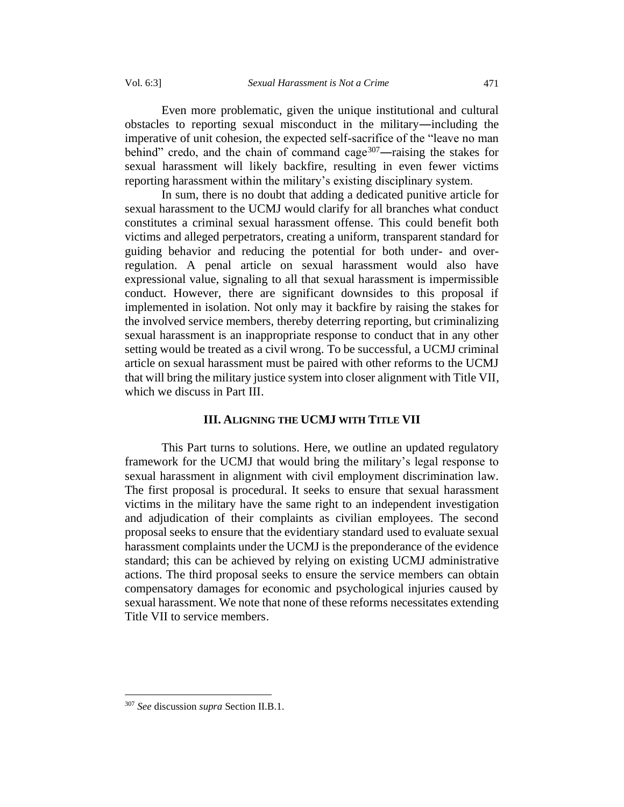Even more problematic, given the unique institutional and cultural obstacles to reporting sexual misconduct in the military―including the imperative of unit cohesion, the expected self-sacrifice of the "leave no man behind" credo, and the chain of command cage<sup>307</sup>—raising the stakes for sexual harassment will likely backfire, resulting in even fewer victims reporting harassment within the military's existing disciplinary system.

In sum, there is no doubt that adding a dedicated punitive article for sexual harassment to the UCMJ would clarify for all branches what conduct constitutes a criminal sexual harassment offense. This could benefit both victims and alleged perpetrators, creating a uniform, transparent standard for guiding behavior and reducing the potential for both under- and overregulation. A penal article on sexual harassment would also have expressional value, signaling to all that sexual harassment is impermissible conduct. However, there are significant downsides to this proposal if implemented in isolation. Not only may it backfire by raising the stakes for the involved service members, thereby deterring reporting, but criminalizing sexual harassment is an inappropriate response to conduct that in any other setting would be treated as a civil wrong. To be successful, a UCMJ criminal article on sexual harassment must be paired with other reforms to the UCMJ that will bring the military justice system into closer alignment with Title VII, which we discuss in Part III.

# **III. ALIGNING THE UCMJ WITH TITLE VII**

This Part turns to solutions. Here, we outline an updated regulatory framework for the UCMJ that would bring the military's legal response to sexual harassment in alignment with civil employment discrimination law. The first proposal is procedural. It seeks to ensure that sexual harassment victims in the military have the same right to an independent investigation and adjudication of their complaints as civilian employees. The second proposal seeks to ensure that the evidentiary standard used to evaluate sexual harassment complaints under the UCMJ is the preponderance of the evidence standard; this can be achieved by relying on existing UCMJ administrative actions. The third proposal seeks to ensure the service members can obtain compensatory damages for economic and psychological injuries caused by sexual harassment. We note that none of these reforms necessitates extending Title VII to service members.

<sup>307</sup> *See* discussion *supra* Section II.B.1.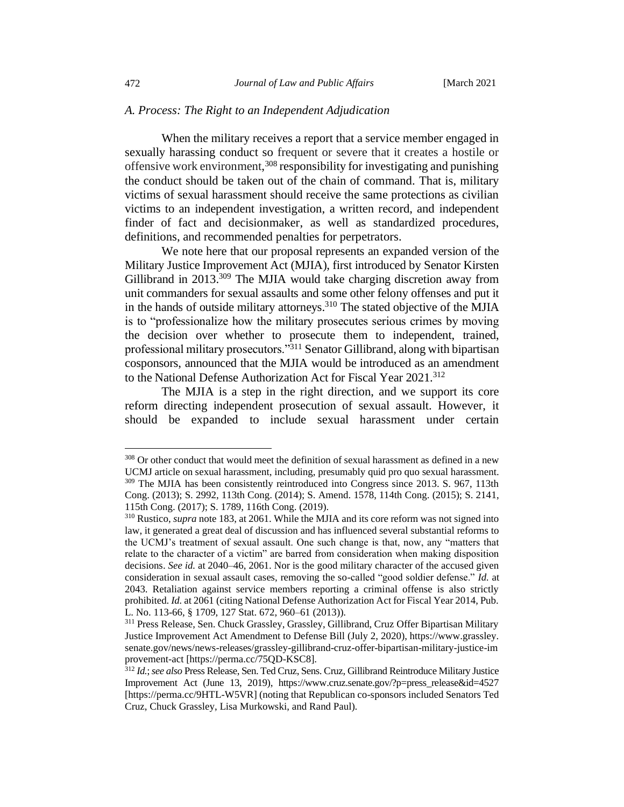### *A. Process: The Right to an Independent Adjudication*

When the military receives a report that a service member engaged in sexually harassing conduct so frequent or severe that it creates a hostile or offensive work environment, <sup>308</sup> responsibility for investigating and punishing the conduct should be taken out of the chain of command. That is, military victims of sexual harassment should receive the same protections as civilian victims to an independent investigation, a written record, and independent finder of fact and decisionmaker, as well as standardized procedures, definitions, and recommended penalties for perpetrators.

We note here that our proposal represents an expanded version of the Military Justice Improvement Act (MJIA), first introduced by Senator Kirsten Gillibrand in 2013.<sup>309</sup> The MJIA would take charging discretion away from unit commanders for sexual assaults and some other felony offenses and put it in the hands of outside military attorneys.<sup>310</sup> The stated objective of the MJIA is to "professionalize how the military prosecutes serious crimes by moving the decision over whether to prosecute them to independent, trained, professional military prosecutors."<sup>311</sup> Senator Gillibrand, along with bipartisan cosponsors, announced that the MJIA would be introduced as an amendment to the National Defense Authorization Act for Fiscal Year 2021.<sup>312</sup>

The MJIA is a step in the right direction, and we support its core reform directing independent prosecution of sexual assault. However, it should be expanded to include sexual harassment under certain

<sup>&</sup>lt;sup>308</sup> Or other conduct that would meet the definition of sexual harassment as defined in a new UCMJ article on sexual harassment, including, presumably quid pro quo sexual harassment. <sup>309</sup> The MJIA has been consistently reintroduced into Congress since 2013. S. 967, 113th Cong. (2013); S. 2992, 113th Cong. (2014); S. Amend. 1578, 114th Cong. (2015); S. 2141, 115th Cong. (2017); S. 1789, 116th Cong. (2019).

<sup>310</sup> Rustico, *supra* note 183, at 2061. While the MJIA and its core reform was not signed into law, it generated a great deal of discussion and has influenced several substantial reforms to the UCMJ's treatment of sexual assault. One such change is that, now, any "matters that relate to the character of a victim" are barred from consideration when making disposition decisions. *See id.* at 2040–46, 2061. Nor is the good military character of the accused given consideration in sexual assault cases, removing the so-called "good soldier defense." *Id.* at 2043. Retaliation against service members reporting a criminal offense is also strictly prohibited. *Id.* at 2061 (citing National Defense Authorization Act for Fiscal Year 2014, Pub. L. No. 113-66, § 1709, 127 Stat. 672, 960–61 (2013)).

<sup>&</sup>lt;sup>311</sup> Press Release, Sen. Chuck Grassley, Grassley, Gillibrand, Cruz Offer Bipartisan Military Justice Improvement Act Amendment to Defense Bill (July 2, 2020), https://www.grassley. senate.gov/news/news-releases/grassley-gillibrand-cruz-offer-bipartisan-military-justice-im provement-act [https://perma.cc/75QD-KSC8].

<sup>312</sup> *Id.*;*see also*Press Release, Sen. Ted Cruz, Sens. Cruz, Gillibrand Reintroduce Military Justice Improvement Act (June 13, 2019), https://www.cruz.senate.gov/?p=press\_release&id=4527 [https://perma.cc/9HTL-W5VR] (noting that Republican co-sponsors included Senators Ted Cruz, Chuck Grassley, Lisa Murkowski, and Rand Paul).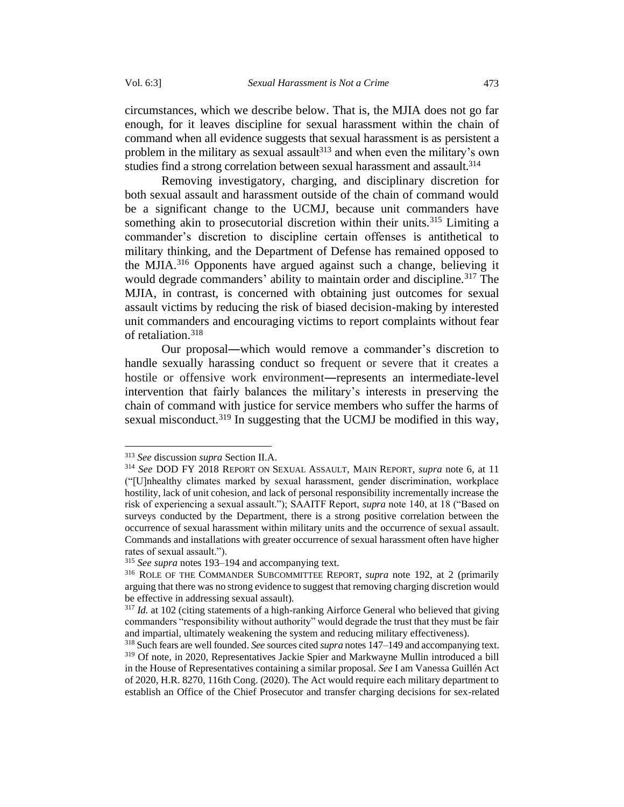circumstances, which we describe below. That is, the MJIA does not go far enough, for it leaves discipline for sexual harassment within the chain of command when all evidence suggests that sexual harassment is as persistent a problem in the military as sexual assault $313$  and when even the military's own studies find a strong correlation between sexual harassment and assault.<sup>314</sup>

<span id="page-60-0"></span>Removing investigatory, charging, and disciplinary discretion for both sexual assault and harassment outside of the chain of command would be a significant change to the UCMJ, because unit commanders have something akin to prosecutorial discretion within their units.<sup>315</sup> Limiting a commander's discretion to discipline certain offenses is antithetical to military thinking, and the Department of Defense has remained opposed to the MJIA.<sup>316</sup> Opponents have argued against such a change, believing it would degrade commanders' ability to maintain order and discipline.<sup>317</sup> The MJIA, in contrast, is concerned with obtaining just outcomes for sexual assault victims by reducing the risk of biased decision-making by interested unit commanders and encouraging victims to report complaints without fear of retaliation.<sup>318</sup>

Our proposal―which would remove a commander's discretion to handle sexually harassing conduct so frequent or severe that it creates a hostile or offensive work environment―represents an intermediate-level intervention that fairly balances the military's interests in preserving the chain of command with justice for service members who suffer the harms of sexual misconduct.<sup>319</sup> In suggesting that the UCMJ be modified in this way,

<sup>313</sup> *See* discussion *supra* Section II.A.

<sup>314</sup> *See* DOD FY 2018 REPORT ON SEXUAL ASSAULT, MAIN REPORT, *supra* note [6,](#page-3-0) at 11 ("[U]nhealthy climates marked by sexual harassment, gender discrimination, workplace hostility, lack of unit cohesion, and lack of personal responsibility incrementally increase the risk of experiencing a sexual assault."); SAAITF Report, *supra* note 140, at 18 ("Based on surveys conducted by the Department, there is a strong positive correlation between the occurrence of sexual harassment within military units and the occurrence of sexual assault. Commands and installations with greater occurrence of sexual harassment often have higher rates of sexual assault.").

<sup>315</sup> *See supra* notes 193–194 and accompanying text.

<sup>316</sup> ROLE OF THE COMMANDER SUBCOMMITTEE REPORT, *supra* note 192, at 2 (primarily arguing that there was no strong evidence to suggest that removing charging discretion would be effective in addressing sexual assault).

<sup>&</sup>lt;sup>317</sup> *Id.* at 102 (citing statements of a high-ranking Airforce General who believed that giving commanders "responsibility without authority" would degrade the trust that they must be fair and impartial, ultimately weakening the system and reducing military effectiveness).

<sup>318</sup>Such fears are well founded. *See* sources cited *supra* notes 147–149 and accompanying text. <sup>319</sup> Of note, in 2020, Representatives Jackie Spier and Markwayne Mullin introduced a bill in the House of Representatives containing a similar proposal. *See* I am Vanessa Guillén Act of 2020, H.R. 8270, 116th Cong. (2020). The Act would require each military department to establish an Office of the Chief Prosecutor and transfer charging decisions for sex-related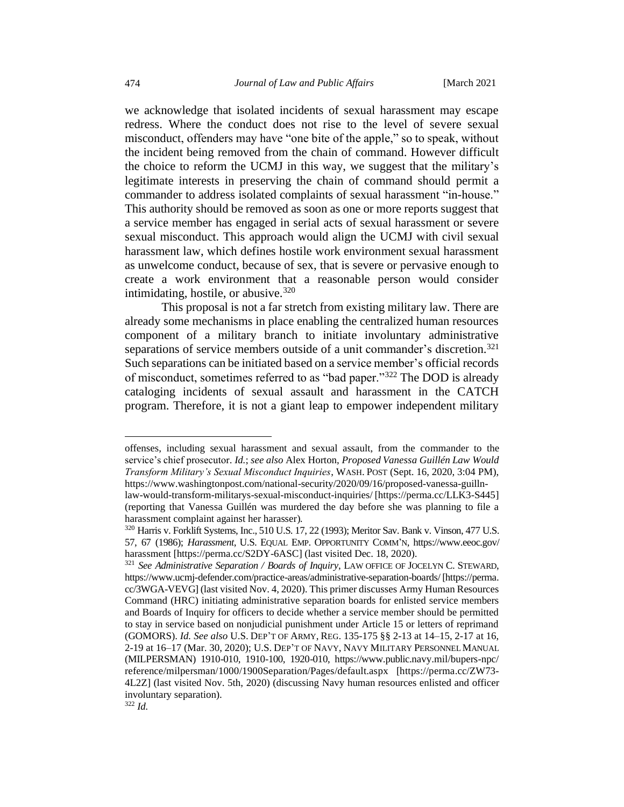we acknowledge that isolated incidents of sexual harassment may escape redress. Where the conduct does not rise to the level of severe sexual misconduct, offenders may have "one bite of the apple," so to speak, without the incident being removed from the chain of command. However difficult the choice to reform the UCMJ in this way, we suggest that the military's legitimate interests in preserving the chain of command should permit a commander to address isolated complaints of sexual harassment "in-house." This authority should be removed as soon as one or more reports suggest that a service member has engaged in serial acts of sexual harassment or severe sexual misconduct. This approach would align the UCMJ with civil sexual harassment law, which defines hostile work environment sexual harassment as unwelcome conduct, because of sex, that is severe or pervasive enough to create a work environment that a reasonable person would consider intimidating, hostile, or abusive.  $320$ 

<span id="page-61-1"></span><span id="page-61-0"></span>This proposal is not a far stretch from existing military law. There are already some mechanisms in place enabling the centralized human resources component of a military branch to initiate involuntary administrative separations of service members outside of a unit commander's discretion.<sup>321</sup> Such separations can be initiated based on a service member's official records of misconduct, sometimes referred to as "bad paper."<sup>322</sup> The DOD is already cataloging incidents of sexual assault and harassment in the CATCH program. Therefore, it is not a giant leap to empower independent military

offenses, including sexual harassment and sexual assault, from the commander to the service's chief prosecutor. *Id.*; *see also* Alex Horton, *Proposed Vanessa Guillén Law Would Transform Military's Sexual Misconduct Inquiries*, WASH.POST (Sept. 16, 2020, 3:04 PM), https://www.washingtonpost.com/national-security/2020/09/16/proposed-vanessa-guilln-

law-would-transform-militarys-sexual-misconduct-inquiries/ [https://perma.cc/LLK3-S445] (reporting that Vanessa Guillén was murdered the day before she was planning to file a harassment complaint against her harasser)*.*

<sup>320</sup> Harris v. Forklift Systems, Inc., 510 U.S. 17, 22 (1993); Meritor Sav. Bank v. Vinson, 477 U.S. 57, 67 (1986); *Harassment*, U.S. EQUAL EMP. OPPORTUNITY COMM'N, https://www.eeoc.gov/ harassment [https://perma.cc/S2DY-6ASC] (last visited Dec. 18, 2020).

<sup>321</sup> *See Administrative Separation / Boards of Inquiry*, LAW OFFICE OF JOCELYN C. STEWARD, https://www.ucmj-defender.com/practice-areas/administrative-separation-boards/ [https://perma. cc/3WGA-VEVG] (last visited Nov. 4, 2020). This primer discusses Army Human Resources Command (HRC) initiating administrative separation boards for enlisted service members and Boards of Inquiry for officers to decide whether a service member should be permitted to stay in service based on nonjudicial punishment under Article 15 or letters of reprimand (GOMORS). *Id. See also* U.S. DEP'T OF ARMY, REG. 135-175 §§ 2-13 at 14–15, 2-17 at 16, 2-19 at 16–17 (Mar. 30, 2020); U.S. DEP'T OF NAVY, NAVY MILITARY PERSONNEL MANUAL (MILPERSMAN) 1910-010, 1910-100, 1920-010, https://www.public.navy.mil/bupers-npc/ reference/milpersman/1000/1900Separation/Pages/default.aspx [https://perma.cc/ZW73- 4L2Z] (last visited Nov. 5th, 2020) (discussing Navy human resources enlisted and officer involuntary separation).

<sup>322</sup> *Id.*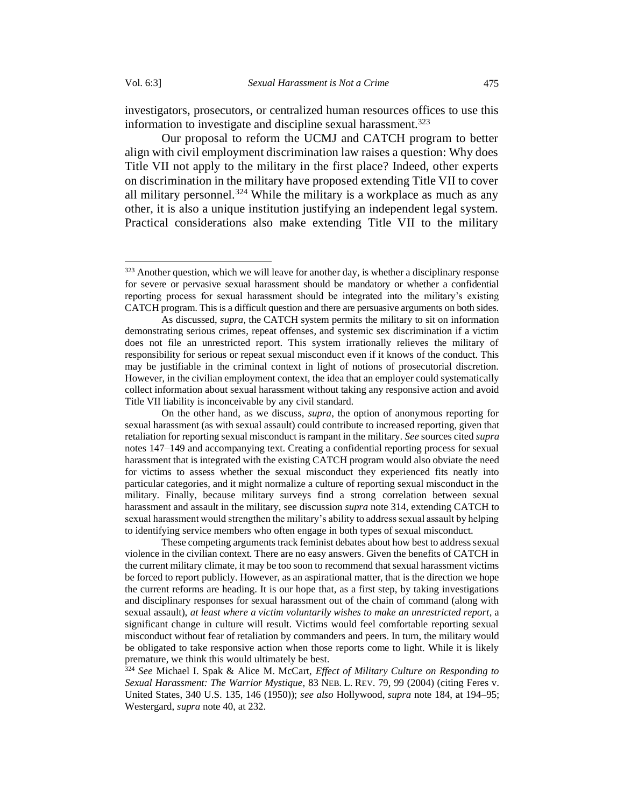investigators, prosecutors, or centralized human resources offices to use this information to investigate and discipline sexual harassment. 323

Our proposal to reform the UCMJ and CATCH program to better align with civil employment discrimination law raises a question: Why does Title VII not apply to the military in the first place? Indeed, other experts on discrimination in the military have proposed extending Title VII to cover all military personnel.<sup>324</sup> While the military is a workplace as much as any other, it is also a unique institution justifying an independent legal system. Practical considerations also make extending Title VII to the military

These competing arguments track feminist debates about how best to address sexual violence in the civilian context. There are no easy answers. Given the benefits of CATCH in the current military climate, it may be too soon to recommend that sexual harassment victims be forced to report publicly. However, as an aspirational matter, that is the direction we hope the current reforms are heading. It is our hope that, as a first step, by taking investigations and disciplinary responses for sexual harassment out of the chain of command (along with sexual assault), *at least where a victim voluntarily wishes to make an unrestricted report*, a significant change in culture will result. Victims would feel comfortable reporting sexual misconduct without fear of retaliation by commanders and peers. In turn, the military would be obligated to take responsive action when those reports come to light. While it is likely premature, we think this would ultimately be best.

<sup>324</sup> *See* Michael I. Spak & Alice M. McCart, *Effect of Military Culture on Responding to Sexual Harassment: The Warrior Mystique*, 83 NEB. L. REV. 79, 99 (2004) (citing Feres v. United States, 340 U.S. 135, 146 (1950)); *see also* Hollywood, *supra* note 184, at 194–95; Westergard, *supra* note 40, at 232.

 $323$  Another question, which we will leave for another day, is whether a disciplinary response for severe or pervasive sexual harassment should be mandatory or whether a confidential reporting process for sexual harassment should be integrated into the military's existing CATCH program. This is a difficult question and there are persuasive arguments on both sides.

As discussed, *supra,* the CATCH system permits the military to sit on information demonstrating serious crimes, repeat offenses, and systemic sex discrimination if a victim does not file an unrestricted report. This system irrationally relieves the military of responsibility for serious or repeat sexual misconduct even if it knows of the conduct. This may be justifiable in the criminal context in light of notions of prosecutorial discretion. However, in the civilian employment context, the idea that an employer could systematically collect information about sexual harassment without taking any responsive action and avoid Title VII liability is inconceivable by any civil standard.

On the other hand, as we discuss, *supra*, the option of anonymous reporting for sexual harassment (as with sexual assault) could contribute to increased reporting, given that retaliation for reporting sexual misconduct is rampant in the military. *See* sources cited *supra*  notes 147–149 and accompanying text. Creating a confidential reporting process for sexual harassment that is integrated with the existing CATCH program would also obviate the need for victims to assess whether the sexual misconduct they experienced fits neatly into particular categories, and it might normalize a culture of reporting sexual misconduct in the military. Finally, because military surveys find a strong correlation between sexual harassment and assault in the military, see discussion *supra* not[e 314,](#page-60-0) extending CATCH to sexual harassment would strengthen the military's ability to address sexual assault by helping to identifying service members who often engage in both types of sexual misconduct.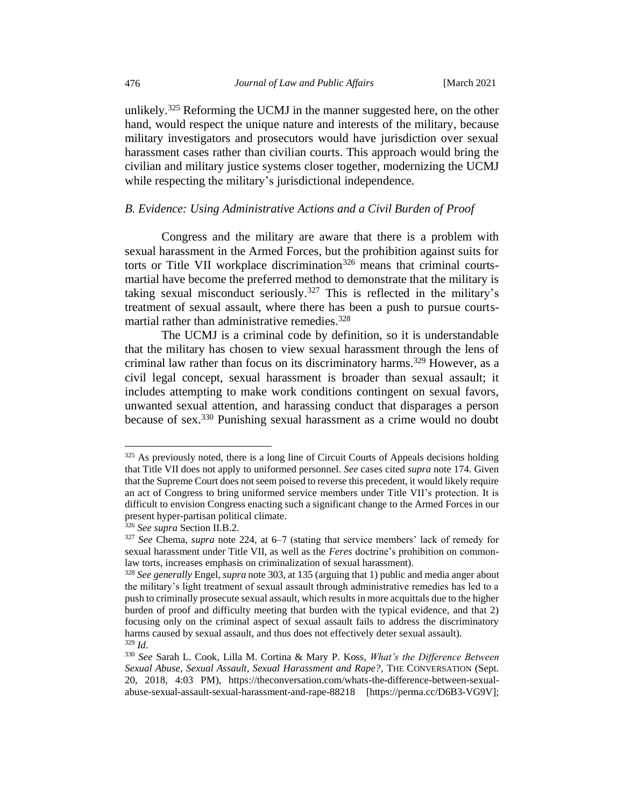unlikely.<sup>325</sup> Reforming the UCMJ in the manner suggested here, on the other hand, would respect the unique nature and interests of the military, because military investigators and prosecutors would have jurisdiction over sexual harassment cases rather than civilian courts. This approach would bring the civilian and military justice systems closer together, modernizing the UCMJ while respecting the military's jurisdictional independence.

# *B. Evidence: Using Administrative Actions and a Civil Burden of Proof*

Congress and the military are aware that there is a problem with sexual harassment in the Armed Forces, but the prohibition against suits for torts or Title VII workplace discrimination<sup>326</sup> means that criminal courtsmartial have become the preferred method to demonstrate that the military is taking sexual misconduct seriously.<sup>327</sup> This is reflected in the military's treatment of sexual assault, where there has been a push to pursue courtsmartial rather than administrative remedies.  $328$ 

The UCMJ is a criminal code by definition, so it is understandable that the military has chosen to view sexual harassment through the lens of criminal law rather than focus on its discriminatory harms.<sup>329</sup> However, as a civil legal concept, sexual harassment is broader than sexual assault; it includes attempting to make work conditions contingent on sexual favors, unwanted sexual attention, and harassing conduct that disparages a person because of sex. <sup>330</sup> Punishing sexual harassment as a crime would no doubt

 $325$  As previously noted, there is a long line of Circuit Courts of Appeals decisions holding that Title VII does not apply to uniformed personnel. *See* cases cited *supra* note 174. Given that the Supreme Court does not seem poised to reverse this precedent, it would likely require an act of Congress to bring uniformed service members under Title VII's protection. It is difficult to envision Congress enacting such a significant change to the Armed Forces in our present hyper-partisan political climate.

<sup>326</sup> *See supra* Section II.B.2.

<sup>327</sup> *See* Chema, *supra* note 224, at 6–7 (stating that service members' lack of remedy for sexual harassment under Title VII, as well as the *Feres* doctrine's prohibition on commonlaw torts, increases emphasis on criminalization of sexual harassment).

<sup>328</sup> *See generally* Engel, *supra* note 303, at 135 (arguing that 1) public and media anger about the military's light treatment of sexual assault through administrative remedies has led to a push to criminally prosecute sexual assault, which results in more acquittals due to the higher burden of proof and difficulty meeting that burden with the typical evidence, and that 2) focusing only on the criminal aspect of sexual assault fails to address the discriminatory harms caused by sexual assault, and thus does not effectively deter sexual assault). <sup>329</sup> *Id*.

<sup>330</sup> *See* Sarah L. Cook, Lilla M. Cortina & Mary P. Koss, *What's the Difference Between Sexual Abuse, Sexual Assault, Sexual Harassment and Rape?*, THE CONVERSATION (Sept. 20, 2018, 4:03 PM), https://theconversation.com/whats-the-difference-between-sexualabuse-sexual-assault-sexual-harassment-and-rape-88218 [https://perma.cc/D6B3-VG9V];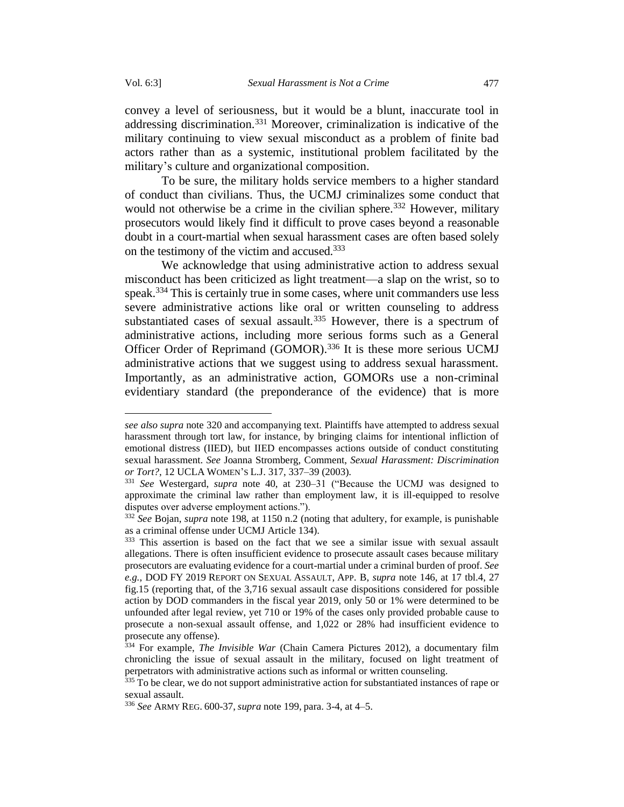convey a level of seriousness, but it would be a blunt, inaccurate tool in addressing discrimination.<sup>331</sup> Moreover, criminalization is indicative of the military continuing to view sexual misconduct as a problem of finite bad actors rather than as a systemic, institutional problem facilitated by the military's culture and organizational composition.

To be sure, the military holds service members to a higher standard of conduct than civilians. Thus, the UCMJ criminalizes some conduct that would not otherwise be a crime in the civilian sphere.<sup>332</sup> However, military prosecutors would likely find it difficult to prove cases beyond a reasonable doubt in a court-martial when sexual harassment cases are often based solely on the testimony of the victim and accused.<sup>333</sup>

We acknowledge that using administrative action to address sexual misconduct has been criticized as light treatment—a slap on the wrist, so to speak.<sup>334</sup> This is certainly true in some cases, where unit commanders use less severe administrative actions like oral or written counseling to address substantiated cases of sexual assault.<sup>335</sup> However, there is a spectrum of administrative actions, including more serious forms such as a General Officer Order of Reprimand (GOMOR).<sup>336</sup> It is these more serious UCMJ administrative actions that we suggest using to address sexual harassment. Importantly, as an administrative action, GOMORs use a non-criminal evidentiary standard (the preponderance of the evidence) that is more

*see also supra* not[e 320](#page-61-0) and accompanying text. Plaintiffs have attempted to address sexual harassment through tort law, for instance, by bringing claims for intentional infliction of emotional distress (IIED), but IIED encompasses actions outside of conduct constituting sexual harassment. *See* Joanna Stromberg, Comment, *Sexual Harassment: Discrimination or Tort?*, 12 UCLA WOMEN'S L.J. 317, 337–39 (2003).

<sup>331</sup> *See* Westergard, *supra* note 40, at 230–31 ("Because the UCMJ was designed to approximate the criminal law rather than employment law, it is ill-equipped to resolve disputes over adverse employment actions.").

<sup>332</sup> *See* Bojan, *supra* note 198, at 1150 n.2 (noting that adultery, for example, is punishable as a criminal offense under UCMJ Article 134).

<sup>&</sup>lt;sup>333</sup> This assertion is based on the fact that we see a similar issue with sexual assault allegations. There is often insufficient evidence to prosecute assault cases because military prosecutors are evaluating evidence for a court-martial under a criminal burden of proof. *See e.g.*, DOD FY 2019 REPORT ON SEXUAL ASSAULT, APP. B, *supra* note 146, at 17 tbl.4, 27 fig.15 (reporting that, of the 3,716 sexual assault case dispositions considered for possible action by DOD commanders in the fiscal year 2019, only 50 or 1% were determined to be unfounded after legal review, yet 710 or 19% of the cases only provided probable cause to prosecute a non-sexual assault offense, and 1,022 or 28% had insufficient evidence to prosecute any offense).

<sup>334</sup> For example, *The Invisible War* (Chain Camera Pictures 2012), a documentary film chronicling the issue of sexual assault in the military, focused on light treatment of perpetrators with administrative actions such as informal or written counseling.

<sup>&</sup>lt;sup>335</sup> To be clear, we do not support administrative action for substantiated instances of rape or sexual assault.

<sup>336</sup> *See* ARMY REG. 600-37, *supra* note 199, para. 3-4, at 4–5.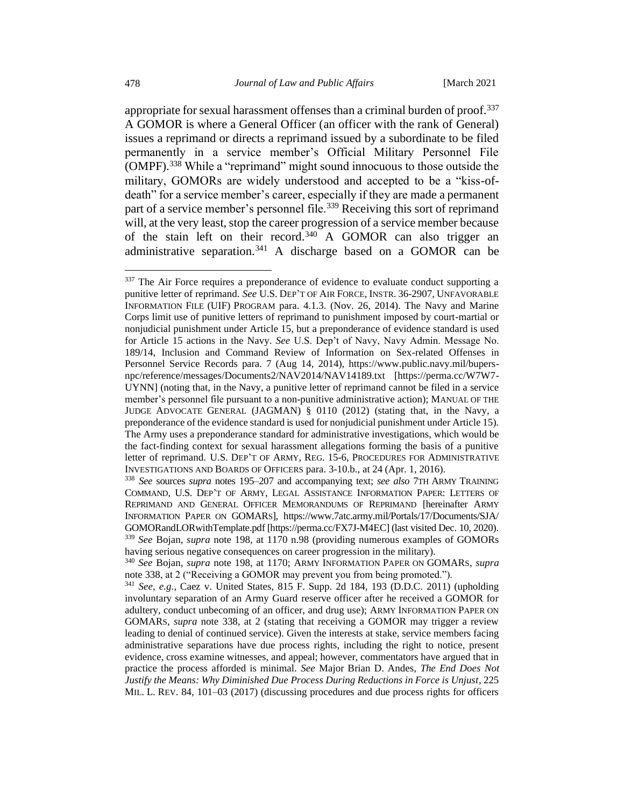<span id="page-65-0"></span>appropriate for sexual harassment offenses than a criminal burden of proof.<sup>337</sup> A GOMOR is where a General Officer (an officer with the rank of General) issues a reprimand or directs a reprimand issued by a subordinate to be filed permanently in a service member's Official Military Personnel File (OMPF).<sup>338</sup> While a "reprimand" might sound innocuous to those outside the military, GOMORs are widely understood and accepted to be a "kiss-ofdeath" for a service member's career, especially if they are made a permanent part of a service member's personnel file.<sup>339</sup> Receiving this sort of reprimand will, at the very least, stop the career progression of a service member because of the stain left on their record.<sup>340</sup> A GOMOR can also trigger an administrative separation.<sup>341</sup> A discharge based on a GOMOR can be

<sup>&</sup>lt;sup>337</sup> The Air Force requires a preponderance of evidence to evaluate conduct supporting a punitive letter of reprimand. *See* U.S. DEP'T OF AIR FORCE, INSTR. 36-2907, UNFAVORABLE INFORMATION FILE (UIF) PROGRAM para. 4.1.3. (Nov. 26, 2014). The Navy and Marine Corps limit use of punitive letters of reprimand to punishment imposed by court-martial or nonjudicial punishment under Article 15, but a preponderance of evidence standard is used for Article 15 actions in the Navy. *See* U.S. Dep't of Navy, Navy Admin. Message No. 189/14, Inclusion and Command Review of Information on Sex-related Offenses in Personnel Service Records para. 7 (Aug 14, 2014), https://www.public.navy.mil/bupersnpc/reference/messages/Documents2/NAV2014/NAV14189.txt [https://perma.cc/W7W7- UYNN] (noting that, in the Navy, a punitive letter of reprimand cannot be filed in a service member's personnel file pursuant to a non-punitive administrative action); MANUAL OF THE JUDGE ADVOCATE GENERAL (JAGMAN) § 0110 (2012) (stating that, in the Navy, a preponderance of the evidence standard is used for nonjudicial punishment under Article 15). The Army uses a preponderance standard for administrative investigations, which would be the fact-finding context for sexual harassment allegations forming the basis of a punitive letter of reprimand. U.S. DEP'T OF ARMY, REG. 15-6, PROCEDURES FOR ADMINISTRATIVE INVESTIGATIONS AND BOARDS OF OFFICERS para. 3-10.b., at 24 (Apr. 1, 2016).

<sup>338</sup> *See* sources *supra* notes 195–207 and accompanying text; *see also* 7TH ARMY TRAINING COMMAND, U.S. DEP'T OF ARMY, LEGAL ASSISTANCE INFORMATION PAPER: LETTERS OF REPRIMAND AND GENERAL OFFICER MEMORANDUMS OF REPRIMAND [hereinafter ARMY INFORMATION PAPER ON GOMARS], https://www.7atc.army.mil/Portals/17/Documents/SJA/ GOMORandLORwithTemplate.pdf [https://perma.cc/FX7J-M4EC] (last visited Dec. 10, 2020). <sup>339</sup> *See* Bojan, *supra* note 198, at 1170 n.98 (providing numerous examples of GOMORs having serious negative consequences on career progression in the military).

<sup>340</sup> *See* Bojan, *supra* note 198, at 1170; ARMY INFORMATION PAPER ON GOMARS, *supra* note [338,](#page-65-0) at 2 ("Receiving a GOMOR may prevent you from being promoted.").

<sup>341</sup> *See, e.g.*, Caez v. United States, 815 F. Supp. 2d 184, 193 (D.D.C. 2011) (upholding involuntary separation of an Army Guard reserve officer after he received a GOMOR for adultery, conduct unbecoming of an officer, and drug use); ARMY INFORMATION PAPER ON GOMARS, *supra* note [338,](#page-65-0) at 2 (stating that receiving a GOMOR may trigger a review leading to denial of continued service). Given the interests at stake, service members facing administrative separations have due process rights, including the right to notice, present evidence, cross examine witnesses, and appeal; however, commentators have argued that in practice the process afforded is minimal. *See* Major Brian D. Andes, *The End Does Not Justify the Means: Why Diminished Due Process During Reductions in Force is Unjust*, 225 MIL. L. REV. 84, 101–03 (2017) (discussing procedures and due process rights for officers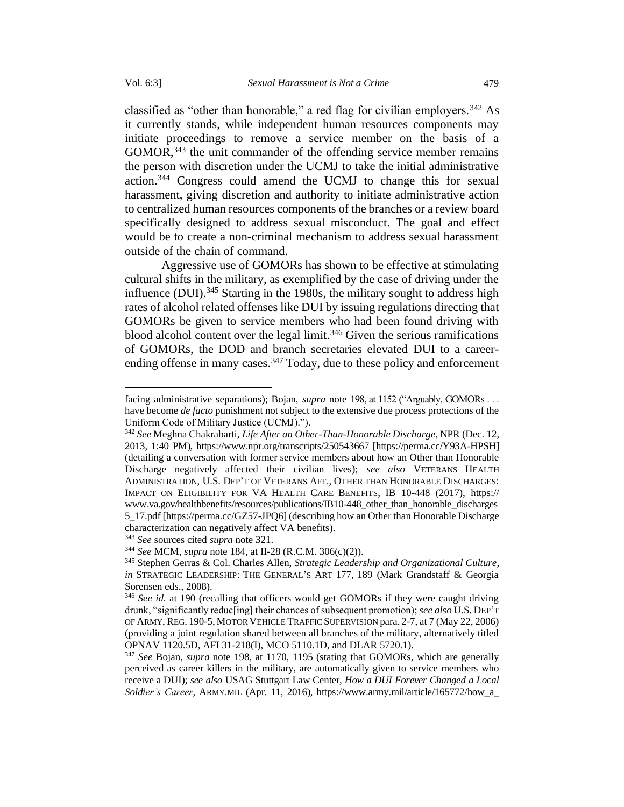classified as "other than honorable," a red flag for civilian employers.<sup>342</sup> As it currently stands, while independent human resources components may initiate proceedings to remove a service member on the basis of a GOMOR,<sup>343</sup> the unit commander of the offending service member remains the person with discretion under the UCMJ to take the initial administrative action.<sup>344</sup> Congress could amend the UCMJ to change this for sexual harassment, giving discretion and authority to initiate administrative action to centralized human resources components of the branches or a review board specifically designed to address sexual misconduct. The goal and effect would be to create a non-criminal mechanism to address sexual harassment outside of the chain of command.

<span id="page-66-0"></span>Aggressive use of GOMORs has shown to be effective at stimulating cultural shifts in the military, as exemplified by the case of driving under the influence (DUI).<sup>345</sup> Starting in the 1980s, the military sought to address high rates of alcohol related offenses like DUI by issuing regulations directing that GOMORs be given to service members who had been found driving with blood alcohol content over the legal limit.<sup>346</sup> Given the serious ramifications of GOMORs, the DOD and branch secretaries elevated DUI to a careerending offense in many cases.<sup>347</sup> Today, due to these policy and enforcement

<sup>343</sup> *See* sources cited *supra* not[e 321.](#page-61-1)

<sup>344</sup> *See* MCM, *supra* note 184, at II-28 (R.C.M. 306(c)(2)).

facing administrative separations); Bojan, *supra* note 198, at 1152 ("Arguably, GOMORs . . . have become *de facto* punishment not subject to the extensive due process protections of the Uniform Code of Military Justice (UCMJ).").

<sup>342</sup> *See* Meghna Chakrabarti, *Life After an Other-Than-Honorable Discharge*, NPR (Dec. 12, 2013, 1:40 PM), https://www.npr.org/transcripts/250543667 [https://perma.cc/Y93A-HPSH] (detailing a conversation with former service members about how an Other than Honorable Discharge negatively affected their civilian lives); *see also* VETERANS HEALTH ADMINISTRATION, U.S. DEP'T OF VETERANS AFF.*,* OTHER THAN HONORABLE DISCHARGES: IMPACT ON ELIGIBILITY FOR VA HEALTH CARE BENEFITS, IB 10-448 (2017), https:// www.va.gov/healthbenefits/resources/publications/IB10-448\_other\_than\_honorable\_discharges 5\_17.pdf [https://perma.cc/GZ57-JPQ6] (describing how an Other than Honorable Discharge characterization can negatively affect VA benefits).

<sup>345</sup> Stephen Gerras & Col. Charles Allen, *Strategic Leadership and Organizational Culture*, *in* STRATEGIC LEADERSHIP: THE GENERAL'S ART 177, 189 (Mark Grandstaff & Georgia Sorensen eds., 2008).

<sup>346</sup> *See id.* at 190 (recalling that officers would get GOMORs if they were caught driving drunk, "significantly reduc[ing] their chances of subsequent promotion); *see also* U.S. DEP'T OF ARMY, REG. 190-5, MOTOR VEHICLE TRAFFIC SUPERVISION para. 2-7, at 7 (May 22, 2006) (providing a joint regulation shared between all branches of the military, alternatively titled OPNAV 1120.5D, AFI 31-218(I), MCO 5110.1D, and DLAR 5720.1).

<sup>347</sup> *See* Bojan, *supra* note 198, at 1170, 1195 (stating that GOMORs, which are generally perceived as career killers in the military, are automatically given to service members who receive a DUI); *see also* USAG Stuttgart Law Center, *How a DUI Forever Changed a Local Soldier's Career*, ARMY.MIL (Apr. 11, 2016), https://www.army.mil/article/165772/how\_a\_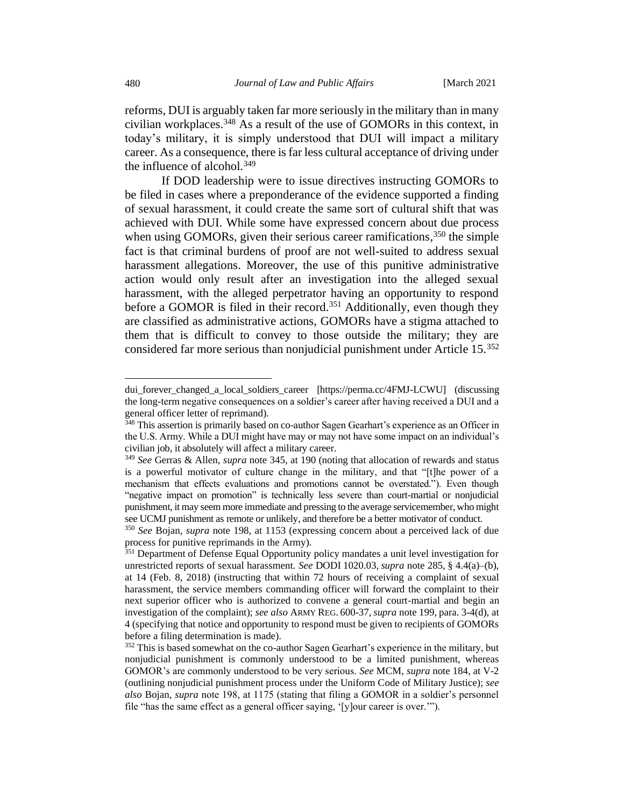reforms, DUI is arguably taken far more seriously in the military than in many civilian workplaces.<sup>348</sup> As a result of the use of GOMORs in this context, in today's military, it is simply understood that DUI will impact a military career. As a consequence, there is far less cultural acceptance of driving under the influence of alcohol. $349$ 

If DOD leadership were to issue directives instructing GOMORs to be filed in cases where a preponderance of the evidence supported a finding of sexual harassment, it could create the same sort of cultural shift that was achieved with DUI. While some have expressed concern about due process when using GOMORs, given their serious career ramifications,<sup>350</sup> the simple fact is that criminal burdens of proof are not well-suited to address sexual harassment allegations. Moreover, the use of this punitive administrative action would only result after an investigation into the alleged sexual harassment, with the alleged perpetrator having an opportunity to respond before a GOMOR is filed in their record.<sup>351</sup> Additionally, even though they are classified as administrative actions, GOMORs have a stigma attached to them that is difficult to convey to those outside the military; they are considered far more serious than nonjudicial punishment under Article 15.<sup>352</sup>

dui forever changed a local soldiers career [https://perma.cc/4FMJ-LCWU] (discussing the long-term negative consequences on a soldier's career after having received a DUI and a general officer letter of reprimand).

<sup>&</sup>lt;sup>348</sup> This assertion is primarily based on co-author Sagen Gearhart's experience as an Officer in the U.S. Army. While a DUI might have may or may not have some impact on an individual's civilian job, it absolutely will affect a military career.

<sup>349</sup> *See* Gerras & Allen*, supra* not[e 345,](#page-66-0) at 190 (noting that allocation of rewards and status is a powerful motivator of culture change in the military, and that "[t]he power of a mechanism that effects evaluations and promotions cannot be overstated."). Even though "negative impact on promotion" is technically less severe than court-martial or nonjudicial punishment, it may seem more immediate and pressing to the average servicemember, who might see UCMJ punishment as remote or unlikely, and therefore be a better motivator of conduct.

<sup>350</sup> *See* Bojan, *supra* note 198, at 1153 (expressing concern about a perceived lack of due process for punitive reprimands in the Army).

<sup>&</sup>lt;sup>351</sup> Department of Defense Equal Opportunity policy mandates a unit level investigation for unrestricted reports of sexual harassment. *See* DODI 1020.03, *supra* note 285, § 4.4(a)–(b), at 14 (Feb. 8, 2018) (instructing that within 72 hours of receiving a complaint of sexual harassment, the service members commanding officer will forward the complaint to their next superior officer who is authorized to convene a general court-martial and begin an investigation of the complaint); *see also* ARMY REG. 600-37, *supra* note 199, para. 3-4(d), at 4 (specifying that notice and opportunity to respond must be given to recipients of GOMORs before a filing determination is made).

<sup>&</sup>lt;sup>352</sup> This is based somewhat on the co-author Sagen Gearhart's experience in the military, but nonjudicial punishment is commonly understood to be a limited punishment, whereas GOMOR's are commonly understood to be very serious. *See* MCM, *supra* note 184, at V-2 (outlining nonjudicial punishment process under the Uniform Code of Military Justice); *see also* Bojan, *supra* note 198, at 1175 (stating that filing a GOMOR in a soldier's personnel file "has the same effect as a general officer saying, '[y]our career is over.'").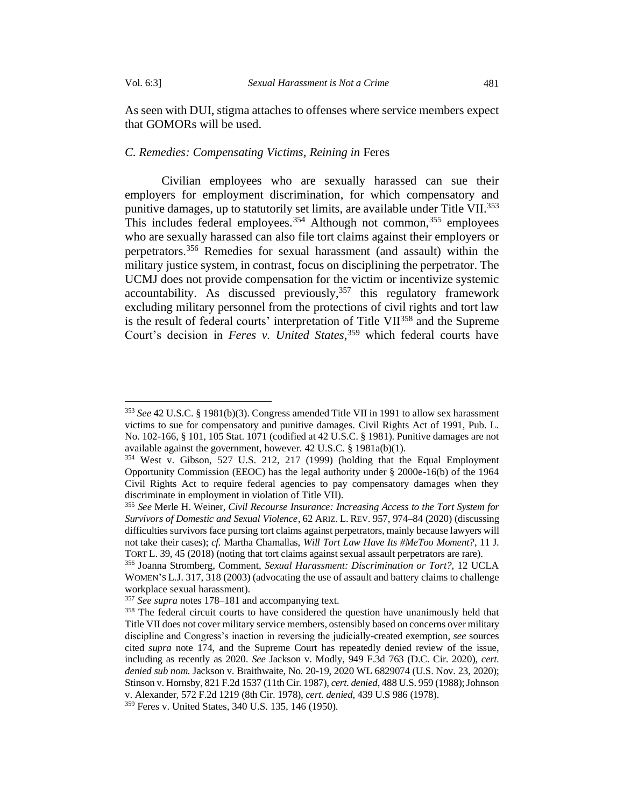As seen with DUI, stigma attaches to offenses where service members expect that GOMORs will be used.

## *C. Remedies: Compensating Victims, Reining in* Feres

Civilian employees who are sexually harassed can sue their employers for employment discrimination, for which compensatory and punitive damages, up to statutorily set limits, are available under Title VII.<sup>353</sup> This includes federal employees.<sup>354</sup> Although not common,<sup>355</sup> employees who are sexually harassed can also file tort claims against their employers or perpetrators.<sup>356</sup> Remedies for sexual harassment (and assault) within the military justice system, in contrast, focus on disciplining the perpetrator. The UCMJ does not provide compensation for the victim or incentivize systemic accountability. As discussed previously,  $357$  this regulatory framework excluding military personnel from the protections of civil rights and tort law is the result of federal courts' interpretation of Title VII<sup>358</sup> and the Supreme Court's decision in *Feres v. United States*, <sup>359</sup> which federal courts have

<sup>353</sup> *See* 42 U.S.C. § 1981(b)(3). Congress amended Title VII in 1991 to allow sex harassment victims to sue for compensatory and punitive damages. Civil Rights Act of 1991, Pub. L. No. 102-166, § 101, 105 Stat. 1071 (codified at 42 U.S.C. § 1981). Punitive damages are not available against the government, however. 42 U.S.C. § 1981a(b)(1).

<sup>354</sup> West v. Gibson, 527 U.S. 212, 217 (1999) (holding that the Equal Employment Opportunity Commission (EEOC) has the legal authority under § 2000e-16(b) of the 1964 Civil Rights Act to require federal agencies to pay compensatory damages when they discriminate in employment in violation of Title VII).

<sup>355</sup> *See* Merle H. Weiner, *Civil Recourse Insurance: Increasing Access to the Tort System for Survivors of Domestic and Sexual Violence*, 62 ARIZ. L. REV. 957, 974–84 (2020) (discussing difficulties survivors face pursing tort claims against perpetrators, mainly because lawyers will not take their cases); *cf.* Martha Chamallas, *Will Tort Law Have Its #MeToo Moment?*, 11 J. TORT L. 39, 45 (2018) (noting that tort claims against sexual assault perpetrators are rare).

<sup>356</sup> Joanna Stromberg, Comment, *Sexual Harassment: Discrimination or Tort?,* 12 UCLA WOMEN'S L.J. 317, 318 (2003) (advocating the use of assault and battery claims to challenge workplace sexual harassment).

<sup>357</sup> *See supra* notes [178](#page-34-1)[–181](#page-35-0) and accompanying text.

<sup>&</sup>lt;sup>358</sup> The federal circuit courts to have considered the question have unanimously held that Title VII does not cover military service members, ostensibly based on concerns over military discipline and Congress's inaction in reversing the judicially-created exemption, *see* sources cited *supra* note 174, and the Supreme Court has repeatedly denied review of the issue, including as recently as 2020. *See* Jackson v. Modly, 949 F.3d 763 (D.C. Cir. 2020), *cert. denied sub nom.* Jackson v. Braithwaite, No. 20-19, 2020 WL 6829074 (U.S. Nov. 23, 2020); Stinson v. Hornsby, 821 F.2d 1537 (11th Cir. 1987), *cert. denied*, 488 U.S. 959 (1988); Johnson v. Alexander, 572 F.2d 1219 (8th Cir. 1978), *cert. denied*, 439 U.S 986 (1978).

<sup>359</sup> Feres v. United States, 340 U.S. 135, 146 (1950).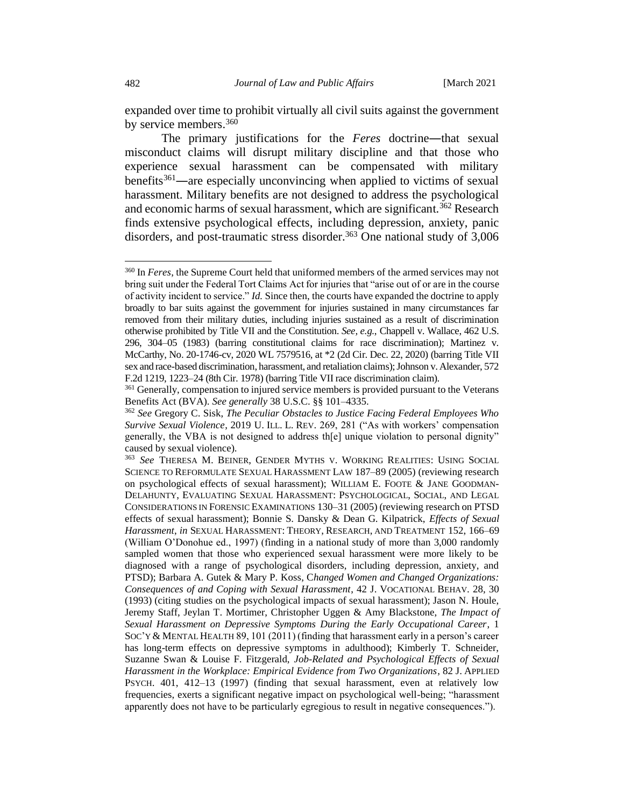expanded over time to prohibit virtually all civil suits against the government by service members.<sup>360</sup>

The primary justifications for the *Feres* doctrine―that sexual misconduct claims will disrupt military discipline and that those who experience sexual harassment can be compensated with military benefits<sup>361</sup>—are especially unconvincing when applied to victims of sexual harassment. Military benefits are not designed to address the psychological and economic harms of sexual harassment, which are significant.<sup>362</sup> Research finds extensive psychological effects, including depression, anxiety, panic disorders, and post-traumatic stress disorder.<sup>363</sup> One national study of 3,006

<sup>360</sup> In *Feres*, the Supreme Court held that uniformed members of the armed services may not bring suit under the Federal Tort Claims Act for injuries that "arise out of or are in the course of activity incident to service." *Id.* Since then, the courts have expanded the doctrine to apply broadly to bar suits against the government for injuries sustained in many circumstances far removed from their military duties, including injuries sustained as a result of discrimination otherwise prohibited by Title VII and the Constitution. *See, e.g.*, Chappell v. Wallace, 462 U.S. 296, 304–05 (1983) (barring constitutional claims for race discrimination); Martinez v. McCarthy, No. 20-1746-cv, 2020 WL 7579516, at \*2 (2d Cir. Dec. 22, 2020) (barring Title VII sex and race-based discrimination, harassment, and retaliation claims); Johnson v. Alexander, 572 F.2d 1219, 1223–24 (8th Cir. 1978) (barring Title VII race discrimination claim).

<sup>&</sup>lt;sup>361</sup> Generally, compensation to injured service members is provided pursuant to the Veterans Benefits Act (BVA). *See generally* 38 U.S.C. §§ 101–4335.

<sup>362</sup> *See* Gregory C. Sisk, *The Peculiar Obstacles to Justice Facing Federal Employees Who Survive Sexual Violence*, 2019 U. ILL. L. REV. 269, 281 ("As with workers' compensation generally, the VBA is not designed to address th[e] unique violation to personal dignity" caused by sexual violence).

<sup>363</sup> *See* THERESA M. BEINER, GENDER MYTHS V. WORKING REALITIES: USING SOCIAL SCIENCE TO REFORMULATE SEXUAL HARASSMENT LAW 187–89 (2005) (reviewing research on psychological effects of sexual harassment); WILLIAM E. FOOTE & JANE GOODMAN-DELAHUNTY, EVALUATING SEXUAL HARASSMENT: PSYCHOLOGICAL, SOCIAL, AND LEGAL CONSIDERATIONS IN FORENSIC EXAMINATIONS 130–31 (2005) (reviewing research on PTSD effects of sexual harassment); Bonnie S. Dansky & Dean G. Kilpatrick, *Effects of Sexual Harassment*, *in* SEXUAL HARASSMENT: THEORY, RESEARCH, AND TREATMENT 152, 166–69 (William O'Donohue ed., 1997) (finding in a national study of more than 3,000 randomly sampled women that those who experienced sexual harassment were more likely to be diagnosed with a range of psychological disorders, including depression, anxiety, and PTSD); Barbara A. Gutek & Mary P. Koss, C*hanged Women and Changed Organizations: Consequences of and Coping with Sexual Harassment*, 42 J. VOCATIONAL BEHAV. 28, 30 (1993) (citing studies on the psychological impacts of sexual harassment); Jason N. Houle, Jeremy Staff, Jeylan T. Mortimer, Christopher Uggen & Amy Blackstone, *The Impact of Sexual Harassment on Depressive Symptoms During the Early Occupational Career*, 1 SOC'Y & MENTAL HEALTH 89, 101 (2011) (finding that harassment early in a person's career has long-term effects on depressive symptoms in adulthood); Kimberly T. Schneider, Suzanne Swan & Louise F. Fitzgerald, *Job-Related and Psychological Effects of Sexual Harassment in the Workplace: Empirical Evidence from Two Organizations*, 82 J. APPLIED PSYCH. 401, 412–13 (1997) (finding that sexual harassment, even at relatively low frequencies, exerts a significant negative impact on psychological well-being; "harassment apparently does not have to be particularly egregious to result in negative consequences.").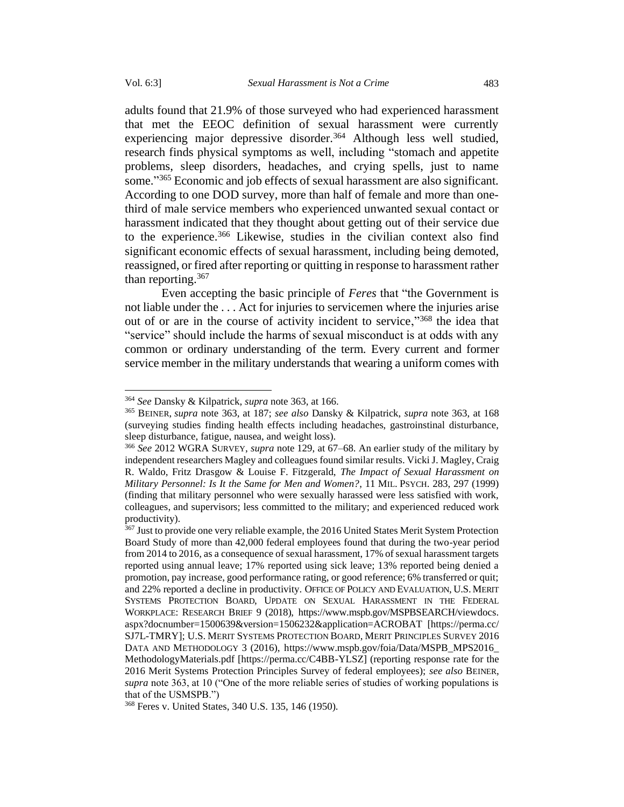adults found that 21.9% of those surveyed who had experienced harassment that met the EEOC definition of sexual harassment were currently experiencing major depressive disorder.<sup>364</sup> Although less well studied, research finds physical symptoms as well, including "stomach and appetite problems, sleep disorders, headaches, and crying spells, just to name some." <sup>365</sup> Economic and job effects of sexual harassment are also significant. According to one DOD survey, more than half of female and more than onethird of male service members who experienced unwanted sexual contact or harassment indicated that they thought about getting out of their service due to the experience. <sup>366</sup> Likewise, studies in the civilian context also find significant economic effects of sexual harassment, including being demoted, reassigned, or fired after reporting or quitting in response to harassment rather than reporting. 367

Even accepting the basic principle of *Feres* that "the Government is not liable under the . . . Act for injuries to servicemen where the injuries arise out of or are in the course of activity incident to service,"<sup>368</sup> the idea that "service" should include the harms of sexual misconduct is at odds with any common or ordinary understanding of the term. Every current and former service member in the military understands that wearing a uniform comes with

<sup>364</sup> *See* Dansky & Kilpatrick, *supra* note 363, at 166.

<sup>365</sup> BEINER, *supra* note 363, at 187; *see also* Dansky & Kilpatrick, *supra* note 363, at 168 (surveying studies finding health effects including headaches, gastroinstinal disturbance, sleep disturbance, fatigue, nausea, and weight loss).

<sup>366</sup> *See* 2012 WGRA SURVEY, *supra* note 129, at 67–68. An earlier study of the military by independent researchers Magley and colleagues found similar results. Vicki J. Magley, Craig R. Waldo, Fritz Drasgow & Louise F. Fitzgerald, *The Impact of Sexual Harassment on Military Personnel: Is It the Same for Men and Women?*, 11 MIL. PSYCH. 283, 297 (1999) (finding that military personnel who were sexually harassed were less satisfied with work, colleagues, and supervisors; less committed to the military; and experienced reduced work productivity).

<sup>&</sup>lt;sup>367</sup> Just to provide one very reliable example, the 2016 United States Merit System Protection Board Study of more than 42,000 federal employees found that during the two-year period from 2014 to 2016, as a consequence of sexual harassment, 17% of sexual harassment targets reported using annual leave; 17% reported using sick leave; 13% reported being denied a promotion, pay increase, good performance rating, or good reference; 6% transferred or quit; and 22% reported a decline in productivity. OFFICE OF POLICY AND EVALUATION, U.S. MERIT SYSTEMS PROTECTION BOARD, UPDATE ON SEXUAL HARASSMENT IN THE FEDERAL WORKPLACE: RESEARCH BRIEF 9 (2018), https://www.mspb.gov/MSPBSEARCH/viewdocs. aspx?docnumber=1500639&version=1506232&application=ACROBAT [https://perma.cc/ SJ7L-TMRY]; U.S. MERIT SYSTEMS PROTECTION BOARD, MERIT PRINCIPLES SURVEY 2016 DATA AND METHODOLOGY 3 (2016), https://www.mspb.gov/foia/Data/MSPB\_MPS2016\_ MethodologyMaterials.pdf [https://perma.cc/C4BB-YLSZ] (reporting response rate for the 2016 Merit Systems Protection Principles Survey of federal employees); *see also* BEINER, *supra* note 363, at 10 ("One of the more reliable series of studies of working populations is that of the USMSPB.")

<sup>368</sup> Feres v. United States, 340 U.S. 135, 146 (1950).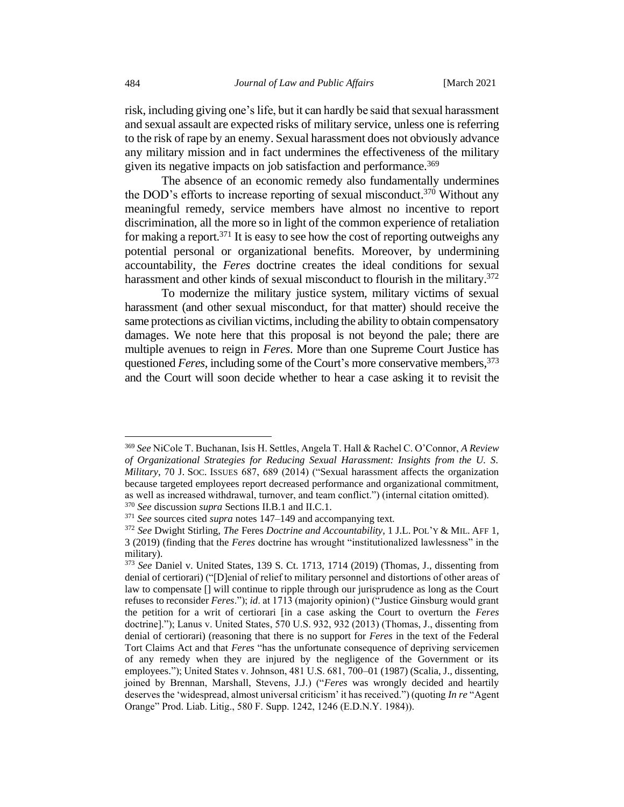risk, including giving one's life, but it can hardly be said that sexual harassment and sexual assault are expected risks of military service, unless one is referring to the risk of rape by an enemy. Sexual harassment does not obviously advance any military mission and in fact undermines the effectiveness of the military given its negative impacts on job satisfaction and performance.<sup>369</sup>

The absence of an economic remedy also fundamentally undermines the DOD's efforts to increase reporting of sexual misconduct.<sup>370</sup> Without any meaningful remedy, service members have almost no incentive to report discrimination, all the more so in light of the common experience of retaliation for making a report. <sup>371</sup> It is easy to see how the cost of reporting outweighs any potential personal or organizational benefits. Moreover, by undermining accountability, the *Feres* doctrine creates the ideal conditions for sexual harassment and other kinds of sexual misconduct to flourish in the military.<sup>372</sup>

To modernize the military justice system, military victims of sexual harassment (and other sexual misconduct, for that matter) should receive the same protections as civilian victims, including the ability to obtain compensatory damages. We note here that this proposal is not beyond the pale; there are multiple avenues to reign in *Feres*. More than one Supreme Court Justice has questioned *Feres*, including some of the Court's more conservative members, 373 and the Court will soon decide whether to hear a case asking it to revisit the

<sup>369</sup> *See* NiCole T. Buchanan, Isis H. Settles, Angela T. Hall & Rachel C. O'Connor, *A Review of Organizational Strategies for Reducing Sexual Harassment: Insights from the U. S. Military*, 70 J. SOC. ISSUES 687, 689 (2014) ("Sexual harassment affects the organization because targeted employees report decreased performance and organizational commitment, as well as increased withdrawal, turnover, and team conflict.") (internal citation omitted).

<sup>370</sup> *See* discussion *supra* Sections II.B.1 and II.C.1.

<sup>371</sup> *See* sources cited *supra* notes 147–149 and accompanying text.

<sup>372</sup> *See* Dwight Stirling, *The* Feres *Doctrine and Accountability*, 1 J.L.POL'Y & MIL. AFF 1, 3 (2019) (finding that the *Feres* doctrine has wrought "institutionalized lawlessness" in the military).

<sup>373</sup> *See* Daniel v. United States, 139 S. Ct. 1713, 1714 (2019) (Thomas, J., dissenting from denial of certiorari) ("[D]enial of relief to military personnel and distortions of other areas of law to compensate [] will continue to ripple through our jurisprudence as long as the Court refuses to reconsider *Feres*."); *id*. at 1713 (majority opinion) ("Justice Ginsburg would grant the petition for a writ of certiorari [in a case asking the Court to overturn the *Feres* doctrine]."); Lanus v. United States, 570 U.S. 932, 932 (2013) (Thomas, J., dissenting from denial of certiorari) (reasoning that there is no support for *Feres* in the text of the Federal Tort Claims Act and that *Feres* "has the unfortunate consequence of depriving servicemen of any remedy when they are injured by the negligence of the Government or its employees."); United States v. Johnson, 481 U.S. 681, 700–01 (1987) (Scalia, J., dissenting, joined by Brennan, Marshall, Stevens, J.J.) ("*Feres* was wrongly decided and heartily deserves the 'widespread, almost universal criticism' it has received.") (quoting *In re* "Agent Orange" Prod. Liab. Litig., 580 F. Supp. 1242, 1246 (E.D.N.Y. 1984)).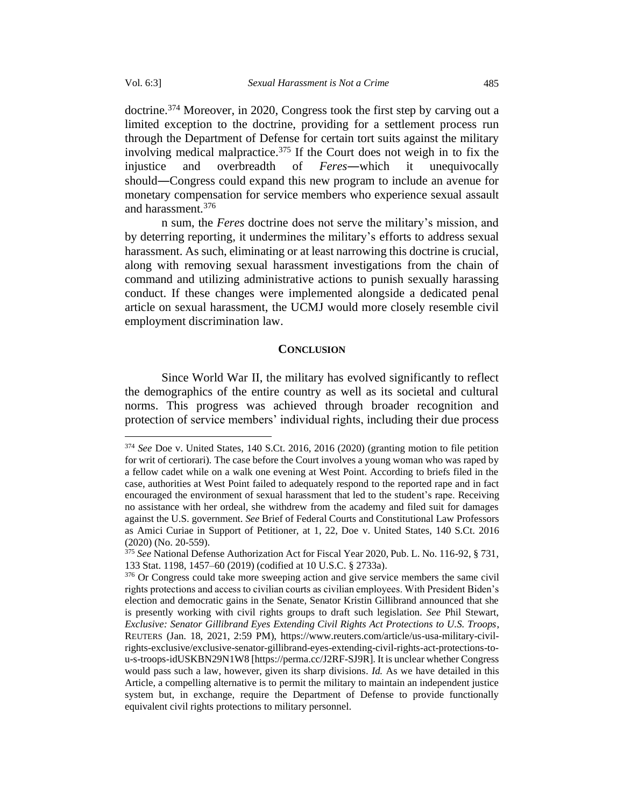doctrine. <sup>374</sup> Moreover, in 2020, Congress took the first step by carving out a limited exception to the doctrine, providing for a settlement process run through the Department of Defense for certain tort suits against the military involving medical malpractice. <sup>375</sup> If the Court does not weigh in to fix the injustice and overbreadth of *Feres*―which it unequivocally should―Congress could expand this new program to include an avenue for monetary compensation for service members who experience sexual assault and harassment.<sup>376</sup>

n sum, the *Feres* doctrine does not serve the military's mission, and by deterring reporting, it undermines the military's efforts to address sexual harassment. As such, eliminating or at least narrowing this doctrine is crucial, along with removing sexual harassment investigations from the chain of command and utilizing administrative actions to punish sexually harassing conduct. If these changes were implemented alongside a dedicated penal article on sexual harassment, the UCMJ would more closely resemble civil employment discrimination law.

## **CONCLUSION**

Since World War II, the military has evolved significantly to reflect the demographics of the entire country as well as its societal and cultural norms. This progress was achieved through broader recognition and protection of service members' individual rights, including their due process

<sup>374</sup> *See* Doe v. United States, 140 S.Ct. 2016, 2016 (2020) (granting motion to file petition for writ of certiorari). The case before the Court involves a young woman who was raped by a fellow cadet while on a walk one evening at West Point. According to briefs filed in the case, authorities at West Point failed to adequately respond to the reported rape and in fact encouraged the environment of sexual harassment that led to the student's rape. Receiving no assistance with her ordeal, she withdrew from the academy and filed suit for damages against the U.S. government. *See* Brief of Federal Courts and Constitutional Law Professors as Amici Curiae in Support of Petitioner, at 1, 22, Doe v. United States, 140 S.Ct. 2016 (2020) (No. 20-559).

<sup>375</sup> *See* National Defense Authorization Act for Fiscal Year 2020, Pub. L. No. 116-92, § 731, 133 Stat. 1198, 1457–60 (2019) (codified at 10 U.S.C. § 2733a).

<sup>&</sup>lt;sup>376</sup> Or Congress could take more sweeping action and give service members the same civil rights protections and access to civilian courts as civilian employees. With President Biden's election and democratic gains in the Senate, Senator Kristin Gillibrand announced that she is presently working with civil rights groups to draft such legislation. *See* Phil Stewart, *Exclusive: Senator Gillibrand Eyes Extending Civil Rights Act Protections to U.S. Troops*, REUTERS (Jan. 18, 2021, 2:59 PM), https://www.reuters.com/article/us-usa-military-civilrights-exclusive/exclusive-senator-gillibrand-eyes-extending-civil-rights-act-protections-tou-s-troops-idUSKBN29N1W8 [https://perma.cc/J2RF-SJ9R]. It is unclear whether Congress would pass such a law, however, given its sharp divisions. *Id.* As we have detailed in this Article, a compelling alternative is to permit the military to maintain an independent justice system but, in exchange, require the Department of Defense to provide functionally equivalent civil rights protections to military personnel.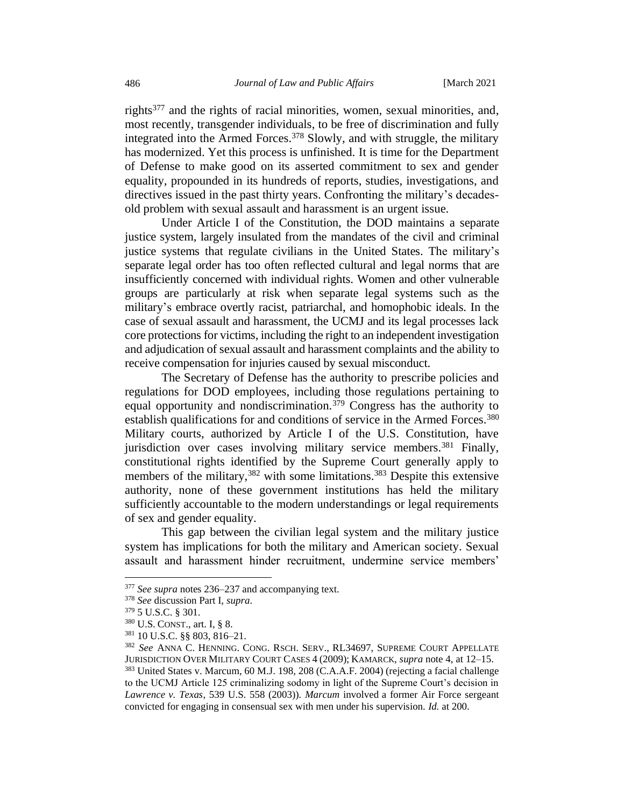rights<sup>377</sup> and the rights of racial minorities, women, sexual minorities, and, most recently, transgender individuals, to be free of discrimination and fully integrated into the Armed Forces. <sup>378</sup> Slowly, and with struggle, the military has modernized. Yet this process is unfinished. It is time for the Department of Defense to make good on its asserted commitment to sex and gender equality, propounded in its hundreds of reports, studies, investigations, and directives issued in the past thirty years. Confronting the military's decadesold problem with sexual assault and harassment is an urgent issue.

Under Article I of the Constitution, the DOD maintains a separate justice system, largely insulated from the mandates of the civil and criminal justice systems that regulate civilians in the United States. The military's separate legal order has too often reflected cultural and legal norms that are insufficiently concerned with individual rights. Women and other vulnerable groups are particularly at risk when separate legal systems such as the military's embrace overtly racist, patriarchal, and homophobic ideals. In the case of sexual assault and harassment, the UCMJ and its legal processes lack core protections for victims, including the right to an independent investigation and adjudication of sexual assault and harassment complaints and the ability to receive compensation for injuries caused by sexual misconduct.

The Secretary of Defense has the authority to prescribe policies and regulations for DOD employees, including those regulations pertaining to equal opportunity and nondiscrimination.<sup>379</sup> Congress has the authority to establish qualifications for and conditions of service in the Armed Forces.<sup>380</sup> Military courts, authorized by Article I of the U.S. Constitution, have jurisdiction over cases involving military service members.<sup>381</sup> Finally, constitutional rights identified by the Supreme Court generally apply to members of the military,<sup>382</sup> with some limitations.<sup>383</sup> Despite this extensive authority, none of these government institutions has held the military sufficiently accountable to the modern understandings or legal requirements of sex and gender equality.

This gap between the civilian legal system and the military justice system has implications for both the military and American society. Sexual assault and harassment hinder recruitment, undermine service members'

<sup>377</sup> *See supra* notes 236–237 and accompanying text.

<sup>378</sup> *See* discussion Part I, *supra*.

<sup>379</sup> 5 U.S.C. § 301.

<sup>380</sup> U.S. CONST., art. I, § 8.

<sup>381</sup> 10 U.S.C. §§ 803, 816–21.

<sup>382</sup> *See* ANNA C. HENNING. CONG. RSCH. SERV., RL34697, SUPREME COURT APPELLATE JURISDICTION OVER MILITARY COURT CASES 4 (2009); KAMARCK, *supra* note [4,](#page-2-0) at 12–15. <sup>383</sup> United States v. Marcum, 60 M.J. 198, 208 (C.A.A.F. 2004) (rejecting a facial challenge to the UCMJ Article 125 criminalizing sodomy in light of the Supreme Court's decision in *Lawrence v. Texas*, 539 U.S. 558 (2003)). *Marcum* involved a former Air Force sergeant convicted for engaging in consensual sex with men under his supervision. *Id.* at 200.